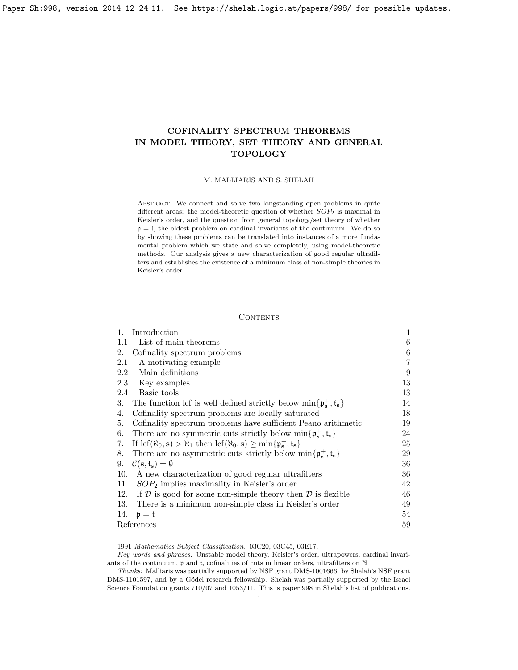# COFINALITY SPECTRUM THEOREMS IN MODEL THEORY, SET THEORY AND GENERAL TOPOLOGY

## M. MALLIARIS AND S. SHELAH

ABSTRACT. We connect and solve two longstanding open problems in quite different areas: the model-theoretic question of whether  $SOP_2$  is maximal in Keisler's order, and the question from general topology/set theory of whether  $p = t$ , the oldest problem on cardinal invariants of the continuum. We do so by showing these problems can be translated into instances of a more fundamental problem which we state and solve completely, using model-theoretic methods. Our analysis gives a new characterization of good regular ultrafilters and establishes the existence of a minimum class of non-simple theories in Keisler's order.

# <span id="page-0-0"></span>**CONTENTS**

| Introduction<br>1.                                                                                                                                             | 1  |
|----------------------------------------------------------------------------------------------------------------------------------------------------------------|----|
| 1.1. List of main theorems                                                                                                                                     | 6  |
| Cofinality spectrum problems<br>2.                                                                                                                             | 6  |
| A motivating example<br>2.1.                                                                                                                                   | 7  |
| Main definitions<br>2.2.                                                                                                                                       | 9  |
| 2.3.<br>Key examples                                                                                                                                           | 13 |
| 2.4. Basic tools                                                                                                                                               | 13 |
| 3. The function lcf is well defined strictly below $\min\{\mathfrak{p}_{s}^{+}, \mathfrak{t}_{s}\}\$                                                           | 14 |
| Cofinality spectrum problems are locally saturated<br>4.                                                                                                       | 18 |
| Cofinality spectrum problems have sufficient Peano arithmetic<br>5.                                                                                            | 19 |
| There are no symmetric cuts strictly below $\min\{\mathfrak{p}_{s}^{+}, \mathfrak{t}_{s}\}\$<br>6.                                                             | 24 |
| If $\text{lcf}(\aleph_0, \mathbf{s}) > \aleph_1$ then $\text{lcf}(\aleph_0, \mathbf{s}) \ge \min\{\mathfrak{p}_\mathbf{s}^+, \mathfrak{t}_\mathbf{s}\}\$<br>7. | 25 |
| There are no asymmetric cuts strictly below $\min\{\mathfrak{p}_{s}^{+}, \mathfrak{t}_{s}\}\$<br>8.                                                            | 29 |
| 9.<br>$\mathcal{C}(\mathbf{s},\mathbf{t}_{\mathbf{s}})=\emptyset$                                                                                              | 36 |
| A new characterization of good regular ultrafilters<br>10.                                                                                                     | 36 |
| $SOP2$ implies maximality in Keisler's order<br>11.                                                                                                            | 42 |
| If $D$ is good for some non-simple theory then $D$ is flexible<br>12.                                                                                          | 46 |
| There is a minimum non-simple class in Keisler's order<br>13.                                                                                                  | 49 |
| 14.<br>$\mathfrak{p}=\mathfrak{t}$                                                                                                                             | 54 |
| References                                                                                                                                                     | 59 |
|                                                                                                                                                                |    |

<sup>1991</sup> Mathematics Subject Classification. 03C20, 03C45, 03E17.

Key words and phrases. Unstable model theory, Keisler's order, ultrapowers, cardinal invariants of the continuum, p and t, cofinalities of cuts in linear orders, ultrafilters on N.

Thanks: Malliaris was partially supported by NSF grant DMS-1001666, by Shelah's NSF grant DMS-1101597, and by a Gödel research fellowship. Shelah was partially supported by the Israel Science Foundation grants 710/07 and 1053/11. This is paper 998 in Shelah's list of publications.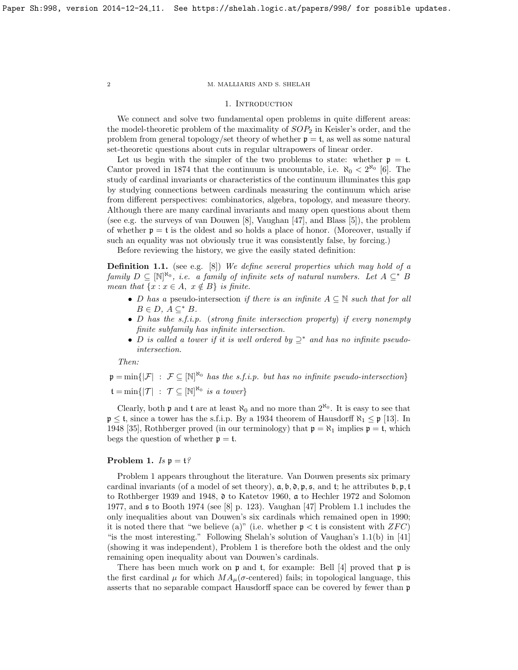## 1. INTRODUCTION

We connect and solve two fundamental open problems in quite different areas: the model-theoretic problem of the maximality of  $SOP<sub>2</sub>$  in Keisler's order, and the problem from general topology/set theory of whether  $p = t$ , as well as some natural set-theoretic questions about cuts in regular ultrapowers of linear order.

Let us begin with the simpler of the two problems to state: whether  $p = t$ . Cantor proved in 1874 that the continuum is uncountable, i.e.  $\aleph_0 < 2^{\aleph_0}$  [\[6\]](#page-58-0). The study of cardinal invariants or characteristics of the continuum illuminates this gap by studying connections between cardinals measuring the continuum which arise from different perspectives: combinatorics, algebra, topology, and measure theory. Although there are many cardinal invariants and many open questions about them (see e.g. the surveys of van Douwen [\[8\]](#page-58-1), Vaughan [\[47\]](#page-59-0), and Blass [\[5\]](#page-58-2)), the problem of whether  $p = t$  is the oldest and so holds a place of honor. (Moreover, usually if such an equality was not obviously true it was consistently false, by forcing.)

Before reviewing the history, we give the easily stated definition:

<span id="page-1-2"></span>**Definition 1.1.** (see e.g. [\[8\]](#page-58-1)) We define several properties which may hold of a family  $D \subseteq [\mathbb{N}]^{\aleph_0}$ , i.e. a family of infinite sets of natural numbers. Let  $A \subseteq^* B$ mean that  $\{x : x \in A, x \notin B\}$  is finite.

- D has a pseudo-intersection if there is an infinite  $A \subseteq \mathbb{N}$  such that for all  $B \in D$ ,  $A \subseteq^* B$ .
- D has the s.f.i.p. (strong finite intersection property) if every nonempty finite subfamily has infinite intersection.
- D is called a tower if it is well ordered by  $\supseteq^*$  and has no infinite pseudointersection.

Then:

 $\mathfrak{p} = \min\{|\mathcal{F}| : \mathcal{F} \subseteq [\mathbb{N}]^{\aleph_0} \text{ has the s.f.i.p. but has no infinite pseudo-intersection}\}\$  $\mathfrak{t} = \min \{ |\mathcal{T}| : \mathcal{T} \subseteq [\mathbb{N}]^{\aleph_0} \text{ is a tower} \}$ 

Clearly, both  $\mathfrak p$  and  $\mathfrak t$  are at least  $\aleph_0$  and no more than  $2^{\aleph_0}$ . It is easy to see that  $\mathfrak{p} \leq \mathfrak{t}$ , since a tower has the s.f.i.p. By a 1934 theorem of Hausdorff  $\aleph_1 \leq \mathfrak{p}$  [\[13\]](#page-58-3). In 1948 [\[35\]](#page-59-1), Rothberger proved (in our terminology) that  $\mathfrak{p} = \aleph_1$  implies  $\mathfrak{p} = \mathfrak{t}$ , which begs the question of whether  $p = t$ .

# <span id="page-1-1"></span>Problem 1.  $Is \mathfrak{p} = \mathfrak{t}$ ?

Problem [1](#page-1-1) appears throughout the literature. Van Douwen presents six primary cardinal invariants (of a model of set theory),  $a, b, 0, p, s$ , and t; he attributes  $b, p, t$ to Rothberger 1939 and 1948, d to Katetov 1960, a to Hechler 1972 and Solomon 1977, and s to Booth 1974 (see [\[8\]](#page-58-1) p. 123). Vaughan [\[47\]](#page-59-0) Problem 1.1 includes the only inequalities about van Douwen's six cardinals which remained open in 1990; it is noted there that "we believe (a)" (i.e. whether  $p < t$  is consistent with  $ZFC$ ) "is the most interesting." Following Shelah's solution of Vaughan's  $1.1(b)$  in [\[41\]](#page-59-2) (showing it was independent), Problem [1](#page-1-1) is therefore both the oldest and the only remaining open inequality about van Douwen's cardinals.

There has been much work on  $\mathfrak p$  and  $\mathfrak t$ , for example: Bell [\[4\]](#page-58-4) proved that  $\mathfrak p$  is the first cardinal  $\mu$  for which  $MA_{\mu}(\sigma$ -centered) fails; in topological language, this asserts that no separable compact Hausdorff space can be covered by fewer than p

<span id="page-1-0"></span>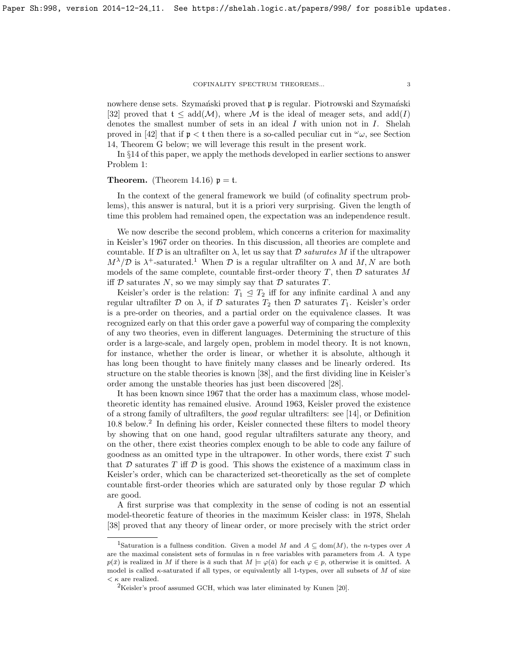#### COFINALITY SPECTRUM THEOREMS...  $\qquad \qquad 3$

nowhere dense sets. Szymański proved that **p** is regular. Piotrowski and Szymański [\[32\]](#page-59-3) proved that  $t \leq \text{add}(\mathcal{M})$ , where M is the ideal of meager sets, and  $\text{add}(I)$ denotes the smallest number of sets in an ideal  $I$  with union not in  $I$ . Shelah proved in [\[42\]](#page-59-4) that if  $\mathfrak{p} < \mathfrak{t}$  then there is a so-called peculiar cut in  $\omega_{\omega}$ , see Section [14,](#page-53-0) Theorem [G](#page-56-0) below; we will leverage this result in the present work.

In §[14](#page-53-0) of this paper, we apply the methods developed in earlier sections to answer Problem [1:](#page-1-1)

# **Theorem.** (Theorem [14.16\)](#page-58-5)  $p = t$ .

In the context of the general framework we build (of cofinality spectrum problems), this answer is natural, but it is a priori very surprising. Given the length of time this problem had remained open, the expectation was an independence result.

We now describe the second problem, which concerns a criterion for maximality in Keisler's 1967 order on theories. In this discussion, all theories are complete and countable. If  $\mathcal D$  is an ultrafilter on  $\lambda$ , let us say that  $\mathcal D$  saturates M if the ultrapower  $M^{\lambda}/\mathcal{D}$  is  $\lambda^{+}$ -saturated.<sup>[1](#page-2-0)</sup> When  $\mathcal{D}$  is a regular ultrafilter on  $\lambda$  and  $M, N$  are both models of the same complete, countable first-order theory  $T$ , then  $D$  saturates M iff  $D$  saturates  $N$ , so we may simply say that  $D$  saturates  $T$ .

Keisler's order is the relation:  $T_1 \leq T_2$  iff for any infinite cardinal  $\lambda$  and any regular ultrafilter  $D$  on  $\lambda$ , if  $D$  saturates  $T_2$  then  $D$  saturates  $T_1$ . Keisler's order is a pre-order on theories, and a partial order on the equivalence classes. It was recognized early on that this order gave a powerful way of comparing the complexity of any two theories, even in different languages. Determining the structure of this order is a large-scale, and largely open, problem in model theory. It is not known, for instance, whether the order is linear, or whether it is absolute, although it has long been thought to have finitely many classes and be linearly ordered. Its structure on the stable theories is known [\[38\]](#page-59-5), and the first dividing line in Keisler's order among the unstable theories has just been discovered [\[28\]](#page-59-6).

It has been known since 1967 that the order has a maximum class, whose modeltheoretic identity has remained elusive. Around 1963, Keisler proved the existence of a strong family of ultrafilters, the good regular ultrafilters: see [\[14\]](#page-58-6), or Definition [10.8](#page-36-0) below.<sup>[2](#page-2-1)</sup> In defining his order, Keisler connected these filters to model theory by showing that on one hand, good regular ultrafilters saturate any theory, and on the other, there exist theories complex enough to be able to code any failure of goodness as an omitted type in the ultrapower. In other words, there exist  $T$  such that  $D$  saturates  $T$  iff  $D$  is good. This shows the existence of a maximum class in Keisler's order, which can be characterized set-theoretically as the set of complete countable first-order theories which are saturated only by those regular  $D$  which are good.

A first surprise was that complexity in the sense of coding is not an essential model-theoretic feature of theories in the maximum Keisler class: in 1978, Shelah [\[38\]](#page-59-5) proved that any theory of linear order, or more precisely with the strict order

<span id="page-2-0"></span><sup>&</sup>lt;sup>1</sup>Saturation is a fullness condition. Given a model M and  $A \subseteq \text{dom}(M)$ , the n-types over A are the maximal consistent sets of formulas in  $n$  free variables with parameters from  $A$ . A type  $p(\bar{x})$  is realized in M if there is  $\bar{a}$  such that  $M \models \varphi(\bar{a})$  for each  $\varphi \in p$ , otherwise it is omitted. A model is called  $\kappa$ -saturated if all types, or equivalently all 1-types, over all subsets of M of size  $\langle \kappa \rangle$  are realized.

<span id="page-2-1"></span><sup>2</sup>Keisler's proof assumed GCH, which was later eliminated by Kunen [\[20\]](#page-58-7).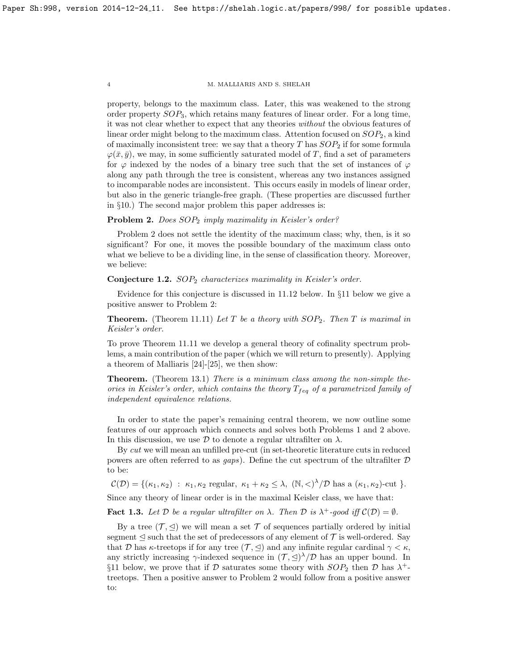property, belongs to the maximum class. Later, this was weakened to the strong order property SOP3, which retains many features of linear order. For a long time, it was not clear whether to expect that any theories without the obvious features of linear order might belong to the maximum class. Attention focused on  $SOP<sub>2</sub>$ , a kind of maximally inconsistent tree: we say that a theory  $T$  has  $SOP_2$  if for some formula  $\varphi(\bar{x}, \bar{y})$ , we may, in some sufficiently saturated model of T, find a set of parameters for  $\varphi$  indexed by the nodes of a binary tree such that the set of instances of  $\varphi$ along any path through the tree is consistent, whereas any two instances assigned to incomparable nodes are inconsistent. This occurs easily in models of linear order, but also in the generic triangle-free graph. (These properties are discussed further in §[10.](#page-35-1)) The second major problem this paper addresses is:

# <span id="page-3-0"></span>Problem 2. Does  $SOP_2$  imply maximality in Keisler's order?

Problem [2](#page-3-0) does not settle the identity of the maximum class; why, then, is it so significant? For one, it moves the possible boundary of the maximum class onto what we believe to be a dividing line, in the sense of classification theory. Moreover, we believe:

<span id="page-3-2"></span>**Conjecture 1.2.**  $SOP<sub>2</sub>$  characterizes maximality in Keisler's order.

Evidence for this conjecture is discussed in [11.12](#page-44-0) below. In §[11](#page-41-0) below we give a positive answer to Problem [2:](#page-3-0)

**Theorem.** (Theorem [11.11\)](#page-44-1) Let T be a theory with  $SOP_2$ . Then T is maximal in Keisler's order.

To prove Theorem [11.11](#page-44-1) we develop a general theory of cofinality spectrum problems, a main contribution of the paper (which we will return to presently). Applying a theorem of Malliaris [\[24\]](#page-59-7)-[\[25\]](#page-59-8), we then show:

**Theorem.** (Theorem [13.1\)](#page-48-1) There is a minimum class among the non-simple theories in Keisler's order, which contains the theory  $T_{f}$ <sub>eq</sub> of a parametrized family of independent equivalence relations.

In order to state the paper's remaining central theorem, we now outline some features of our approach which connects and solves both Problems [1](#page-1-1) and [2](#page-3-0) above. In this discussion, we use  $\mathcal D$  to denote a regular ultrafilter on  $\lambda$ .

By cut we will mean an unfilled pre-cut (in set-theoretic literature cuts in reduced powers are often referred to as *gaps*). Define the cut spectrum of the ultrafilter  $D$ to be:

 $\mathcal{C}(\mathcal{D}) = \{(\kappa_1, \kappa_2) : \kappa_1, \kappa_2 \text{ regular}, \kappa_1 + \kappa_2 \leq \lambda, (\mathbb{N}, \langle)^\lambda/\mathcal{D} \text{ has a } (\kappa_1, \kappa_2) \text{-cut} \}.$ 

Since any theory of linear order is in the maximal Keisler class, we have that:

<span id="page-3-1"></span>**Fact 1.3.** Let D be a regular ultrafilter on  $\lambda$ . Then D is  $\lambda^+$ -good iff  $\mathcal{C}(\mathcal{D}) = \emptyset$ .

By a tree  $(\mathcal{T}, \triangleleft)$  we will mean a set  $\mathcal T$  of sequences partially ordered by initial segment  $\leq$  such that the set of predecessors of any element of  $\mathcal T$  is well-ordered. Say that D has  $\kappa$ -treetops if for any tree  $(\mathcal{T}, \leq)$  and any infinite regular cardinal  $\gamma < \kappa$ , any strictly increasing  $\gamma$ -indexed sequence in  $(\mathcal{T}, \trianglelefteq)^{\lambda}/\mathcal{D}$  has an upper bound. In §[11](#page-41-0) below, we prove that if  $D$  saturates some theory with  $SOP_2$  then  $D$  has  $\lambda^+$ treetops. Then a positive answer to Problem [2](#page-3-0) would follow from a positive answer to: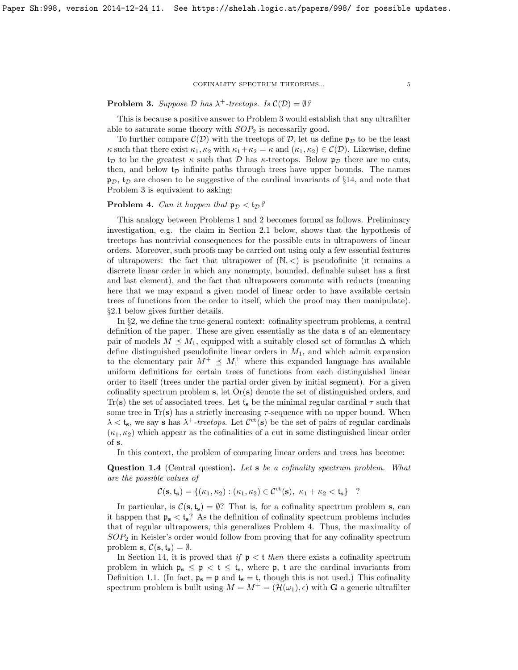# <span id="page-4-0"></span>**Problem 3.** Suppose  $\mathcal{D}$  has  $\lambda^+$ -treetops. Is  $\mathcal{C}(\mathcal{D}) = \emptyset$ ?

This is because a positive answer to Problem [3](#page-4-0) would establish that any ultrafilter able to saturate some theory with  $SOP<sub>2</sub>$  is necessarily good.

To further compare  $\mathcal{C}(\mathcal{D})$  with the treetops of  $\mathcal{D}$ , let us define  $\mathfrak{p}_{\mathcal{D}}$  to be the least  $\kappa$  such that there exist  $\kappa_1, \kappa_2$  with  $\kappa_1 + \kappa_2 = \kappa$  and  $(\kappa_1, \kappa_2) \in C(\mathcal{D})$ . Likewise, define  $t_{\mathcal{D}}$  to be the greatest  $\kappa$  such that  $\mathcal D$  has  $\kappa$ -treetops. Below  $\mathfrak{p}_D$  there are no cuts, then, and below  $t_D$  infinite paths through trees have upper bounds. The names  $\mathfrak{p}_D$ ,  $\mathfrak{t}_D$  are chosen to be suggestive of the cardinal invariants of §[14,](#page-53-0) and note that Problem [3](#page-4-0) is equivalent to asking:

# <span id="page-4-1"></span>**Problem 4.** Can it happen that  $\mathfrak{p}_D < \mathfrak{t}_D$ ?

This analogy between Problems [1](#page-1-1) and [2](#page-3-0) becomes formal as follows. Preliminary investigation, e.g. the claim in Section [2.1](#page-6-1) below, shows that the hypothesis of treetops has nontrivial consequences for the possible cuts in ultrapowers of linear orders. Moreover, such proofs may be carried out using only a few essential features of ultrapowers: the fact that ultrapower of  $(N, <)$  is pseudofinite (it remains a discrete linear order in which any nonempty, bounded, definable subset has a first and last element), and the fact that ultrapowers commute with reducts (meaning here that we may expand a given model of linear order to have available certain trees of functions from the order to itself, which the proof may then manipulate). §[2.1](#page-6-1) below gives further details.

In §[2,](#page-6-0) we define the true general context: cofinality spectrum problems, a central definition of the paper. These are given essentially as the data s of an elementary pair of models  $M \leq M_1$ , equipped with a suitably closed set of formulas  $\Delta$  which define distinguished pseudofinite linear orders in  $M_1$ , and which admit expansion to the elementary pair  $M^+ \preceq M_1^+$  where this expanded language has available uniform definitions for certain trees of functions from each distinguished linear order to itself (trees under the partial order given by initial segment). For a given cofinality spectrum problem s, let  $Or(s)$  denote the set of distinguished orders, and Tr(s) the set of associated trees. Let  $t_s$  be the minimal regular cardinal  $\tau$  such that some tree in Tr(s) has a strictly increasing  $\tau$ -sequence with no upper bound. When  $\lambda < t_s$ , we say s has  $\lambda^+$ -treetops. Let  $\mathcal{C}^{ct}(s)$  be the set of pairs of regular cardinals  $(\kappa_1, \kappa_2)$  which appear as the cofinalities of a cut in some distinguished linear order of s.

In this context, the problem of comparing linear orders and trees has become:

<span id="page-4-2"></span>Question 1.4 (Central question). Let s be a cofinality spectrum problem. What are the possible values of

$$
\mathcal{C}(\mathbf{s},\mathfrak{t}_{\mathbf{s}}) = \{ (\kappa_1, \kappa_2) : (\kappa_1, \kappa_2) \in \mathcal{C}^{\mathrm{ct}}(\mathbf{s}), \ \kappa_1 + \kappa_2 < \mathfrak{t}_{\mathbf{s}} \} \quad ?
$$

In particular, is  $\mathcal{C}(\mathbf{s}, \mathbf{t_s}) = \emptyset$ ? That is, for a cofinality spectrum problem **s**, can it happen that  $\mathfrak{p}_s < \mathfrak{t}_s$ ? As the definition of cofinality spectrum problems includes that of regular ultrapowers, this generalizes Problem [4.](#page-4-1) Thus, the maximality of  $SOP<sub>2</sub>$  in Keisler's order would follow from proving that for any cofinality spectrum problem s,  $\mathcal{C}(\mathbf{s}, \mathbf{t_s}) = \emptyset$ .

In Section [14,](#page-53-0) it is proved that if  $p < t$  then there exists a cofinality spectrum problem in which  $\mathfrak{p}_s \leq \mathfrak{p} < t \leq t_s$ , where  $\mathfrak{p}$ , t are the cardinal invariants from Definition [1.1.](#page-1-2) (In fact,  $\mathfrak{p}_s = \mathfrak{p}$  and  $\mathfrak{t}_s = \mathfrak{t}$ , though this is not used.) This cofinality spectrum problem is built using  $M = M^+ = (\mathcal{H}(\omega_1), \epsilon)$  with G a generic ultrafilter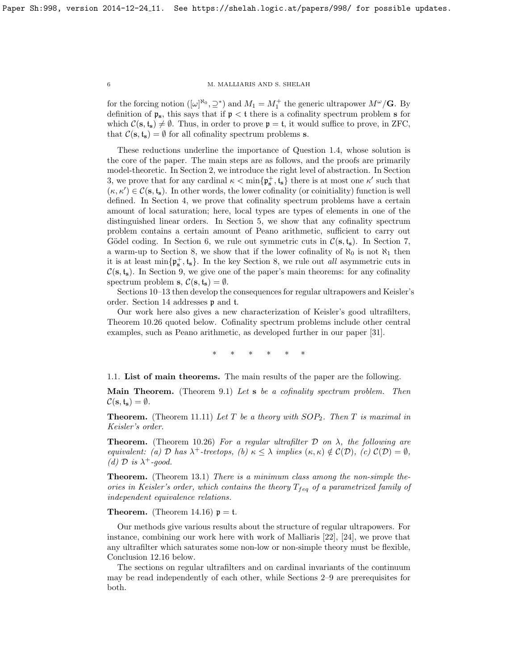for the forcing notion  $([\omega]^{\aleph_0}, \supseteq^*)$  and  $M_1 = M_1^+$  the generic ultrapower  $M^{\omega}/\mathbf{G}$ . By definition of  $\mathfrak{p}_s$ , this says that if  $\mathfrak{p} < t$  there is a cofinality spectrum problem s for which  $C(s, t_s) \neq \emptyset$ . Thus, in order to prove  $p = t$ , it would suffice to prove, in ZFC, that  $\mathcal{C}(\mathbf{s}, \mathbf{t}_{\mathbf{s}}) = \emptyset$  for all cofinality spectrum problems **s**.

These reductions underline the importance of Question [1.4,](#page-4-2) whose solution is the core of the paper. The main steps are as follows, and the proofs are primarily model-theoretic. In Section [2,](#page-6-0) we introduce the right level of abstraction. In Section [3,](#page-13-1) we prove that for any cardinal  $\kappa < \min\{\mathfrak{p}_s^+, \mathfrak{t}_s\}$  there is at most one  $\kappa'$  such that  $(\kappa, \kappa') \in \mathcal{C}(\mathbf{s}, \mathfrak{t}_{\mathbf{s}})$ . In other words, the lower cofinality (or coinitiality) function is well defined. In Section [4,](#page-17-0) we prove that cofinality spectrum problems have a certain amount of local saturation; here, local types are types of elements in one of the distinguished linear orders. In Section [5,](#page-18-0) we show that any cofinality spectrum problem contains a certain amount of Peano arithmetic, sufficient to carry out Gödel coding. In Section [6,](#page-23-0) we rule out symmetric cuts in  $\mathcal{C}(\mathbf{s}, \mathbf{t_s})$ . In Section [7,](#page-25-0) a warm-up to Section [8,](#page-28-0) we show that if the lower cofinality of  $\aleph_0$  is not  $\aleph_1$  then it is at least  $\min\{\mathfrak{p}_s^+, \mathfrak{t}_s\}$ . In the key Section [8,](#page-28-0) we rule out *all* asymmetric cuts in  $\mathcal{C}(\mathbf{s}, \mathbf{t}_{\mathbf{s}})$ . In Section [9,](#page-35-0) we give one of the paper's main theorems: for any cofinality spectrum problem s,  $C(s, t_s) = \emptyset$ .

Sections [10](#page-35-1)[–13](#page-48-0) then develop the consequences for regular ultrapowers and Keisler's order. Section [14](#page-53-0) addresses p and t.

Our work here also gives a new characterization of Keisler's good ultrafilters, Theorem [10.26](#page-41-1) quoted below. Cofinality spectrum problems include other central examples, such as Peano arithmetic, as developed further in our paper [\[31\]](#page-59-9).

∗ ∗ ∗ ∗ ∗ ∗

<span id="page-5-0"></span>1.1. List of main theorems. The main results of the paper are the following.

**Main Theorem.** (Theorem [9.1\)](#page-35-2) Let s be a cofinality spectrum problem. Then  $\mathcal{C}(\mathbf{s}, \mathbf{t_s}) = \emptyset$ .

**Theorem.** (Theorem [11.11\)](#page-44-1) Let T be a theory with  $SOP_2$ . Then T is maximal in Keisler's order.

**Theorem.** (Theorem [10.26\)](#page-41-1) For a regular ultrafilter  $D$  on  $\lambda$ , the following are equivalent: (a)  $\mathcal D$  has  $\lambda^+$ -treetops, (b)  $\kappa \leq \lambda$  implies  $(\kappa, \kappa) \notin \mathcal C(\mathcal D)$ , (c)  $\mathcal C(\mathcal D) = \emptyset$ , (d)  $\mathcal{D}$  is  $\lambda^+$ -good.

**Theorem.** (Theorem [13.1\)](#page-48-1) There is a minimum class among the non-simple theories in Keisler's order, which contains the theory  $T_{feq}$  of a parametrized family of independent equivalence relations.

**Theorem.** (Theorem [14.16\)](#page-58-5)  $p = t$ .

Our methods give various results about the structure of regular ultrapowers. For instance, combining our work here with work of Malliaris [\[22\]](#page-58-8), [\[24\]](#page-59-7), we prove that any ultrafilter which saturates some non-low or non-simple theory must be flexible, Conclusion [12.16](#page-48-2) below.

The sections on regular ultrafilters and on cardinal invariants of the continuum may be read independently of each other, while Sections [2](#page-6-0)[–9](#page-35-0) are prerequisites for both.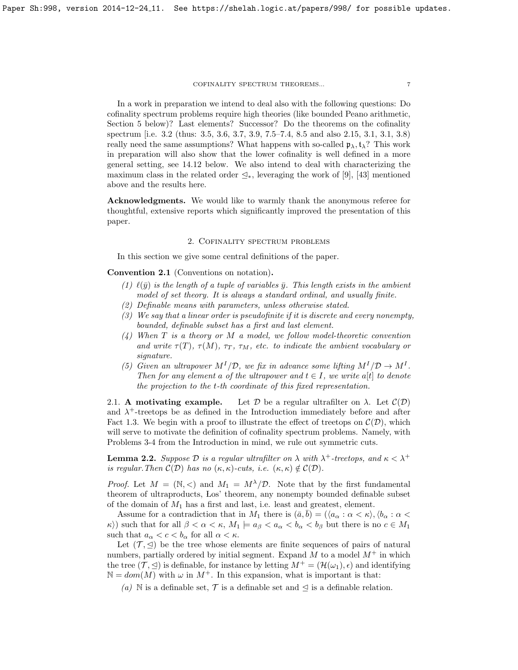In a work in preparation we intend to deal also with the following questions: Do cofinality spectrum problems require high theories (like bounded Peano arithmetic, Section [5](#page-18-0) below)? Last elements? Successor? Do the theorems on the cofinality spectrum [i.e. [3](#page-14-0).2 (thus: [3](#page-16-0).5, [3](#page-16-1).6, [3](#page-16-2).7, [3](#page-17-1).9, [7](#page-28-1).5[–7](#page-26-0).4, [8](#page-30-0).5 and also 2.[15,](#page-13-2) [3](#page-13-3).1, [3](#page-13-3).1, [3](#page-16-3).8) really need the same assumptions? What happens with so-called  $\mathfrak{p}_{\lambda}, \mathfrak{t}_{\lambda}$ ? This work in preparation will also show that the lower cofinality is well defined in a more general setting, see 14.[12](#page-56-1) below. We also intend to deal with characterizing the maximum class in the related order  $\leq_*,$  leveraging the work of [\[9\]](#page-58-9), [\[43\]](#page-59-10) mentioned above and the results here.

Acknowledgments. We would like to warmly thank the anonymous referee for thoughtful, extensive reports which significantly improved the presentation of this paper.

# 2. Cofinality spectrum problems

<span id="page-6-0"></span>In this section we give some central definitions of the paper.

<span id="page-6-2"></span>Convention 2.1 (Conventions on notation).

- (1)  $\ell(\bar{y})$  is the length of a tuple of variables  $\bar{y}$ . This length exists in the ambient model of set theory. It is always a standard ordinal, and usually finite.
- (2) Definable means with parameters, unless otherwise stated.
- (3) We say that a linear order is pseudofinite if it is discrete and every nonempty, bounded, definable subset has a first and last element.
- $(4)$  When T is a theory or M a model, we follow model-theoretic convention and write  $\tau(T)$ ,  $\tau(M)$ ,  $\tau_T$ ,  $\tau_M$ , etc. to indicate the ambient vocabulary or signature.
- (5) Given an ultrapower  $M^I/\mathcal{D}$ , we fix in advance some lifting  $M^I/\mathcal{D} \to M^I$ . Then for any element a of the ultrapower and  $t \in I$ , we write a[t] to denote the projection to the t-th coordinate of this fixed representation.

<span id="page-6-1"></span>2.1. A motivating example. Let D be a regular ultrafilter on  $\lambda$ . Let  $\mathcal{C}(\mathcal{D})$ and  $\lambda^+$ -treetops be as defined in the Introduction immediately before and after Fact [1.3.](#page-3-1) We begin with a proof to illustrate the effect of treetops on  $\mathcal{C}(\mathcal{D})$ , which will serve to motivate the definition of cofinality spectrum problems. Namely, with Problems [3-](#page-4-0)[4](#page-4-1) from the Introduction in mind, we rule out symmetric cuts.

<span id="page-6-3"></span>**Lemma 2.2.** Suppose D is a regular ultrafilter on  $\lambda$  with  $\lambda^+$ -treetops, and  $\kappa < \lambda^+$ is regular. Then  $\mathcal{C}(\mathcal{D})$  has no  $(\kappa, \kappa)$ -cuts, i.e.  $(\kappa, \kappa) \notin \mathcal{C}(\mathcal{D})$ .

*Proof.* Let  $M = (\mathbb{N}, <)$  and  $M_1 = M^{\lambda}/\mathcal{D}$ . Note that by the first fundamental theorem of ultraproducts, Los' theorem, any nonempty bounded definable subset of the domain of  $M_1$  has a first and last, i.e. least and greatest, element.

Assume for a contradiction that in  $M_1$  there is  $(\bar{a}, \bar{b}) = (\langle a_\alpha : \alpha < \kappa \rangle, \langle b_\alpha : \alpha <$  $\kappa$ ) such that for all  $\beta < \alpha < \kappa$ ,  $M_1 \models a_{\beta} < a_{\alpha} < b_{\alpha} < b_{\beta}$  but there is no  $c \in M_1$ such that  $a_{\alpha} < c < b_{\alpha}$  for all  $\alpha < \kappa$ .

Let  $(\mathcal{T}, \leq)$  be the tree whose elements are finite sequences of pairs of natural numbers, partially ordered by initial segment. Expand  $M$  to a model  $M^+$  in which the tree  $(\mathcal{T}, \triangleleft)$  is definable, for instance by letting  $M^+ = (\mathcal{H}(\omega_1), \epsilon)$  and identifying  $\mathbb{N} = dom(M)$  with  $\omega$  in  $M^+$ . In this expansion, what is important is that:

(a) N is a definable set,  $\mathcal T$  is a definable set and  $\triangleleft$  is a definable relation.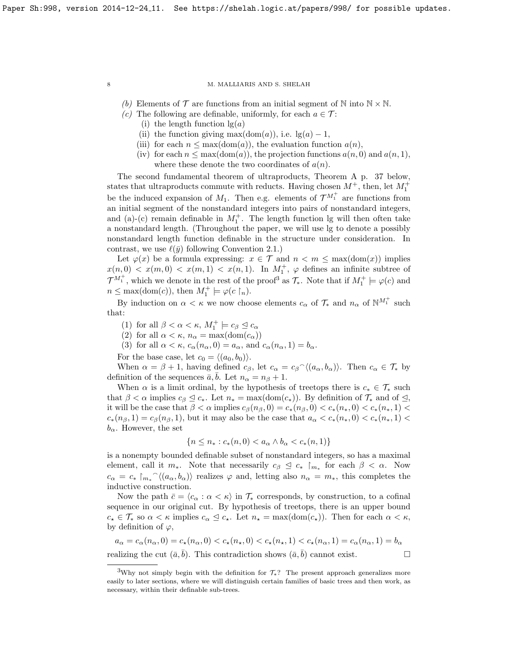(b) Elements of  $\mathcal T$  are functions from an initial segment of N into  $\mathbb N \times \mathbb N$ .

- (c) The following are definable, uniformly, for each  $a \in \mathcal{T}$ :
	- (i) the length function  $\lg(a)$
	- (ii) the function giving max $(\text{dom}(a))$ , i.e.  $\lg(a) 1$ ,
	- (iii) for each  $n \leq \max(\text{dom}(a))$ , the evaluation function  $a(n)$ ,
	- (iv) for each  $n \leq \max(\text{dom}(a))$ , the projection functions  $a(n, 0)$  and  $a(n, 1)$ , where these denote the two coordinates of  $a(n)$ .

The second fundamental theorem of ultraproducts, Theorem [A](#page-36-1) p. [37](#page-36-1) below, states that ultraproducts commute with reducts. Having chosen  $M^+$ , then, let  $M_1^+$ be the induced expansion of  $M_1$ . Then e.g. elements of  $\mathcal{T}^{M_1^+}$  are functions from an initial segment of the nonstandard integers into pairs of nonstandard integers, and (a)-(c) remain definable in  $M_1^+$ . The length function lg will then often take a nonstandard length. (Throughout the paper, we will use lg to denote a possibly nonstandard length function definable in the structure under consideration. In contrast, we use  $\ell(\bar{y})$  following Convention [2.1.](#page-6-2))

Let  $\varphi(x)$  be a formula expressing:  $x \in \mathcal{T}$  and  $n < m \leq \max(\text{dom}(x))$  implies  $x(n,0) < x(m,0) < x(m,1) < x(n,1)$ . In  $M_1^+$ ,  $\varphi$  defines an infinite subtree of  $\mathcal{T}^{M_1^+}$ , which we denote in the rest of the proof<sup>[3](#page-7-0)</sup> as  $\mathcal{T}_{*}$ . Note that if  $M_1^+ \models \varphi(c)$  and  $n \leq \max(\text{dom}(c)), \text{ then } M_1^+ \models \varphi(c \restriction_n).$ 

By induction on  $\alpha < \kappa$  we now choose elements  $c_{\alpha}$  of  $\mathcal{T}_{*}$  and  $n_{\alpha}$  of  $\mathbb{N}^{M_{1}^{+}}$  such that:

- (1) for all  $\beta < \alpha < \kappa$ ,  $M_1^+ \models c_{\beta} \trianglelefteq c_{\alpha}$
- (2) for all  $\alpha < \kappa$ ,  $n_{\alpha} = \max(\text{dom}(c_{\alpha}))$
- (3) for all  $\alpha < \kappa$ ,  $c_{\alpha}(n_{\alpha}, 0) = a_{\alpha}$ , and  $c_{\alpha}(n_{\alpha}, 1) = b_{\alpha}$ .

For the base case, let  $c_0 = \langle (a_0, b_0) \rangle$ .

When  $\alpha = \beta + 1$ , having defined  $c_{\beta}$ , let  $c_{\alpha} = c_{\beta} \gamma \langle (a_{\alpha}, b_{\alpha}) \rangle$ . Then  $c_{\alpha} \in \mathcal{T}_{*}$  by definition of the sequences  $\bar{a}, b$ . Let  $n_{\alpha} = n_{\beta} + 1$ .

When  $\alpha$  is a limit ordinal, by the hypothesis of treetops there is  $c_* \in \mathcal{T}_*$  such that  $\beta < \alpha$  implies  $c_{\beta} \leq c_*$ . Let  $n_* = \max(\text{dom}(c_*))$ . By definition of  $\mathcal{T}_*$  and of  $\leq$ , it will be the case that  $\beta < \alpha$  implies  $c_{\beta}(n_{\beta},0) = c_*(n_{\beta},0) < c_*(n_*,0) < c_*(n_*,1) <$  $c_*(n_\beta, 1) = c_\beta(n_\beta, 1)$ , but it may also be the case that  $a_\alpha < c_*(n_*, 0) < c_*(n_*, 1)$  $b_{\alpha}$ . However, the set

$$
\{n \le n_* : c_*(n,0) < a_\alpha \land b_\alpha < c_*(n,1)\}
$$

is a nonempty bounded definable subset of nonstandard integers, so has a maximal element, call it  $m_*$ . Note that necessarily  $c_{\beta} \leq c_* \mid_{m_*}$  for each  $\beta < \alpha$ . Now  $c_{\alpha} = c_* \upharpoonright_{m_*} \hat{ } \langle (a_{\alpha}, b_{\alpha}) \rangle$  realizes  $\varphi$  and, letting also  $n_{\alpha} = m_*$ , this completes the inductive construction.

Now the path  $\bar{c} = \langle c_{\alpha} : \alpha < \kappa \rangle$  in  $\mathcal{T}_{*}$  corresponds, by construction, to a cofinal sequence in our original cut. By hypothesis of treetops, there is an upper bound  $c_{\star} \in \mathcal{T}_{*}$  so  $\alpha < \kappa$  implies  $c_{\alpha} \leq c_{\star}$ . Let  $n_{\star} = \max(\text{dom}(c_{\star}))$ . Then for each  $\alpha < \kappa$ , by definition of  $\varphi$ ,

$$
a_{\alpha} = c_{\alpha}(n_{\alpha}, 0) = c_{\star}(n_{\alpha}, 0) < c_{\star}(n_{\star}, 0) < c_{\star}(n_{\star}, 1) < c_{\star}(n_{\alpha}, 1) = c_{\alpha}(n_{\alpha}, 1) = b_{\alpha}
$$
\nrealizing the cut  $(\bar{a}, \bar{b})$ . This contradiction shows  $(\bar{a}, \bar{b})$  cannot exist.

<span id="page-7-0"></span><sup>&</sup>lt;sup>3</sup>Why not simply begin with the definition for  $\mathcal{T}_*$ ? The present approach generalizes more easily to later sections, where we will distinguish certain families of basic trees and then work, as necessary, within their definable sub-trees.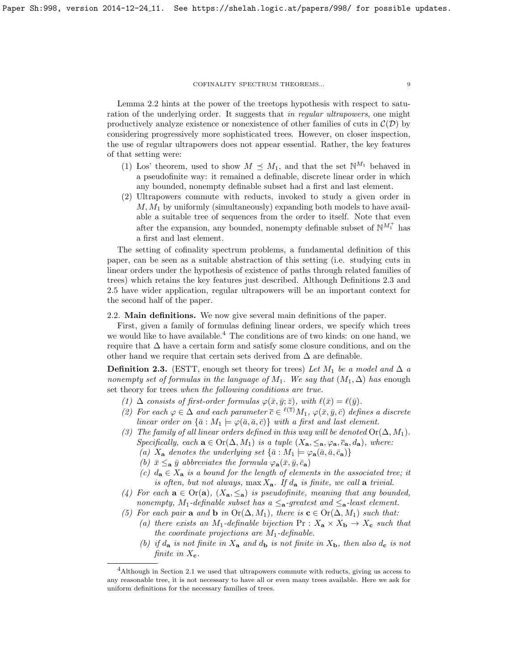Lemma [2.2](#page-6-3) hints at the power of the treetops hypothesis with respect to saturation of the underlying order. It suggests that in regular ultrapowers, one might productively analyze existence or nonexistence of other families of cuts in  $\mathcal{C}(\mathcal{D})$  by considering progressively more sophisticated trees. However, on closer inspection, the use of regular ultrapowers does not appear essential. Rather, the key features of that setting were:

- (1) Los' theorem, used to show  $M \preceq M_1$ , and that the set  $\mathbb{N}^{M_1}$  behaved in a pseudofinite way: it remained a definable, discrete linear order in which any bounded, nonempty definable subset had a first and last element.
- (2) Ultrapowers commute with reducts, invoked to study a given order in  $M, M<sub>1</sub>$  by uniformly (simultaneously) expanding both models to have available a suitable tree of sequences from the order to itself. Note that even after the expansion, any bounded, nonempty definable subset of  $\mathbb{N}^{M_1^+}$  has a first and last element.

The setting of cofinality spectrum problems, a fundamental definition of this paper, can be seen as a suitable abstraction of this setting (i.e. studying cuts in linear orders under the hypothesis of existence of paths through related families of trees) which retains the key features just described. Although Definitions [2.3](#page-8-1) and [2.5](#page-9-0) have wider application, regular ultrapowers will be an important context for the second half of the paper.

# <span id="page-8-0"></span>2.2. Main definitions. We now give several main definitions of the paper.

First, given a family of formulas defining linear orders, we specify which trees we would like to have available.<sup>[4](#page-8-2)</sup> The conditions are of two kinds: on one hand, we require that  $\Delta$  have a certain form and satisfy some closure conditions, and on the other hand we require that certain sets derived from  $\Delta$  are definable.

<span id="page-8-1"></span>**Definition 2.3.** (ESTT, enough set theory for trees) Let  $M_1$  be a model and  $\Delta a$ nonempty set of formulas in the language of  $M_1$ . We say that  $(M_1, \Delta)$  has enough set theory for trees when the following conditions are true.

- (1)  $\Delta$  consists of first-order formulas  $\varphi(\bar{x}, \bar{y}; \bar{z})$ , with  $\ell(\bar{x}) = \ell(\bar{y})$ .
- (2) For each  $\varphi \in \Delta$  and each parameter  $\overline{c} \in \ell^{(\overline{z})} M_1$ ,  $\varphi(\overline{x}, \overline{y}, \overline{c})$  defines a discrete linear order on  $\{\bar{a}: M_1 \models \varphi(\bar{a}, \bar{a}, \bar{c})\}$  with a first and last element.
- (3) The family of all linear orders defined in this way will be denoted  $Or(\Delta, M_1)$ . Specifically, each  $\mathbf{a} \in \mathrm{Or}(\Delta, M_1)$  is a tuple  $(X_{\mathbf{a}}, \leq_{\mathbf{a}}, \varphi_{\mathbf{a}}, \overline{c}_{\mathbf{a}}, d_{\mathbf{a}})$ , where:
	- (a)  $X_{\mathbf{a}}$  denotes the underlying set  $\{\bar{a}: M_1 \models \varphi_{\mathbf{a}}(\bar{a}, \bar{a}, \bar{c}_{\mathbf{a}})\}\$
	- (b)  $\bar{x} \leq_{\bf a} \bar{y}$  abbreviates the formula  $\varphi_{\bf a}(\bar{x}, \bar{y}, \bar{c}_{\bf a})$
	- (c)  $d_{\mathbf{a}} \in X_{\mathbf{a}}$  is a bound for the length of elements in the associated tree; it is often, but not always, max  $X_a$ . If  $d_a$  is finite, we call a trivial.
- (4) For each  $\mathbf{a} \in \text{Or}(\mathbf{a})$ ,  $(X_{\mathbf{a}}, \leq_{\mathbf{a}})$  is pseudofinite, meaning that any bounded, nonempty, M<sub>1</sub>-definable subset has a  $\leq_{\mathbf{a}}$ -greatest and  $\leq_{\mathbf{a}}$ -least element.
- (5) For each pair **a** and **b** in  $Or(\Delta, M_1)$ , there is  $\mathbf{c} \in Or(\Delta, M_1)$  such that:
	- (a) there exists an M<sub>1</sub>-definable bijection  $Pr: X_a \times X_b \rightarrow X_c$  such that the coordinate projections are  $M_1$ -definable.
	- (b) if  $d_{\bf a}$  is not finite in  $X_{\bf a}$  and  $d_{\bf b}$  is not finite in  $X_{\bf b}$ , then also  $d_{\bf c}$  is not finite in  $X_{\rm c}$ .

<span id="page-8-2"></span><sup>&</sup>lt;sup>4</sup>Although in Section [2.1](#page-6-1) we used that ultrapowers commute with reducts, giving us access to any reasonable tree, it is not necessary to have all or even many trees available. Here we ask for uniform definitions for the necessary families of trees.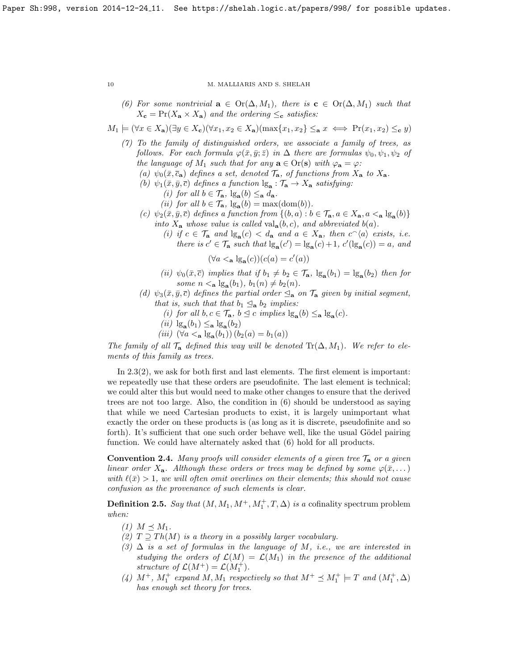(6) For some nontrivial  $\mathbf{a} \in \text{Or}(\Delta, M_1)$ , there is  $\mathbf{c} \in \text{Or}(\Delta, M_1)$  such that  $X_{\mathbf{c}} = \Pr(X_{\mathbf{a}} \times X_{\mathbf{a}})$  and the ordering  $\leq_{\mathbf{c}}$  satisfies:

$$
M_1 \models (\forall x \in X_{\mathbf{a}})(\exists y \in X_{\mathbf{c}})(\forall x_1, x_2 \in X_{\mathbf{a}})(\max\{x_1, x_2\} \leq_{\mathbf{a}} x \iff \Pr(x_1, x_2) \leq_{\mathbf{c}} y)
$$

- (7) To the family of distinguished orders, we associate a family of trees, as follows. For each formula  $\varphi(\bar{x}, \bar{y}; \bar{z})$  in  $\Delta$  there are formulas  $\psi_0, \psi_1, \psi_2$  of the language of  $M_1$  such that for any  $\mathbf{a} \in \text{Or}(\mathbf{s})$  with  $\varphi_{\mathbf{a}} = \varphi$ :
	- (a)  $\psi_0(\bar{x}, \bar{c}_a)$  defines a set, denoted  $\mathcal{T}_a$ , of functions from  $X_a$  to  $X_a$ .
	- (b)  $\psi_1(\bar{x}, \bar{y}, \bar{c})$  defines a function  $\lg_{\mathbf{a}} : \mathcal{T}_{\mathbf{a}} \to X_{\mathbf{a}}$  satisfying:
		- (*i*) for all  $b \in \mathcal{T}_{\mathbf{a}}$ ,  $\lg_{\mathbf{a}}(b) \leq_{\mathbf{a}} d_{\mathbf{a}}$ .
		- (*ii*) for all  $b \in \mathcal{T}_a$ ,  $\lg_a(b) = \max(\text{dom}(b)).$
	- (c)  $\psi_2(\bar{x}, \bar{y}, \bar{c})$  defines a function from  $\{(b, a) : b \in \mathcal{T}_a, a \in X_a, a \leq_a \lg_a(b)\}\$ into  $X_{\mathbf{a}}$  whose value is called val $_{\mathbf{a}}(b,c)$ , and abbreviated  $b(a)$ .
		- (i) if  $c \in \mathcal{T}_a$  and  $\lg_a(c) < d_a$  and  $a \in X_a$ , then  $c^{\frown}{\langle a \rangle}$  exists, i.e. there is  $c' \in \mathcal{T}_a$  such that  $\lg_a(c') = \lg_a(c) + 1$ ,  $c'(\lg_a(c)) = a$ , and

 $(\forall a <_{\mathbf{a}} \lg_{\mathbf{a}}(c))(c(a) = c'(a))$ 

- (ii)  $\psi_0(\bar{x}, \bar{c})$  implies that if  $b_1 \neq b_2 \in \mathcal{T}_{\mathbf{a}}, \, \lg_{\mathbf{a}}(b_1) = \lg_{\mathbf{a}}(b_2)$  then for some  $n <$ **a**  $\lg_{a}(b_1)$ ,  $b_1(n) \neq b_2(n)$ .
- (d)  $\psi_3(\bar{x}, \bar{y}, \bar{c})$  defines the partial order  $\leq_{\mathbf{a}}$  on  $\mathcal{T}_{\mathbf{a}}$  given by initial segment, that is, such that that  $b_1 \leq_a b_2$  implies:
	- (i) for all  $b, c \in \mathcal{T}_a$ ,  $b \leq c$  implies  $\lg_a(b) \leq_a \lg_a(c)$ .
	- (*ii*)  $\lg_{\mathbf{a}}(b_1) \leq_{\mathbf{a}} \lg_{\mathbf{a}}(b_2)$
	- (*iii*)  $(\forall a \le_{\mathbf{a}} \lg_{\mathbf{a}}(b_1)) (b_2(a) = b_1(a))$

The family of all  $\mathcal{T}_a$  defined this way will be denoted  $\text{Tr}(\Delta, M_1)$ . We refer to elements of this family as trees.

In [2](#page-8-1).3(2), we ask for both first and last elements. The first element is important: we repeatedly use that these orders are pseudofinite. The last element is technical; we could alter this but would need to make other changes to ensure that the derived trees are not too large. Also, the condition in (6) should be understood as saying that while we need Cartesian products to exist, it is largely unimportant what exactly the order on these products is (as long as it is discrete, pseudofinite and so forth). It's sufficient that one such order behave well, like the usual Gödel pairing function. We could have alternately asked that (6) hold for all products.

**Convention 2.4.** Many proofs will consider elements of a given tree  $\mathcal{T}_a$  or a given linear order  $X_{\mathbf{a}}$ . Although these orders or trees may be defined by some  $\varphi(\bar{x}, \dots)$ with  $\ell(\bar{x}) > 1$ , we will often omit overlines on their elements; this should not cause confusion as the provenance of such elements is clear.

<span id="page-9-0"></span>**Definition 2.5.** Say that  $(M, M_1, M^+, M_1^+, T, \Delta)$  is a cofinality spectrum problem when:

 $(1)$   $M \preceq M_1$ .

- (2)  $T \supseteq Th(M)$  is a theory in a possibly larger vocabulary.
- $(3)$   $\Delta$  is a set of formulas in the language of M, i.e., we are interested in studying the orders of  $\mathcal{L}(M) = \mathcal{L}(M_1)$  in the presence of the additional structure of  $\mathcal{L}(M^+) = \mathcal{L}(M_1^+).$
- (4)  $M^+$ ,  $M_1^+$  expand M,  $M_1$  respectively so that  $M^+ \preceq M_1^+ \models T$  and  $(M_1^+,\Delta)$ has enough set theory for trees.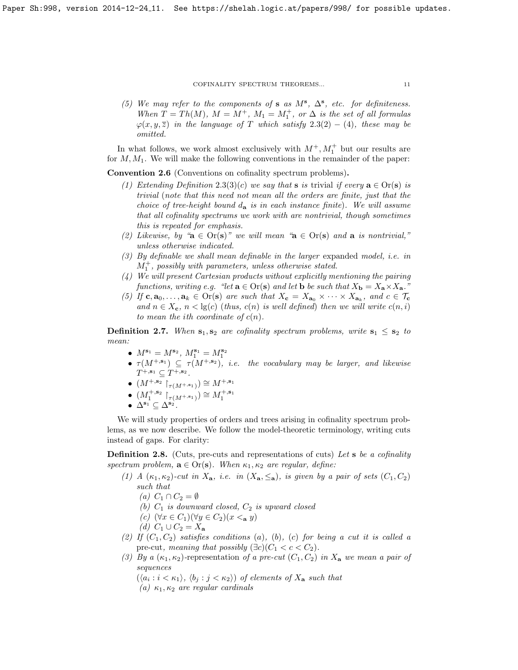(5) We may refer to the components of s as  $M^s$ ,  $\Delta^s$ , etc. for definiteness. When  $T = Th(M)$ ,  $M = M^{+}$ ,  $M_1 = M_1^{+}$ , or  $\Delta$  is the set of all formulas  $\varphi(x, y, \overline{z})$  in the language of T which satisfy 2.[3\(](#page-8-1)2) – (4), these may be omitted.

In what follows, we work almost exclusively with  $M^+, M_1^+$  but our results are for  $M, M_1$ . We will make the following conventions in the remainder of the paper:

Convention 2.6 (Conventions on cofinality spectrum problems).

- (1) Extending Definition 2.[3\(](#page-8-1)3)(c) we say that **s** is trivial if every  $\mathbf{a} \in \text{Or}(\mathbf{s})$  is trivial (note that this need not mean all the orders are finite, just that the choice of tree-height bound  $d_{\bf a}$  is in each instance finite). We will assume that all cofinality spectrums we work with are nontrivial, though sometimes this is repeated for emphasis.
- (2) Likewise, by " $\mathbf{a} \in \text{Or}(\mathbf{s})$ " we will mean " $\mathbf{a} \in \text{Or}(\mathbf{s})$  and  $\mathbf{a}$  is nontrivial," unless otherwise indicated.
- (3) By definable we shall mean definable in the larger expanded model, i.e. in  $M_1^+$ , possibly with parameters, unless otherwise stated.
- (4) We will present Cartesian products without explicitly mentioning the pairing functions, writing e.g. "let  $\mathbf{a} \in \text{Or}(\mathbf{s})$  and let  $\mathbf{b}$  be such that  $X_{\mathbf{b}} = X_{\mathbf{a}} \times X_{\mathbf{a}}$ ."
- (5) If  $c, a_0, \ldots, a_k \in Or(s)$  are such that  $X_c = X_{a_0} \times \cdots \times X_{a_k}$ , and  $c \in T_c$ and  $n \in X_c$ ,  $n < \lg(c)$  (thus,  $c(n)$  is well defined) then we will write  $c(n, i)$ to mean the ith coordinate of  $c(n)$ .

**Definition 2.7.** When  $s_1, s_2$  are cofinality spectrum problems, write  $s_1 \leq s_2$  to mean:

- $M^{s_1} = M^{s_2}, M_1^{s_1} = M_1^{s_2}$
- $\tau(M^{+,s_1}) \subseteq \tau(M^{+,s_2})$ , i.e. the vocabulary may be larger, and likewise  $T^{+, \mathbf{s}_1} \subseteq T^{+, \mathbf{s}_2}$ .
- $\bullet$   $(M^{+,\mathbf{s}_2}\restriction_{\tau(M^{+,\mathbf{s}_1})})\cong M^{+,\mathbf{s}_1}$
- $(M_1^{+,s_2} \upharpoonright_{\tau(M^{+,s_1})}) \cong M_1^{+,s_1}$
- $\bullet\;\, \Delta^{\mathbf{s}_1} \subseteq \Delta^{\mathbf{s}_2}.$

We will study properties of orders and trees arising in cofinality spectrum problems, as we now describe. We follow the model-theoretic terminology, writing cuts instead of gaps. For clarity:

**Definition 2.8.** (Cuts, pre-cuts and representations of cuts) Let s be a cofinality spectrum problem,  $\mathbf{a} \in \text{Or}(\mathbf{s})$ . When  $\kappa_1, \kappa_2$  are regular, define:

- (1) A  $(\kappa_1, \kappa_2)$ -cut in  $X_a$ , i.e. in  $(X_a, \leq_a)$ , is given by a pair of sets  $(C_1, C_2)$ such that
	- (a)  $C_1 \cap C_2 = \emptyset$
	- (b)  $C_1$  is downward closed,  $C_2$  is upward closed
	- (c)  $(\forall x \in C_1)(\forall y \in C_2)(x \leq_{\mathbf{a}} y)$
	- (d)  $C_1 \cup C_2 = X_a$
- (2) If  $(C_1, C_2)$  satisfies conditions (a), (b), (c) for being a cut it is called a pre-cut, meaning that possibly  $(\exists c)(C_1 < c < C_2)$ .
- (3) By a  $(\kappa_1, \kappa_2)$ -representation of a pre-cut  $(C_1, C_2)$  in  $X_a$  we mean a pair of sequences
	- $(\langle a_i : i < \kappa_1 \rangle, \langle b_j : j < \kappa_2 \rangle)$  of elements of  $X_a$  such that
	- (a)  $\kappa_1, \kappa_2$  are regular cardinals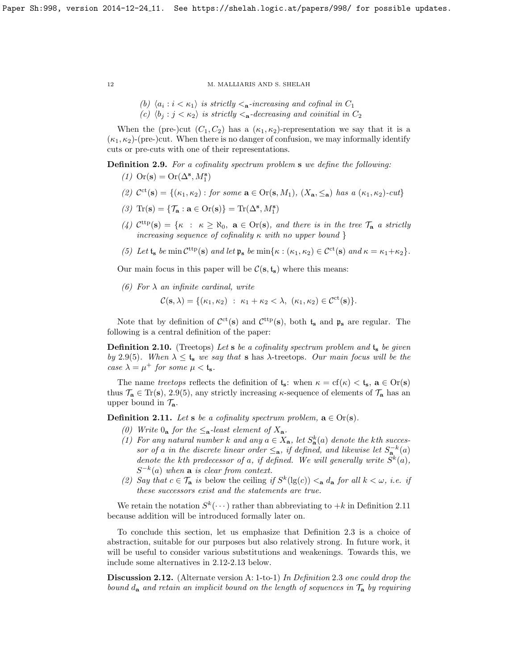(b)  $\langle a_i : i < \kappa_1 \rangle$  is strictly  $\langle a_i : i < \kappa_1 \rangle$  and cofinal in  $C_1$ (c)  $\langle b_j : j < \kappa_2 \rangle$  is strictly  $\langle a \cdot \text{decreasing and coinitial in } C_2 \rangle$ 

When the (pre-)cut  $(C_1, C_2)$  has a  $(\kappa_1, \kappa_2)$ -representation we say that it is a  $(\kappa_1, \kappa_2)$ -(pre-)cut. When there is no danger of confusion, we may informally identify cuts or pre-cuts with one of their representations.

<span id="page-11-0"></span>Definition 2.9. For a cofinality spectrum problem s we define the following:

- (1)  $\text{Or}(\mathbf{s}) = \text{Or}(\Delta^{\mathbf{s}}, M_1^{\mathbf{s}})$
- (2)  $\mathcal{C}^{ct}(s) = \{(\kappa_1, \kappa_2) : \text{for some } a \in \text{Or}(s, M_1), (X_a, \leq_a) \text{ has a } (\kappa_1, \kappa_2)\text{-}cut\}$
- (3)  $\text{Tr}(\mathbf{s}) = {\mathcal{T}_\mathbf{a} : \mathbf{a} \in \text{Or}(\mathbf{s})} = \text{Tr}(\Delta^\mathbf{s}, M^\mathbf{s}_1)$
- (4)  $\mathcal{C}^{\text{ttp}}(\mathbf{s}) = \{ \kappa : \kappa \ge \aleph_0, \ \mathbf{a} \in \text{Or}(\mathbf{s}), \text{ and there is in the tree } \mathcal{T}_{\mathbf{a}} \text{ a strictly }$ increasing sequence of cofinality  $\kappa$  with no upper bound }
- <span id="page-11-1"></span>(5) Let  $t_s$  be min  $\mathcal{C}^{\text{ttp}}(\mathbf{s})$  and let  $\mathfrak{p}_s$  be min $\{\kappa : (\kappa_1, \kappa_2) \in \mathcal{C}^{\text{ct}}(\mathbf{s})$  and  $\kappa = \kappa_1 + \kappa_2\}.$

Our main focus in this paper will be  $\mathcal{C}(\mathbf{s}, \mathbf{t}_{\mathbf{s}})$  where this means:

(6) For  $\lambda$  an infinite cardinal, write

$$
\mathcal{C}(\mathbf{s},\lambda) = \{(\kappa_1,\kappa_2) \; : \; \kappa_1 + \kappa_2 < \lambda, \; (\kappa_1,\kappa_2) \in \mathcal{C}^{\mathrm{ct}}(\mathbf{s})\}.
$$

Note that by definition of  $C<sup>ct</sup>(s)$  and  $C<sup>ttp</sup>(s)$ , both  $t_s$  and  $\mathfrak{p}_s$  are regular. The following is a central definition of the paper:

<span id="page-11-4"></span>**Definition 2.10.** (Treetops) Let s be a cofinality spectrum problem and  $t_s$  be given by 2.[9\(](#page-11-0)[5\)](#page-11-1). When  $\lambda \leq t_s$  we say that s has  $\lambda$ -treetops. Our main focus will be the case  $\lambda = \mu^+$  for some  $\mu < t_s$ .

The name treetops reflects the definition of  $t_s$ : when  $\kappa = cf(\kappa) < t_s$ ,  $a \in Or(s)$ thus  $\mathcal{T}_a \in \text{Tr}(s)$ , [2](#page-11-0).9(5), any strictly increasing  $\kappa$ -sequence of elements of  $\mathcal{T}_a$  has an upper bound in  $\mathcal{T}_{a}$ .

<span id="page-11-2"></span>**Definition 2.11.** Let s be a cofinality spectrum problem,  $\mathbf{a} \in \text{Or}(\mathbf{s})$ .

- (0) Write  $0_a$  for the  $\leq_a$ -least element of  $X_a$ .
- (1) For any natural number k and any  $a \in X_a$ , let  $S_a^k(a)$  denote the kth successor of a in the discrete linear order  $\leq_{a}$ , if defined, and likewise let  $S_{a}^{-k}(a)$ denote the kth predecessor of a, if defined. We will generally write  $S^k(a)$ ,  $S^{-k}(a)$  when **a** is clear from context.
- (2) Say that  $c \in \mathcal{T}_a$  is below the ceiling if  $S^k(\lg(c)) <_{a} d_a$  for all  $k < \omega$ , i.e. if these successors exist and the statements are true.

We retain the notation  $S^k(\cdots)$  rather than abbreviating to  $+k$  in Definition [2.11](#page-11-2) because addition will be introduced formally later on.

To conclude this section, let us emphasize that Definition [2.3](#page-8-1) is a choice of abstraction, suitable for our purposes but also relatively strong. In future work, it will be useful to consider various substitutions and weakenings. Towards this, we include some alternatives in [2.12](#page-11-3)[-2.13](#page-12-1) below.

<span id="page-11-3"></span>Discussion [2](#page-8-1).12. (Alternate version A: 1-to-1) In Definition 2.3 one could drop the bound  $d_{\bf a}$  and retain an implicit bound on the length of sequences in  $\mathcal{T}_{\bf a}$  by requiring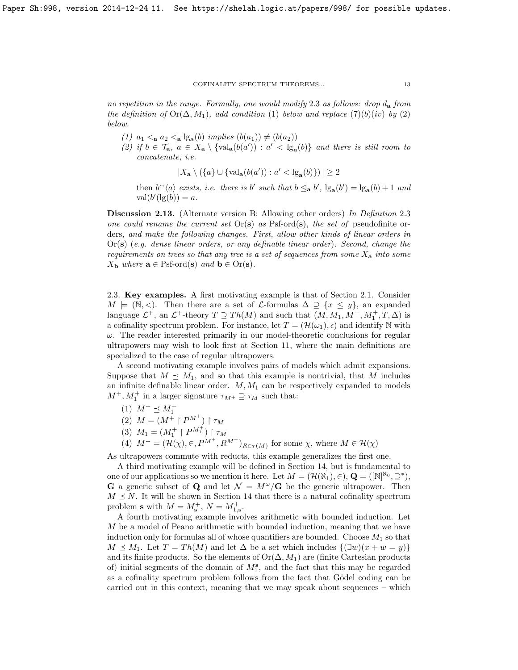no repetition in the range. Formally, one would modify [2](#page-8-1).3 as follows: drop  $d_{\bf a}$  from the definition of  $\text{Or}(\Delta, M_1)$ , add condition (1) below and replace  $(7)(b)(iv)$  by (2) below.

- (1)  $a_1 < a_2 < a \lg_a(b)$  implies  $(b(a_1)) \neq (b(a_2))$
- (2) if  $b \in \mathcal{T}_a$ ,  $a \in X_a \setminus {\{ \text{val}_a(b(a')) : a' < \text{lg}_a(b) \}}$  and there is still room to concatenate, i.e.

$$
|X_{\mathbf{a}} \setminus (\{a\} \cup \{\text{val}_{\mathbf{a}}(b(a')) : a' < \lg_{\mathbf{a}}(b)\})| \ge 2
$$

then  $b^{\frown}\langle a \rangle$  exists, i.e. there is b' such that  $b \leq_{\mathbf{a}} b'$ ,  $\lg_{\mathbf{a}}(b') = \lg_{\mathbf{a}}(b) + 1$  and  $\operatorname{val}(b'(\operatorname{lg}(b)) = a.$ 

<span id="page-12-1"></span>Discussion [2](#page-8-1).13. (Alternate version B: Allowing other orders) In Definition 2.3 one could rename the current set  $Or(s)$  as Psf-ord(s), the set of pseudofinite orders, and make the following changes. First, allow other kinds of linear orders in  $Or(s)$  (e.g. dense linear orders, or any definable linear order). Second, change the requirements on trees so that any tree is a set of sequences from some  $X_{a}$  into some  $X_{\mathbf{b}}$  where  $\mathbf{a} \in \text{Psf-ord}(\mathbf{s})$  and  $\mathbf{b} \in \text{Or}(\mathbf{s})$ .

<span id="page-12-0"></span>2.3. Key examples. A first motivating example is that of Section [2.1.](#page-6-1) Consider  $M \models (\mathbb{N}, \leq)$ . Then there are a set of *L*-formulas  $\Delta \supseteq \{x \leq y\}$ , an expanded language  $\mathcal{L}^+$ , an  $\mathcal{L}^+$ -theory  $T \supseteq Th(M)$  and such that  $(M, M_1, M^+, M_1^+, T, \Delta)$  is a cofinality spectrum problem. For instance, let  $T = (\mathcal{H}(\omega_1), \epsilon)$  and identify N with  $\omega$ . The reader interested primarily in our model-theoretic conclusions for regular ultrapowers may wish to look first at Section [11,](#page-41-0) where the main definitions are specialized to the case of regular ultrapowers.

A second motivating example involves pairs of models which admit expansions. Suppose that  $M \preceq M_1$ , and so that this example is nontrivial, that M includes an infinite definable linear order.  $M, M_1$  can be respectively expanded to models  $M^+, M_1^+$  in a larger signature  $\tau_{M^+} \supseteq \tau_M$  such that:

- (1)  $M^+ \preceq M_1^+$
- (2)  $M = (M^+ \upharpoonright P^{M^+}) \upharpoonright \tau_M$
- (3)  $M_1 = (M_1^+ \upharpoonright P^{M_1^+}) \upharpoonright \tau_M$
- (4)  $M^+ = (\mathcal{H}(\chi), \in, P^{M^+}, R^{M^+})_{R \in \tau(M)}$  for some  $\chi$ , where  $M \in \mathcal{H}(\chi)$

As ultrapowers commute with reducts, this example generalizes the first one.

A third motivating example will be defined in Section [14,](#page-53-0) but is fundamental to one of our applications so we mention it here. Let  $M = (\mathcal{H}(\aleph_1), \in), \mathbf{Q} = ([\mathbb{N}]^{\aleph_0}, \supseteq^*),$ **G** a generic subset of **Q** and let  $\mathcal{N} = M^{\omega}/\mathbf{G}$  be the generic ultrapower. Then  $M \preceq N$ . It will be shown in Section [14](#page-53-0) that there is a natural cofinality spectrum problem **s** with  $M = M_s^+$ ,  $N = M_{1,s}^+$ .

A fourth motivating example involves arithmetic with bounded induction. Let M be a model of Peano arithmetic with bounded induction, meaning that we have induction only for formulas all of whose quantifiers are bounded. Choose  $M_1$  so that  $M \preceq M_1$ . Let  $T = Th(M)$  and let  $\Delta$  be a set which includes  $\{(\exists w)(x + w = y)\}\$ and its finite products. So the elements of  $Or(\Delta, M_1)$  are (finite Cartesian products of) initial segments of the domain of  $M_1^s$ , and the fact that this may be regarded as a cofinality spectrum problem follows from the fact that Gödel coding can be carried out in this context, meaning that we may speak about sequences – which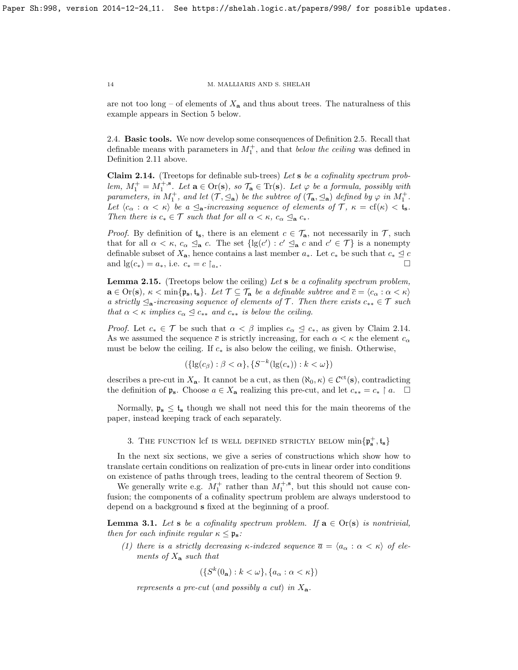are not too long – of elements of  $X_a$  and thus about trees. The naturalness of this example appears in Section [5](#page-18-0) below.

<span id="page-13-0"></span>2.4. Basic tools. We now develop some consequences of Definition [2](#page-9-0).5. Recall that definable means with parameters in  $M_1^+$ , and that *below the ceiling* was defined in Definition [2.11](#page-11-2) above.

<span id="page-13-4"></span>Claim 2.14. (Treetops for definable sub-trees) Let s be a cofinality spectrum problem,  $M_1^+ = M_1^{+,s}$ . Let  $\mathbf{a} \in \text{Or}(\mathbf{s})$ , so  $\mathcal{T}_\mathbf{a} \in \text{Tr}(\mathbf{s})$ . Let  $\varphi$  be a formula, possibly with parameters, in  $M_1^+$ , and let  $(\mathcal{T}, \leq_{\mathbf{a}})$  be the subtree of  $(\mathcal{T}_{\mathbf{a}}, \leq_{\mathbf{a}})$  defined by  $\varphi$  in  $M_1^+$ . Let  $\langle c_{\alpha} : \alpha < \kappa \rangle$  be a  $\leq_{\mathbf{a}}$ -increasing sequence of elements of  $\mathcal{T}, \kappa = \text{cf}(\kappa) < \mathfrak{t}_{\mathbf{s}}$ . Then there is  $c_* \in \mathcal{T}$  such that for all  $\alpha < \kappa$ ,  $c_{\alpha} \leq_{\mathbf{a}} c_*$ .

*Proof.* By definition of  $t_s$ , there is an element  $c \in \mathcal{T}_a$ , not necessarily in  $\mathcal{T}$ , such that for all  $\alpha < \kappa$ ,  $c_{\alpha} \leq_{\mathbf{a}} c$ . The set  $\{lg(c') : c' \leq_{\mathbf{a}} c$  and  $c' \in \mathcal{T}\}\$ is a nonempty definable subset of  $X_{\mathbf{a}}$ , hence contains a last member  $a_*$ . Let  $c_*$  be such that  $c_* \leq c$ and  $\lg(c_*) = a_*,$  i.e.  $c_* = c \, |_{a_*}.$ .

<span id="page-13-2"></span>**Lemma 2.15.** (Treetops below the ceiling) Let  $s$  be a cofinality spectrum problem,  $\mathbf{a} \in \text{Or}(\mathbf{s}), \ \kappa < \min\{\mathfrak{p}_{\mathbf{s}}, \mathfrak{t}_{\mathbf{s}}\}.$  Let  $\mathcal{T} \subseteq \mathcal{T}_{\mathbf{a}}$  be a definable subtree and  $\overline{c} = \langle c_{\alpha} : \alpha < \kappa \rangle$ a strictly  $\mathcal{L}_{a}$ -increasing sequence of elements of T. Then there exists  $c_{**} \in \mathcal{T}$  such that  $\alpha < \kappa$  implies  $c_{\alpha} \leq c_{**}$  and  $c_{**}$  is below the ceiling.

*Proof.* Let  $c_* \in \mathcal{T}$  be such that  $\alpha < \beta$  implies  $c_\alpha \leq c_*,$  as given by Claim [2.14.](#page-13-4) As we assumed the sequence  $\bar{c}$  is strictly increasing, for each  $\alpha < \kappa$  the element  $c_{\alpha}$ must be below the ceiling. If  $c_*$  is also below the ceiling, we finish. Otherwise,

$$
(\{ \lg(c_{\beta}) : \beta < \alpha \}, \{ S^{-k}(\lg(c_{*})) : k < \omega \})
$$

describes a pre-cut in  $X_a$ . It cannot be a cut, as then  $(\aleph_0, \kappa) \in C^{\rm ct}(s)$ , contradicting the definition of  $\mathfrak{p}_s$ . Choose  $a \in X_a$  realizing this pre-cut, and let  $c_{**} = c_* \upharpoonright a$ .  $\Box$ 

Normally,  $\mathfrak{p}_s \leq \mathfrak{t}_s$  though we shall not need this for the main theorems of the paper, instead keeping track of each separately.

# 3. THE FUNCTION  $\mathrm{left}$  is well defined strictly below  $\min\{\mathfrak{p}^+_{\mathbf{s}},\mathfrak{t}_{\mathbf{s}}\}$

<span id="page-13-1"></span>In the next six sections, we give a series of constructions which show how to translate certain conditions on realization of pre-cuts in linear order into conditions on existence of paths through trees, leading to the central theorem of Section [9.](#page-35-0)

We generally write e.g.  $M_1^+$  rather than  $M_1^{+,s}$ , but this should not cause confusion; the components of a cofinality spectrum problem are always understood to depend on a background s fixed at the beginning of a proof.

<span id="page-13-3"></span>**Lemma 3.1.** Let s be a cofinality spectrum problem. If  $\mathbf{a} \in \text{Or}(\mathbf{s})$  is nontrivial, then for each infinite regular  $\kappa \leq \mathfrak{p}_s$ :

(1) there is a strictly decreasing  $\kappa$ -indexed sequence  $\bar{a} = \langle a_{\alpha} : \alpha < \kappa \rangle$  of elements of  $X_a$  such that

 $({S^k}(0_{\mathbf{a}}): k < \omega$ ,  ${a_{\alpha} : \alpha < \kappa}$ 

represents a pre-cut (and possibly a cut) in  $X_a$ .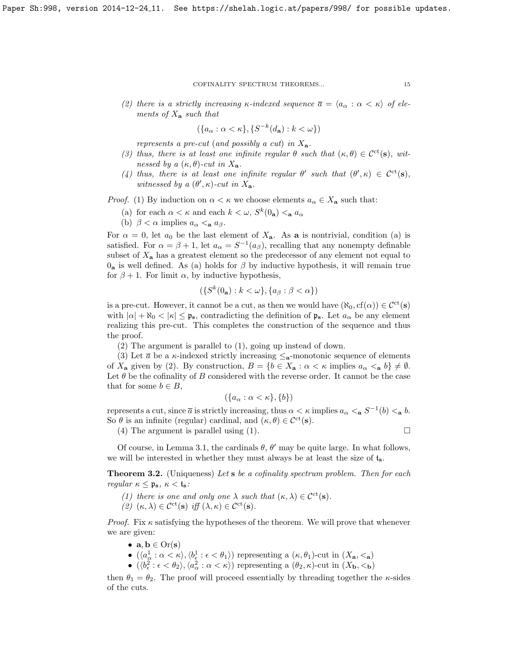(2) there is a strictly increasing  $\kappa$ -indexed sequence  $\bar{a} = \langle a_{\alpha} : \alpha < \kappa \rangle$  of elements of  $X_a$  such that

$$
(\{a_{\alpha} : \alpha < \kappa\}, \{S^{-k}(d_{\mathbf{a}}) : k < \omega\})
$$

represents a pre-cut (and possibly a cut) in  $X_{a}$ .

- (3) thus, there is at least one infinite regular  $\theta$  such that  $(\kappa, \theta) \in C^{ct}(s)$ , witnessed by a  $(\kappa, \theta)$ -cut in  $X_a$ .
- (4) thus, there is at least one infinite regular  $\theta'$  such that  $(\theta', \kappa) \in C^{ct}(s)$ , witnessed by a  $(\theta', \kappa)$ -cut in  $X_a$ .

*Proof.* (1) By induction on  $\alpha < \kappa$  we choose elements  $a_{\alpha} \in X_{\mathbf{a}}$  such that:

- (a) for each  $\alpha < \kappa$  and each  $k < \omega$ ,  $S^k(0_{\mathbf{a}}) <_{\mathbf{a}} a_{\alpha}$
- (b)  $\beta < \alpha$  implies  $a_{\alpha} < a_{\beta}$ .

For  $\alpha = 0$ , let  $a_0$  be the last element of  $X_a$ . As a is nontrivial, condition (a) is satisfied. For  $\alpha = \beta + 1$ , let  $a_{\alpha} = S^{-1}(a_{\beta})$ , recalling that any nonempty definable subset of  $X_a$  has a greatest element so the predecessor of any element not equal to  $0_a$  is well defined. As (a) holds for  $\beta$  by inductive hypothesis, it will remain true for  $\beta + 1$ . For limit  $\alpha$ , by inductive hypothesis,

$$
(\{S^k(0_{\mathbf{a}}): k < \omega\}, \{a_{\beta} : \beta < \alpha\})
$$

is a pre-cut. However, it cannot be a cut, as then we would have  $(\aleph_0, \operatorname{cf}(\alpha)) \in \mathcal{C}^{\mathrm{ct}}(\mathbf{s})$ with  $|\alpha| + \aleph_0 < |\kappa| \leq \mathfrak{p}_s$ , contradicting the definition of  $\mathfrak{p}_s$ . Let  $a_\alpha$  be any element realizing this pre-cut. This completes the construction of the sequence and thus the proof.

(2) The argument is parallel to (1), going up instead of down.

(3) Let  $\bar{a}$  be a  $\kappa$ -indexed strictly increasing  $\leq_{\mathbf{a}}$ -monotonic sequence of elements of  $X_{\mathbf{a}}$  given by (2). By construction,  $B = \{b \in X_{\mathbf{a}} : \alpha < \kappa \text{ implies } a_{\alpha} <_{\mathbf{a}} b\} \neq \emptyset$ . Let  $\theta$  be the cofinality of B considered with the reverse order. It cannot be the case that for some  $b \in B$ ,

$$
(\{a_{\alpha} : \alpha < \kappa\}, \{b\})
$$

represents a cut, since  $\bar{a}$  is strictly increasing, thus  $\alpha < \kappa$  implies  $a_{\alpha} <_{\mathbf{a}} S^{-1}(b) <_{\mathbf{a}} b$ . So  $\theta$  is an infinite (regular) cardinal, and  $(\kappa, \theta) \in C^{\rm ct}(s)$ .

(4) The argument is parallel using (1).

Of course, in Lemma [3.1,](#page-13-3) the cardinals  $\theta$ ,  $\theta'$  may be quite large. In what follows, we will be interested in whether they must always be at least the size of  $t_s$ .

<span id="page-14-0"></span>**Theorem 3.2.** (Uniqueness) Let s be a cofinality spectrum problem. Then for each regular  $\kappa \leq \mathfrak{p}_s$ ,  $\kappa < \mathfrak{t}_s$ :

(1) there is one and only one  $\lambda$  such that  $(\kappa, \lambda) \in C^{\rm ct}(s)$ . (2)  $(\kappa, \lambda) \in C^{\rm ct}(\mathbf{s})$  iff  $(\lambda, \kappa) \in C^{\rm ct}(\mathbf{s})$ .

*Proof.* Fix  $\kappa$  satisfying the hypotheses of the theorem. We will prove that whenever we are given:

- $a, b \in Or(s)$
- $\bullet$   $(\langle a^1_\alpha : \alpha < \kappa \rangle, \langle b^1_\epsilon : \epsilon < \theta_1 \rangle)$  representing a  $(\kappa, \theta_1)$ -cut in  $(X_{\mathbf{a}}, <_{\mathbf{a}})$
- $(\langle b_{\epsilon}^2: \epsilon < \theta_2 \rangle, \langle a_{\alpha}^2: \alpha < \kappa \rangle)$  representing a  $(\theta_2, \kappa)$ -cut in  $(X_{\mathbf{b}}, <_{\mathbf{b}})$

then  $\theta_1 = \theta_2$ . The proof will proceed essentially by threading together the  $\kappa$ -sides of the cuts.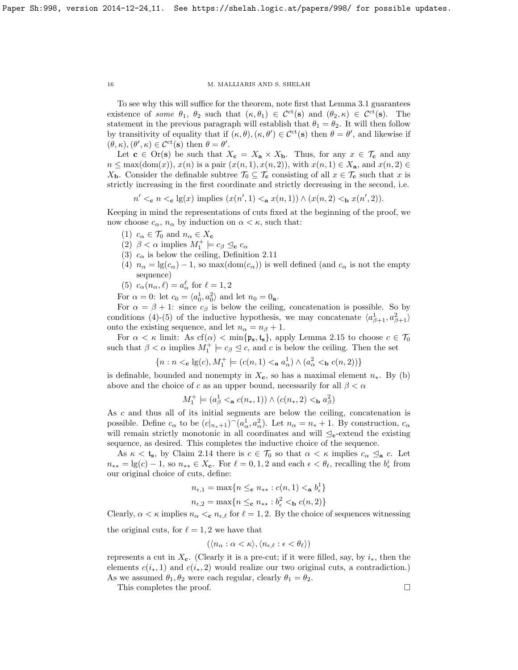To see why this will suffice for the theorem, note first that Lemma [3.1](#page-13-3) guarantees existence of some  $\theta_1$ ,  $\theta_2$  such that  $(\kappa, \theta_1) \in C^{\rm ct}(s)$  and  $(\theta_2, \kappa) \in C^{\rm ct}(s)$ . The statement in the previous paragraph will establish that  $\theta_1 = \theta_2$ . It will then follow by transitivity of equality that if  $(\kappa, \theta), (\kappa, \theta') \in C^{\rm ct}(\mathbf{s})$  then  $\theta = \theta'$ , and likewise if  $(\theta, \kappa), (\theta', \kappa) \in C^{\rm ct}(\mathbf{s})$  then  $\theta = \theta'$ .

Let  $\mathbf{c} \in \text{Or}(\mathbf{s})$  be such that  $X_{\mathbf{c}} = X_{\mathbf{a}} \times X_{\mathbf{b}}$ . Thus, for any  $x \in \mathcal{T}_{\mathbf{c}}$  and any  $n \leq \max(\text{dom}(x)), x(n)$  is a pair  $(x(n, 1), x(n, 2))$ , with  $x(n, 1) \in X_a$ , and  $x(n, 2) \in$  $X_{\mathbf{b}}$ . Consider the definable subtree  $\mathcal{T}_0 \subseteq \mathcal{T}_{\mathbf{c}}$  consisting of all  $x \in \mathcal{T}_{\mathbf{c}}$  such that x is strictly increasing in the first coordinate and strictly decreasing in the second, i.e.

 $n' <_{\mathbf{c}} n <_{\mathbf{c}} \lg(x)$  implies  $(x(n', 1) <_{\mathbf{a}} x(n, 1)) \wedge (x(n, 2) <_{\mathbf{b}} x(n', 2)).$ 

Keeping in mind the representations of cuts fixed at the beginning of the proof, we now choose  $c_{\alpha}$ ,  $n_{\alpha}$  by induction on  $\alpha < \kappa$ , such that:

- (1)  $c_{\alpha} \in \mathcal{T}_0$  and  $n_{\alpha} \in X_c$
- (2)  $\beta < \alpha$  implies  $M_1^+ \models c_{\beta} \trianglelefteq_c c_{\alpha}$
- (3)  $c_{\alpha}$  is below the ceiling, Definition [2.11](#page-11-2)
- (4)  $n_{\alpha} = \lg(c_{\alpha}) 1$ , so max(dom( $c_{\alpha}$ )) is well defined (and  $c_{\alpha}$  is not the empty sequence)
- (5)  $c_{\alpha}(n_{\alpha}, \ell) = a_{\alpha}^{\ell}$  for  $\ell = 1, 2$

For  $\alpha = 0$ : let  $c_0 = \langle a_0^1, a_0^2 \rangle$  and let  $n_0 = 0$ <sub>a</sub>.

For  $\alpha = \beta + 1$ : since  $c_{\beta}$  is below the ceiling, concatenation is possible. So by conditions (4)-(5) of the inductive hypothesis, we may concatenate  $\langle a_{\beta+1}^1, a_{\beta+1}^2 \rangle$ onto the existing sequence, and let  $n_{\alpha} = n_{\beta} + 1$ .

For  $\alpha < \kappa$  limit: As cf( $\alpha$ )  $<$  min{ $\mathfrak{p}_s$ ,  $\mathfrak{t}_s$ }, apply Lemma [2.15](#page-13-2) to choose  $c \in \mathcal{T}_0$ such that  $\beta < \alpha$  implies  $M_1^+ \models c_{\beta} \trianglelefteq c$ , and c is below the ceiling. Then the set

$$
\{n: n <_{\mathbf{c}} \lg(c), M_1^+ \models (c(n,1) <_{\mathbf{a}} a^1_\alpha) \land (a^2_\alpha <_{\mathbf{b}} c(n,2))\}
$$

is definable, bounded and nonempty in  $X_c$ , so has a maximal element  $n_*$ . By (b) above and the choice of c as an upper bound, necessarily for all  $\beta < \alpha$ 

$$
M_1^+ \models (a_{\beta}^1 <_{\mathbf{a}} c(n_*, 1)) \land (c(n_*, 2) <_{\mathbf{b}} a_{\beta}^2)
$$

As c and thus all of its initial segments are below the ceiling, concatenation is possible. Define  $c_{\alpha}$  to be  $(c|_{n_*+1})^{\sim}(a_{\alpha}^1, a_{\alpha}^2)$ . Let  $n_{\alpha} = n_* + 1$ . By construction,  $c_{\alpha}$ will remain strictly monotonic in all coordinates and will  $\leq_c$ -extend the existing sequence, as desired. This completes the inductive choice of the sequence.

As  $\kappa < t_s$ , by Claim [2.14](#page-13-4) there is  $c \in \mathcal{T}_0$  so that  $\alpha < \kappa$  implies  $c_\alpha \leq_\mathbf{a} c$ . Let  $n_{**} = \lg(c) - 1$ , so  $n_{**} \in X_c$ . For  $\ell = 0, 1, 2$  and each  $\epsilon < \theta_{\ell}$ , recalling the  $b_{\epsilon}^{i}$  from our original choice of cuts, define:

$$
n_{\epsilon,1} = \max\{n \leq_{\mathbf{c}} n_{**} : c(n,1) <_{\mathbf{a}} b_{\epsilon}^1\}
$$

$$
n_{\epsilon,2} = \max\{n \leq_{\mathbf{c}} n_{**} : b_{\epsilon}^2 <_{\mathbf{b}} c(n,2)\}
$$

Clearly,  $\alpha < \kappa$  implies  $n_{\alpha} < c$ ,  $n_{\epsilon,\ell}$  for  $\ell = 1, 2$ . By the choice of sequences witnessing

the original cuts, for  $\ell = 1, 2$  we have that

$$
(\langle n_{\alpha} : \alpha < \kappa \rangle, \langle n_{\epsilon,\ell} : \epsilon < \theta_{\ell} \rangle)
$$

represents a cut in  $X_c$ . (Clearly it is a pre-cut; if it were filled, say, by  $i_*$ , then the elements  $c(i_*, 1)$  and  $c(i_*, 2)$  would realize our two original cuts, a contradiction.) As we assumed  $\theta_1, \theta_2$  were each regular, clearly  $\theta_1 = \theta_2$ .

This completes the proof.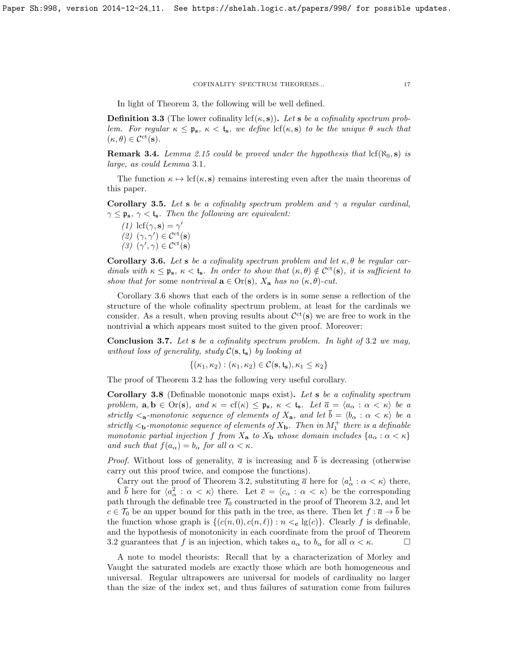In light of Theorem [3,](#page-13-1) the following will be well defined.

<span id="page-16-4"></span>**Definition 3.3** (The lower cofinality lcf $(\kappa, s)$ ). Let s be a cofinality spectrum problem. For regular  $\kappa \leq \mathfrak{p}_s$ ,  $\kappa \leq t_s$ , we define  $\text{lcf}(\kappa, s)$  to be the unique  $\theta$  such that  $(\kappa, \theta) \in C^{\rm ct}(\mathbf{s}).$ 

**Remark 3.4.** Lemma [2.15](#page-13-2) could be proved under the hypothesis that  $\text{lcf}(\aleph_0, \mathbf{s})$  is large, as could Lemma [3](#page-13-3).1.

The function  $\kappa \mapsto \text{lcf}(\kappa, s)$  remains interesting even after the main theorems of this paper.

<span id="page-16-0"></span>Corollary 3.5. Let s be a cofinality spectrum problem and  $\gamma$  a regular cardinal,  $\gamma \leq \mathfrak{p}_s$ ,  $\gamma < \mathfrak{t}_s$ . Then the following are equivalent:

(1) lcf( $\gamma$ , s) =  $\gamma'$ (2)  $(\gamma, \gamma') \in C^{\rm ct}(\mathbf{s})$ (3)  $(\gamma', \gamma) \in C^{\rm ct}(\mathbf{s})$ 

<span id="page-16-1"></span>Corollary 3.6. Let s be a cofinality spectrum problem and let  $\kappa, \theta$  be regular cardinals with  $\kappa \leq \mathfrak{p}_s$ ,  $\kappa < t_s$ . In order to show that  $(\kappa, \theta) \notin C^{ct}(s)$ , it is sufficient to show that for some nontrivial  $\mathbf{a} \in \text{Or}(\mathbf{s})$ ,  $X_{\mathbf{a}}$  has no  $(\kappa, \theta)$ -cut.

Corollary [3.6](#page-16-1) shows that each of the orders is in some sense a reflection of the structure of the whole cofinality spectrum problem, at least for the cardinals we consider. As a result, when proving results about  $\mathcal{C}^{ct}(s)$  we are free to work in the nontrivial a which appears most suited to the given proof. Moreover:

<span id="page-16-2"></span>**Conclusion [3](#page-14-0).7.** Let s be a cofinality spectrum problem. In light of 3.2 we may, without loss of generality, study  $C(s, t_s)$  by looking at

$$
\{(\kappa_1,\kappa_2):(\kappa_1,\kappa_2)\in\mathcal{C}(\mathbf{s},\mathfrak{t}_\mathbf{s}),\kappa_1\leq\kappa_2\}
$$

The proof of Theorem [3.2](#page-14-0) has the following very useful corollary.

<span id="page-16-3"></span>Corollary 3.8 (Definable monotonic maps exist). Let s be a cofinality spectrum problem,  $\mathbf{a}, \mathbf{b} \in \text{Or}(\mathbf{s})$ , and  $\kappa = \text{cf}(\kappa) \leq \mathfrak{p}_{\mathbf{s}}, \ \kappa < \mathfrak{t}_{\mathbf{s}}$ . Let  $\overline{a} = \langle a_{\alpha} : \alpha < \kappa \rangle$  be a strictly  $\langle a$ -monotonic sequence of elements of  $X_a$ , and let  $\overline{b} = \langle b_\alpha : \alpha < \kappa \rangle$  be a strictly  $\lt_b$ -monotonic sequence of elements of  $X_b$ . Then in  $M_1^+$  there is a definable monotonic partial injection f from  $X_a$  to  $X_b$  whose domain includes  $\{a_\alpha : \alpha < \kappa\}$ and such that  $f(a_{\alpha}) = b_{\alpha}$  for all  $\alpha < \kappa$ .

*Proof.* Without loss of generality,  $\bar{a}$  is increasing and  $\bar{b}$  is decreasing (otherwise carry out this proof twice, and compose the functions).

Carry out the proof of Theorem [3.2,](#page-14-0) substituting  $\bar{a}$  here for  $\langle a_{\alpha}^1 : \alpha < \kappa \rangle$  there, and  $\bar{b}$  here for  $\langle a_{\alpha}^2 : \alpha < \kappa \rangle$  there. Let  $\bar{c} = \langle c_{\alpha} : \alpha < \kappa \rangle$  be the corresponding path through the definable tree  $\mathcal{T}_0$  constructed in the proof of Theorem [3.2,](#page-14-0) and let  $c \in \mathcal{T}_0$  be an upper bound for this path in the tree, as there. Then let  $f : \overline{a} \to \overline{b}$  be the function whose graph is  $\{(c(n, 0), c(n, \ell)) : n <_{c} \lg(c)\}\.$  Clearly f is definable, and the hypothesis of monotonicity in each coordinate from the proof of Theorem [3.2](#page-14-0) guarantees that f is an injection, which takes  $a_{\alpha}$  to  $b_{\alpha}$  for all  $\alpha < \kappa$ .

A note to model theorists: Recall that by a characterization of Morley and Vaught the saturated models are exactly those which are both homogeneous and universal. Regular ultrapowers are universal for models of cardinality no larger than the size of the index set, and thus failures of saturation come from failures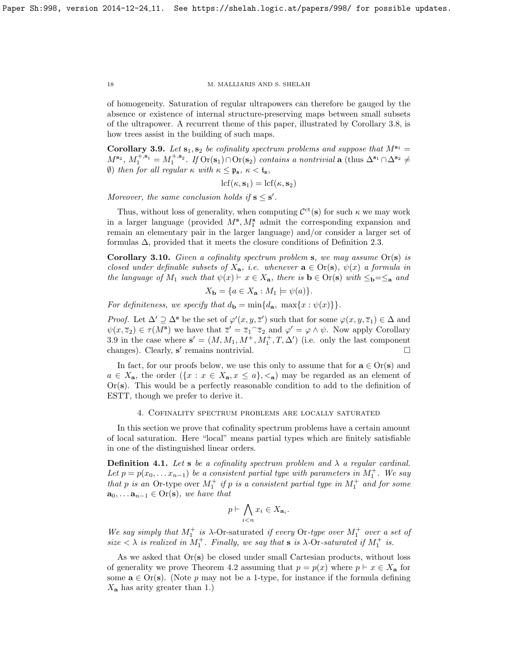of homogeneity. Saturation of regular ultrapowers can therefore be gauged by the absence or existence of internal structure-preserving maps between small subsets of the ultrapower. A recurrent theme of this paper, illustrated by Corollary [3.8,](#page-16-3) is how trees assist in the building of such maps.

<span id="page-17-1"></span>Corollary 3.9. Let  $s_1, s_2$  be cofinality spectrum problems and suppose that  $M^{s_1} =$  $M^{\mathbf{s}_2}$ ,  $M_1^{+,\mathbf{s}_1} = M_1^{+,\mathbf{s}_2}$ . If  $\text{Or}(\mathbf{s}_1) \cap \text{Or}(\mathbf{s}_2)$  contains a nontrivial  $\mathbf{a}$  (thus  $\Delta^{\mathbf{s}_1} \cap \Delta^{\mathbf{s}_2} \neq$ (b) then for all regular  $\kappa$  with  $\kappa \leq \mathfrak{p}_s$ ,  $\kappa < \mathfrak{t}_s$ ,

$$
\mathrm{lcf}(\kappa,\mathbf{s}_1)=\mathrm{lcf}(\kappa,\mathbf{s}_2)
$$

Moreover, the same conclusion holds if  $s \leq s'$ .

Thus, without loss of generality, when computing  $\mathcal{C}^{ct}(s)$  for such  $\kappa$  we may work in a larger language (provided  $M^s$ ,  $M_1^s$  admit the corresponding expansion and remain an elementary pair in the larger language) and/or consider a larger set of formulas  $\Delta$ , provided that it meets the closure conditions of Definition [2.3.](#page-8-1)

<span id="page-17-2"></span>**Corollary 3.10.** Given a cofinality spectrum problem s, we may assume  $Or(s)$  is closed under definable subsets of  $X_{a}$ , i.e. whenever  $a \in Or(s)$ ,  $\psi(x)$  a formula in the language of  $M_1$  such that  $\psi(x) \vdash x \in X_a$ , there is  $\mathbf{b} \in \text{Or}(\mathbf{s})$  with  $\leq_{\mathbf{b}} = \leq_{\mathbf{a}}$  and

$$
X_{\mathbf{b}} = \{ a \in X_{\mathbf{a}} : M_1 \models \psi(a) \}.
$$

For definiteness, we specify that  $d_{\bf b} = \min\{d_{\bf a}, \max\{x : \psi(x)\}\}.$ 

*Proof.* Let  $\Delta' \supseteq \Delta^s$  be the set of  $\varphi'(x, y, \overline{z}')$  such that for some  $\varphi(x, y, \overline{z}_1) \in \Delta$  and  $\psi(x,\overline{z}_2) \in \tau(M^s)$  we have that  $\overline{z}' = \overline{z}_1 \widehat{z}_2$  and  $\varphi' = \varphi \wedge \psi$ . Now apply Corollary [3.9](#page-17-1) in the case where  $\mathbf{s}' = (M, M_1, M^+, M_1^+, T, \Delta')$  (i.e. only the last component changes). Clearly,  $s'$  remains nontrivial.

In fact, for our proofs below, we use this only to assume that for  $\mathbf{a} \in \text{Or}(\mathbf{s})$  and  $a \in X_{\mathbf{a}}$ , the order  $({x : x \in X_{\mathbf{a}}, x \leq a}, \langle \mathbf{a}, \rangle)$  may be regarded as an element of  $Or(s)$ . This would be a perfectly reasonable condition to add to the definition of ESTT, though we prefer to derive it.

# 4. Cofinality spectrum problems are locally saturated

<span id="page-17-0"></span>In this section we prove that cofinality spectrum problems have a certain amount of local saturation. Here "local" means partial types which are finitely satisfiable in one of the distinguished linear orders.

<span id="page-17-3"></span>**Definition 4.1.** Let s be a cofinality spectrum problem and  $\lambda$  a regular cardinal. Let  $p = p(x_0, \ldots x_{n-1})$  be a consistent partial type with parameters in  $M_1^+$ . We say that p is an Or-type over  $M_1^+$  if p is a consistent partial type in  $M_1^+$  and for some  $\mathbf{a}_0, \ldots \mathbf{a}_{n-1} \in \text{Or}(\mathbf{s}),$  we have that

$$
p \vdash \bigwedge_{i < n} x_i \in X_{\mathbf{a}_i}.
$$

We say simply that  $M_1^+$  is  $\lambda$ -Or-saturated if every Or-type over  $M_1^+$  over a set of size  $\langle \lambda \rangle$  is realized in  $M_1^+$ . Finally, we say that **s** is  $\lambda$ -Or-saturated if  $M_1^+$  is.

As we asked that  $Or(s)$  be closed under small Cartesian products, without loss of generality we prove Theorem [4.2](#page-18-1) assuming that  $p = p(x)$  where  $p \vdash x \in X_{\mathbf{a}}$  for some  $\mathbf{a} \in \text{Or}(\mathbf{s})$ . (Note p may not be a 1-type, for instance if the formula defining  $X_{\mathbf{a}}$  has arity greater than 1.)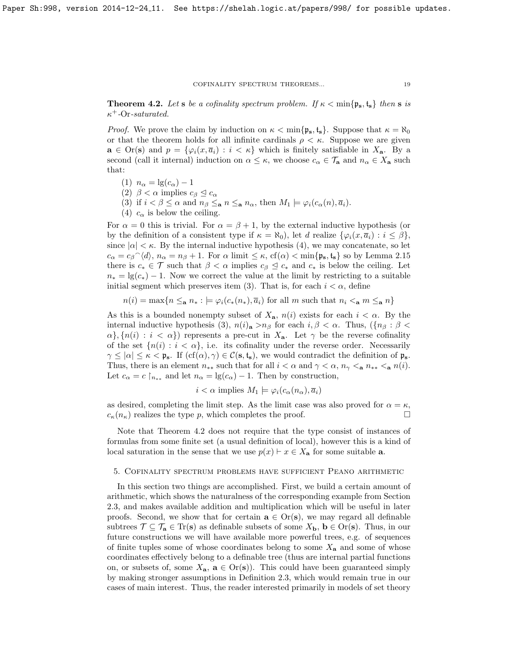<span id="page-18-1"></span>**Theorem 4.2.** Let s be a cofinality spectrum problem. If  $\kappa < \min\{\mathfrak{p}_s, \mathfrak{t}_s\}$  then s is  $\kappa^+$ -Or-saturated.

*Proof.* We prove the claim by induction on  $\kappa < \min\{\mathfrak{p}_s, \mathfrak{t}_s\}$ . Suppose that  $\kappa = \aleph_0$ or that the theorem holds for all infinite cardinals  $\rho < \kappa$ . Suppose we are given  $\mathbf{a} \in \text{Or}(\mathbf{s})$  and  $p = \{\varphi_i(x, \overline{a}_i) : i < \kappa\}$  which is finitely satisfiable in  $X_{\mathbf{a}}$ . By a second (call it internal) induction on  $\alpha \leq \kappa$ , we choose  $c_{\alpha} \in \mathcal{T}_{\mathbf{a}}$  and  $n_{\alpha} \in X_{\mathbf{a}}$  such that:

- (1)  $n_{\alpha} = \lg(c_{\alpha}) 1$
- (2)  $\beta < \alpha$  implies  $c_{\beta} \leq c_{\alpha}$
- (3) if  $i < \beta \leq \alpha$  and  $n_{\beta} \leq_{\mathbf{a}} n \leq_{\mathbf{a}} n_{\alpha}$ , then  $M_1 \models \varphi_i(c_{\alpha}(n), \overline{a}_i)$ .
- (4)  $c_{\alpha}$  is below the ceiling.

For  $\alpha = 0$  this is trivial. For  $\alpha = \beta + 1$ , by the external inductive hypothesis (or by the definition of a consistent type if  $\kappa = \aleph_0$ , let d realize  $\{\varphi_i(x, \overline{a}_i) : i \leq \beta\}$ , since  $|\alpha| < \kappa$ . By the internal inductive hypothesis (4), we may concatenate, so let  $c_{\alpha} = c_{\beta} \hat{ } \langle d \rangle$ ,  $n_{\alpha} = n_{\beta} + 1$ . For  $\alpha$  limit  $\leq \kappa$ , cf( $\alpha$ )  $<$  min{ $\mathfrak{p}_{s}$ ,  $\mathfrak{t}_{s}$ } so by Lemma [2.15](#page-13-2) there is  $c_* \in \mathcal{T}$  such that  $\beta < \alpha$  implies  $c_{\beta} \leq c_*$  and  $c_*$  is below the ceiling. Let  $n_* = \lg(c_*) - 1$ . Now we correct the value at the limit by restricting to a suitable initial segment which preserves item (3). That is, for each  $i < \alpha$ , define

 $n(i) = \max\{n \leq_{\mathbf{a}} n_* : \models \varphi_i(c_*(n_*), \overline{a}_i) \text{ for all } m \text{ such that } n_i \leq_{\mathbf{a}} m \leq_{\mathbf{a}} n\}$ 

As this is a bounded nonempty subset of  $X_{a}$ ,  $n(i)$  exists for each  $i < \alpha$ . By the internal inductive hypothesis (3),  $n(i)_{\mathbf{a}} > n_{\beta}$  for each  $i, \beta < \alpha$ . Thus,  $({n_{\beta} : \beta <$  $\{\alpha\}, \{n(i) : i < \alpha\}$  represents a pre-cut in  $X_a$ . Let  $\gamma$  be the reverse cofinality of the set  $\{n(i): i < \alpha\}$ , i.e. its cofinality under the reverse order. Necessarily  $\gamma \leq |\alpha| \leq \kappa < \mathfrak{p}_{s}$ . If  $(cf(\alpha), \gamma) \in \mathcal{C}(\mathbf{s}, \mathbf{t}_{s})$ , we would contradict the definition of  $\mathfrak{p}_{s}$ . Thus, there is an element  $n_{**}$  such that for all  $i < \alpha$  and  $\gamma < \alpha$ ,  $n_{\gamma} < a$ ,  $n_{**} < a$ ,  $n(i)$ . Let  $c_{\alpha} = c \upharpoonright_{n_{**}}$  and let  $n_{\alpha} = \lg(c_{\alpha}) - 1$ . Then by construction,

$$
i < \alpha
$$
 implies  $M_1 \models \varphi_i(c_\alpha(n_\alpha), \overline{a}_i)$ 

as desired, completing the limit step. As the limit case was also proved for  $\alpha = \kappa$ ,  $c_{\kappa}(n_{\kappa})$  realizes the type p, which completes the proof.

Note that Theorem [4](#page-18-1).2 does not require that the type consist of instances of formulas from some finite set (a usual definition of local), however this is a kind of local saturation in the sense that we use  $p(x) \vdash x \in X_a$  for some suitable **a**.

## <span id="page-18-0"></span>5. Cofinality spectrum problems have sufficient Peano arithmetic

In this section two things are accomplished. First, we build a certain amount of arithmetic, which shows the naturalness of the corresponding example from Section [2.3,](#page-12-0) and makes available addition and multiplication which will be useful in later proofs. Second, we show that for certain  $\mathbf{a} \in \text{Or}(\mathbf{s})$ , we may regard all definable subtrees  $\mathcal{T} \subseteq \mathcal{T}_a \in \text{Tr}(s)$  as definable subsets of some  $X_b$ ,  $b \in \text{Or}(s)$ . Thus, in our future constructions we will have available more powerful trees, e.g. of sequences of finite tuples some of whose coordinates belong to some  $X_a$  and some of whose coordinates effectively belong to a definable tree (thus are internal partial functions on, or subsets of, some  $X_{\mathbf{a}}$ ,  $\mathbf{a} \in \text{Or}(\mathbf{s})$ . This could have been guaranteed simply by making stronger assumptions in Definition [2.3,](#page-8-1) which would remain true in our cases of main interest. Thus, the reader interested primarily in models of set theory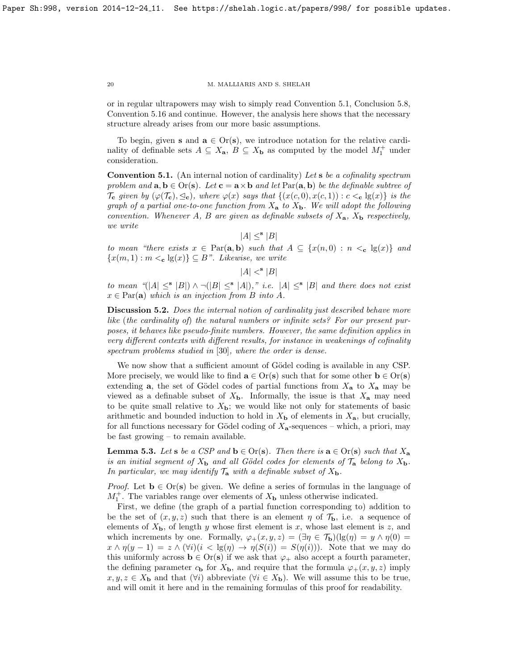or in regular ultrapowers may wish to simply read Convention [5.1,](#page-19-0) Conclusion [5.8,](#page-21-0) Convention [5.16](#page-23-1) and continue. However, the analysis here shows that the necessary structure already arises from our more basic assumptions.

To begin, given s and  $a \in Or(s)$ , we introduce notation for the relative cardinality of definable sets  $A \subseteq X_{\mathbf{a}}, B \subseteq X_{\mathbf{b}}$  as computed by the model  $M_1^+$  under consideration.

<span id="page-19-0"></span>**Convention 5.1.** (An internal notion of cardinality) Let  $s$  be a cofinality spectrum problem and  $a, b \in Or(s)$ . Let  $c = a \times b$  and let  $Par(a, b)$  be the definable subtree of  $\mathcal{T}_{\mathbf{c}}$  given by  $(\varphi(\mathcal{T}_{\mathbf{c}}), \leq_{\mathbf{c}})$ , where  $\varphi(x)$  says that  $\{(x(c, 0), x(c, 1)) : c <_{\mathbf{c}} \lg(x)\}\$ is the graph of a partial one-to-one function from  $X_a$  to  $X_b$ . We will adopt the following convention. Whenever A, B are given as definable subsets of  $X_{a}$ ,  $X_{b}$  respectively, we write

 $|A| \leq^{\mathbf{s}} |B|$ 

to mean "there exists  $x \in \text{Par}(\mathbf{a}, \mathbf{b})$  such that  $A \subseteq \{x(n, 0) : n <_{\mathbf{c}} \lg(x)\}\$  and  ${x(m, 1) : m <_{\mathbf{c}} \lg(x)} \subseteq B$ ". Likewise, we write

 $|A| <^{\mathbf{s}} |B|$ 

to mean "(|A|  $\leq$ <sup>s</sup> |B|)  $\wedge \neg (|B| \leq$ <sup>s</sup> |A|)," *i.e.* |A|  $\leq$ <sup>s</sup> |B| and there does not exist  $x \in \text{Par}(\mathbf{a})$  which is an injection from B into A.

Discussion 5.2. Does the internal notion of cardinality just described behave more like (the cardinality of) the natural numbers or infinite sets? For our present purposes, it behaves like pseudo-finite numbers. However, the same definition applies in very different contexts with different results, for instance in weakenings of cofinality spectrum problems studied in [\[30\]](#page-59-11), where the order is dense.

We now show that a sufficient amount of Gödel coding is available in any CSP. More precisely, we would like to find  $\mathbf{a} \in \text{Or}(\mathbf{s})$  such that for some other  $\mathbf{b} \in \text{Or}(\mathbf{s})$ extending **a**, the set of Gödel codes of partial functions from  $X_a$  to  $X_a$  may be viewed as a definable subset of  $X<sub>b</sub>$ . Informally, the issue is that  $X<sub>a</sub>$  may need to be quite small relative to  $X_{\mathbf{b}}$ ; we would like not only for statements of basic arithmetic and bounded induction to hold in  $X<sub>b</sub>$  of elements in  $X<sub>a</sub>$ , but crucially, for all functions necessary for Gödel coding of  $X_{a}$ -sequences – which, a priori, may be fast growing – to remain available.

<span id="page-19-1"></span>**Lemma 5.3.** Let s be a CSP and  $\mathbf{b} \in \text{Or}(\mathbf{s})$ . Then there is  $\mathbf{a} \in \text{Or}(\mathbf{s})$  such that  $X_{\mathbf{a}}$ is an initial segment of  $X_{\bf b}$  and all Gödel codes for elements of  $\mathcal{T}_{\bf a}$  belong to  $X_{\bf b}$ . In particular, we may identify  $\mathcal{T}_a$  with a definable subset of  $X_b$ .

*Proof.* Let  $\mathbf{b} \in \text{Or}(\mathbf{s})$  be given. We define a series of formulas in the language of  $M_1^+$ . The variables range over elements of  $X_{\bf b}$  unless otherwise indicated.

First, we define (the graph of a partial function corresponding to) addition to be the set of  $(x, y, z)$  such that there is an element  $\eta$  of  $\mathcal{T}_{\mathbf{b}}$ , i.e. a sequence of elements of  $X_{\mathbf{b}}$ , of length y whose first element is x, whose last element is z, and which increments by one. Formally,  $\varphi_+(x,y,z) = (\exists \eta \in \mathcal{T}_b)(\lg(\eta) = y \wedge \eta(0))$  $x \wedge \eta(y-1) = z \wedge (\forall i)(i < \lg(\eta) \rightarrow \eta(S(i)) = S(\eta(i)))$ . Note that we may do this uniformly across  $\mathbf{b} \in \text{Or}(\mathbf{s})$  if we ask that  $\varphi_+$  also accept a fourth parameter, the defining parameter  $c_{\mathbf{b}}$  for  $X_{\mathbf{b}}$ , and require that the formula  $\varphi_+(x, y, z)$  imply  $x, y, z \in X_{\mathbf{b}}$  and that  $(\forall i)$  abbreviate  $(\forall i \in X_{\mathbf{b}})$ . We will assume this to be true, and will omit it here and in the remaining formulas of this proof for readability.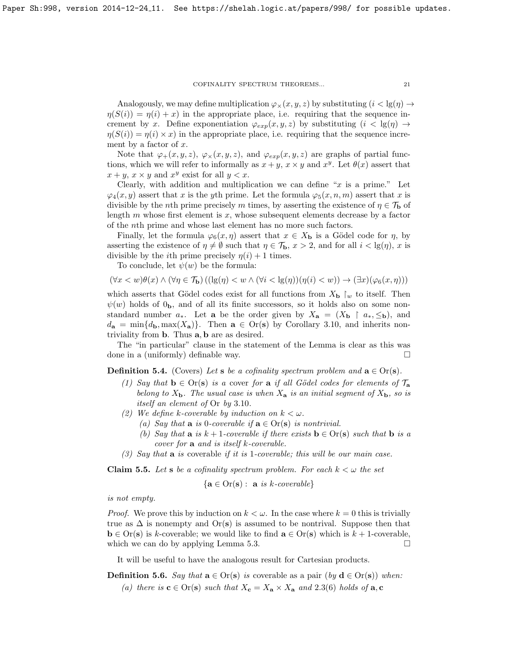Analogously, we may define multiplication  $\varphi_{\times}(x, y, z)$  by substituting  $(i < \lg(\eta) \rightarrow$  $\eta(S(i)) = \eta(i) + x$  in the appropriate place, i.e. requiring that the sequence increment by x. Define exponentiation  $\varphi_{exp}(x, y, z)$  by substituting  $(i < \lg(\eta) \rightarrow$  $\eta(S(i)) = \eta(i) \times x$  in the appropriate place, i.e. requiring that the sequence increment by a factor of  $x$ .

Note that  $\varphi_+(x, y, z)$ ,  $\varphi_\times(x, y, z)$ , and  $\varphi_{exp}(x, y, z)$  are graphs of partial functions, which we will refer to informally as  $x + y$ ,  $x \times y$  and  $x^y$ . Let  $\theta(x)$  assert that  $x + y$ ,  $x \times y$  and  $x^y$  exist for all  $y < x$ .

Clearly, with addition and multiplication we can define "x is a prime." Let  $\varphi_4(x, y)$  assert that x is the yth prime. Let the formula  $\varphi_5(x, n, m)$  assert that x is divisible by the nth prime precisely m times, by asserting the existence of  $\eta \in \mathcal{T}_{\mathbf{b}}$  of length  $m$  whose first element is  $x$ , whose subsequent elements decrease by a factor of the nth prime and whose last element has no more such factors.

Finally, let the formula  $\varphi_6(x, \eta)$  assert that  $x \in X_{\mathbf{b}}$  is a Gödel code for  $\eta$ , by asserting the existence of  $\eta \neq \emptyset$  such that  $\eta \in \mathcal{T}_{\mathbf{b}}$ ,  $x > 2$ , and for all  $i < \lg(\eta)$ , x is divisible by the *i*th prime precisely  $\eta(i) + 1$  times.

To conclude, let  $\psi(w)$  be the formula:

$$
(\forall x < w)\theta(x) \land (\forall \eta \in \mathcal{T}_{\mathbf{b}})((\lg(\eta) < w \land (\forall i < \lg(\eta))(\eta(i) < w)) \to (\exists x)(\varphi_6(x, \eta)))
$$

which asserts that Gödel codes exist for all functions from  $X_{\mathbf{b}}\restriction_w$  to itself. Then  $\psi(w)$  holds of  $0<sub>b</sub>$ , and of all its finite successors, so it holds also on some nonstandard number  $a_*$ . Let **a** be the order given by  $X_{\mathbf{a}} = (X_{\mathbf{b}} \restriction a_*, \leq_{\mathbf{b}})$ , and  $d_{\mathbf{a}} = \min\{d_{\mathbf{b}}, \max(X_{\mathbf{a}})\}\.$  Then  $\mathbf{a} \in \text{Or}(\mathbf{s})$  by Corollary [3.10,](#page-17-2) and inherits nontriviality from b. Thus a, b are as desired.

The "in particular" clause in the statement of the Lemma is clear as this was done in a (uniformly) definable way.

**Definition 5.4.** (Covers) Let **s** be a cofinality spectrum problem and  $\mathbf{a} \in \text{Or}(\mathbf{s})$ .

- (1) Say that  $\mathbf{b} \in \text{Or}(\mathbf{s})$  is a cover for a if all Gödel codes for elements of  $\mathcal{T}_{\mathbf{a}}$ belong to  $X_{\mathbf{b}}$ . The usual case is when  $X_{\mathbf{a}}$  is an initial segment of  $X_{\mathbf{b}}$ , so is itself an element of Or by 3.[10](#page-17-2).
- (2) We define k-coverable by induction on  $k < \omega$ .
	- (a) Say that  $\bf{a}$  is 0-coverable if  $\bf{a} \in \text{Or}(\bf{s})$  is nontrivial.
	- (b) Say that **a** is  $k + 1$ -coverable if there exists  $\mathbf{b} \in \text{Or}(\mathbf{s})$  such that  $\mathbf{b}$  is a cover for a and is itself k-coverable.
- (3) Say that  $\bf{a}$  is coverable if it is 1-coverable; this will be our main case.

<span id="page-20-0"></span>**Claim 5.5.** Let **s** be a cofinality spectrum problem. For each  $k < \omega$  the set

$$
\{ \mathbf{a} \in \text{Or}(\mathbf{s}) : \ \mathbf{a} \ \text{is } k\text{-}coverable \}
$$

is not empty.

*Proof.* We prove this by induction on  $k < \omega$ . In the case where  $k = 0$  this is trivially true as  $\Delta$  is nonempty and Or(s) is assumed to be nontrival. Suppose then that  $\mathbf{b} \in \text{Or}(\mathbf{s})$  is k-coverable; we would like to find  $\mathbf{a} \in \text{Or}(\mathbf{s})$  which is  $k + 1$ -coverable, which we can do by applying Lemma [5.3.](#page-19-1)  $\square$ 

It will be useful to have the analogous result for Cartesian products.

<span id="page-20-1"></span>**Definition 5.6.** Say that  $\mathbf{a} \in \text{Or}(\mathbf{s})$  is coverable as a pair  $(by \mathbf{d} \in \text{Or}(\mathbf{s}))$  when: (a) there is  $\mathbf{c} \in \text{Or}(\mathbf{s})$  such that  $X_{\mathbf{c}} = X_{\mathbf{a}} \times X_{\mathbf{a}}$  and 2.[3\(](#page-8-1)6) holds of  $\mathbf{a}, \mathbf{c}$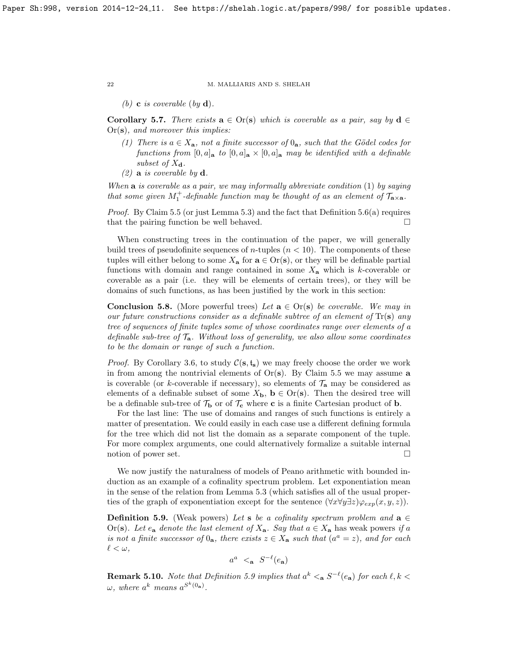(b) **c** is coverable (by **d**).

<span id="page-21-2"></span>Corollary 5.7. There exists  $\mathbf{a} \in \text{Or}(\mathbf{s})$  which is coverable as a pair, say by  $\mathbf{d} \in$ Or(s), and moreover this implies:

- (1) There is  $a \in X_a$ , not a finite successor of  $0_a$ , such that the Gödel codes for functions from  $[0, a]_a$  to  $[0, a]_a \times [0, a]_a$  may be identified with a definable subset of  $X_{\mathbf{d}}$ .
- $(2)$  **a** is coverable by **d**.

When  $\bf{a}$  is coverable as a pair, we may informally abbreviate condition (1) by saying that some given  $M_1^+$ -definable function may be thought of as an element of  $\mathcal{T}_{\mathbf{a}\times\mathbf{a}}$ .

Proof. By Claim [5.5](#page-20-0) (or just Lemma [5.3\)](#page-19-1) and the fact that Definition [5.6\(](#page-20-1)a) requires that the pairing function be well behaved.  $\square$ 

When constructing trees in the continuation of the paper, we will generally build trees of pseudofinite sequences of *n*-tuples  $(n < 10)$ . The components of these tuples will either belong to some  $X_{\mathbf{a}}$  for  $\mathbf{a} \in \text{Or}(\mathbf{s})$ , or they will be definable partial functions with domain and range contained in some  $X_{a}$  which is k-coverable or coverable as a pair (i.e. they will be elements of certain trees), or they will be domains of such functions, as has been justified by the work in this section:

<span id="page-21-0"></span>**Conclusion 5.8.** (More powerful trees) Let  $\mathbf{a} \in \text{Or}(\mathbf{s})$  be coverable. We may in our future constructions consider as a definable subtree of an element of  $Tr(s)$  any tree of sequences of finite tuples some of whose coordinates range over elements of a definable sub-tree of  $\mathcal{T}_{a}$ . Without loss of generality, we also allow some coordinates to be the domain or range of such a function.

*Proof.* By Corollary [3.6,](#page-16-1) to study  $C(s, t_s)$  we may freely choose the order we work in from among the nontrivial elements of  $Or(s)$ . By Claim [5.5](#page-20-0) we may assume a is coverable (or k-coverable if necessary), so elements of  $\mathcal{T}_n$  may be considered as elements of a definable subset of some  $X_{\mathbf{b}}$ ,  $\mathbf{b} \in \text{Or}(\mathbf{s})$ . Then the desired tree will be a definable sub-tree of  $\mathcal{T}_{\mathbf{b}}$  or of  $\mathcal{T}_{\mathbf{c}}$  where **c** is a finite Cartesian product of **b**.

For the last line: The use of domains and ranges of such functions is entirely a matter of presentation. We could easily in each case use a different defining formula for the tree which did not list the domain as a separate component of the tuple. For more complex arguments, one could alternatively formalize a suitable internal notion of power set.  $\Box$ 

We now justify the naturalness of models of Peano arithmetic with bounded induction as an example of a cofinality spectrum problem. Let exponentiation mean in the sense of the relation from Lemma [5.3](#page-19-1) (which satisfies all of the usual properties of the graph of exponentiation except for the sentence  $(\forall x \forall y \exists z) \varphi_{exp}(x, y, z)$ .

<span id="page-21-1"></span>**Definition 5.9.** (Weak powers) Let **s** be a cofinality spectrum problem and  $\mathbf{a} \in \mathbb{R}$ Or(s). Let  $e_a$  denote the last element of  $X_a$ . Say that  $a \in X_a$  has weak powers if a is not a finite successor of  $0_a$ , there exists  $z \in X_a$  such that  $(a^a = z)$ , and for each  $\ell < \omega$ ,

$$
a^a \prec_{\mathbf{a}} S^{-\ell}(e_{\mathbf{a}})
$$

**Remark 5.10.** Note that Definition [5.9](#page-21-1) implies that  $a^k <sub>a</sub> S^{-\ell}(e_a)$  for each  $\ell, k <$  $\omega$ , where  $a^k$  means  $a^{S^k(0_a)}$ .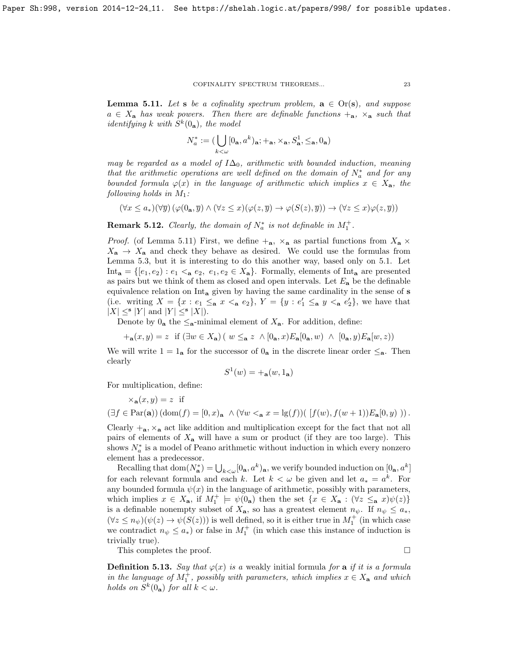<span id="page-22-0"></span>**Lemma 5.11.** Let s be a cofinality spectrum problem,  $\mathbf{a} \in \text{Or}(\mathbf{s})$ , and suppose  $a \in X_a$  has weak powers. Then there are definable functions  $+_a$ ,  $\times_a$  such that *identifying* k with  $S^k(0_a)$ , the model

$$
N_a^* := (\bigcup_{k < \omega} [0_\mathbf{a}, a^k)_\mathbf{a}; +_\mathbf{a}, \times_\mathbf{a}, S_\mathbf{a}^1, \leq_\mathbf{a}, 0_\mathbf{a})
$$

may be regarded as a model of  $I\Delta_0$ , arithmetic with bounded induction, meaning that the arithmetic operations are well defined on the domain of  $N_a^*$  and for any bounded formula  $\varphi(x)$  in the language of arithmetic which implies  $x \in X_{a}$ , the following holds in  $M_1$ :

 $(\forall x \leq a_*)(\forall \overline{y}) (\varphi(0_*, \overline{y}) \land (\forall z \leq x)(\varphi(z, \overline{y}) \rightarrow \varphi(S(z), \overline{y})) \rightarrow (\forall z \leq x)\varphi(z, \overline{y}))$ 

**Remark 5.12.** Clearly, the domain of  $N_a^*$  is not definable in  $M_1^+$ .

*Proof.* (of Lemma [5.11\)](#page-22-0) First, we define  $+_{a}$ ,  $\times_{a}$  as partial functions from  $X_{a} \times$  $X_{\mathbf{a}} \to X_{\mathbf{a}}$  and check they behave as desired. We could use the formulas from Lemma [5.3,](#page-19-1) but it is interesting to do this another way, based only on [5](#page-19-0).1. Let Int<sub>a</sub> =  $\{[e_1, e_2) : e_1 \leq_a e_2, e_1, e_2 \in X_a\}$ . Formally, elements of Int<sub>a</sub> are presented as pairs but we think of them as closed and open intervals. Let  $E_a$  be the definable equivalence relation on Int<sup>a</sup> given by having the same cardinality in the sense of s (i.e. writing  $X = \{x : e_1 \leq_a x <_a e_2\}, Y = \{y : e'_1 \leq_a y <_a e'_2\},\$ we have that  $|X| \leq^{\mathbf{s}} |Y|$  and  $|Y| \leq^{\mathbf{s}} |X|$ ).

Denote by  $0_a$  the  $\leq_a$ -minimal element of  $X_a$ . For addition, define:

$$
+_{\mathbf{a}}(x,y) = z \text{ if } (\exists w \in X_{\mathbf{a}}) \mid w \leq_{\mathbf{a}} z \land [0_{\mathbf{a}},x) E_{\mathbf{a}}[0_{\mathbf{a}},w) \land [0_{\mathbf{a}},y) E_{\mathbf{a}}[w,z))
$$

We will write  $1 = 1_a$  for the successor of  $0_a$  in the discrete linear order  $\leq_a$ . Then clearly

$$
S^1(w) = +_{\mathbf{a}}(w, 1_{\mathbf{a}})
$$

For multiplication, define:

 $\times_{\mathbf{a}}(x, y) = z$  if

$$
(\exists f \in \text{Par}(\mathbf{a})) (\text{dom}(f) = [0, x)_{\mathbf{a}} \land (\forall w <_{\mathbf{a}} x = \lg(f)) (\ [f(w), f(w+1))E_{\mathbf{a}}[0, y) \ )).
$$

Clearly  $+_a$ ,  $\mathcal{X}_a$  act like addition and multiplication except for the fact that not all pairs of elements of  $X_a$  will have a sum or product (if they are too large). This shows  $N_a^*$  is a model of Peano arithmetic without induction in which every nonzero element has a predecessor.

Recalling that  $dom(N^*_{\mathbf{a}}) = \bigcup_{k \leq \omega} [0_{\mathbf{a}}, a^k)_{\mathbf{a}}$ , we verify bounded induction on  $[0_{\mathbf{a}}, a^k]$ for each relevant formula and each k. Let  $k < \omega$  be given and let  $a_* = a^k$ . For any bounded formula  $\psi(x)$  in the language of arithmetic, possibly with parameters, which implies  $x \in X_{\mathbf{a}}$ , if  $M_1^+ \models \psi(0_{\mathbf{a}})$  then the set  $\{x \in X_{\mathbf{a}} : (\forall z \leq_{\mathbf{a}} x)\psi(z)\}\$ is a definable nonempty subset of  $X_{\mathbf{a}}$ , so has a greatest element  $n_{\psi}$ . If  $n_{\psi} \leq a_{*}$ ,  $(\forall z \leq n_{\psi})(\psi(z) \to \psi(S(z)))$  is well defined, so it is either true in  $M_1^+$  (in which case we contradict  $n_{\psi} \leq a_{*}$ ) or false in  $M_{1}^{+}$  (in which case this instance of induction is trivially true).

This completes the proof.

**Definition 5.13.** Say that  $\varphi(x)$  is a weakly initial formula for a if it is a formula in the language of  $M_1^+$ , possibly with parameters, which implies  $x \in X_a$  and which holds on  $S^k(0_a)$  for all  $k < \omega$ .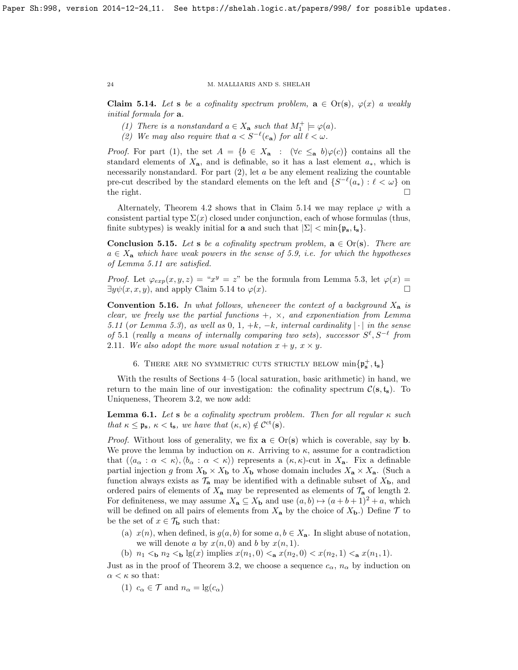<span id="page-23-2"></span>Claim 5.14. Let s be a cofinality spectrum problem,  $\mathbf{a} \in \text{Or}(\mathbf{s})$ ,  $\varphi(x)$  a weakly initial formula for  $a$ .

- (1) There is a nonstandard  $a \in X_a$  such that  $M_1^+ \models \varphi(a)$ .
- (2) We may also require that  $a < S^{-\ell}(e_{\bf a})$  for all  $\ell < \omega$ .

*Proof.* For part (1), the set  $A = \{b \in X_a : (\forall c \leq_a b)\varphi(c)\}\)$  contains all the standard elements of  $X_{a}$ , and is definable, so it has a last element  $a_{*}$ , which is necessarily nonstandard. For part  $(2)$ , let  $a$  be any element realizing the countable pre-cut described by the standard elements on the left and  $\{S^{-\ell}(a_*) : \ell < \omega\}$  on the right.  $\square$ 

Alternately, Theorem [4.2](#page-18-1) shows that in Claim [5.14](#page-23-2) we may replace  $\varphi$  with a consistent partial type  $\Sigma(x)$  closed under conjunction, each of whose formulas (thus, finite subtypes) is weakly initial for a and such that  $|\Sigma| < \min\{p_s, t_s\}$ .

**Conclusion 5.15.** Let s be a cofinality spectrum problem,  $\mathbf{a} \in \text{Or}(\mathbf{s})$ . There are  $a \in X_a$  which have weak powers in the sense of [5.9,](#page-21-1) i.e. for which the hypotheses of Lemma [5.11](#page-22-0) are satisfied.

*Proof.* Let  $\varphi_{exp}(x, y, z) = x^y = z^y$  be the formula from Lemma [5.3,](#page-19-1) let  $\varphi(x) =$  $\exists y \psi(x, x, y)$ , and apply Claim [5.14](#page-23-2) to  $\varphi(x)$ .

<span id="page-23-1"></span>**Convention 5.16.** In what follows, whenever the context of a background  $X_a$  is clear, we freely use the partial functions  $+, \times,$  and exponentiation from Lemma [5.11](#page-22-0) (or Lemma [5.3](#page-19-1)), as well as 0, 1,  $+k$ ,  $-k$ , internal cardinality  $|\cdot|$  in the sense of 5.[1](#page-19-0) (really a means of internally comparing two sets), successor  $S^{\ell}, S^{-\ell}$  from 2.[11](#page-11-2). We also adopt the more usual notation  $x + y$ ,  $x \times y$ .

6. THERE ARE NO SYMMETRIC CUTS STRICTLY BELOW  $\min\{\mathfrak{p}_s^+, \mathfrak{t}_s\}$ 

<span id="page-23-0"></span>With the results of Sections [4–](#page-17-0)[5](#page-18-0) (local saturation, basic arithmetic) in hand, we return to the main line of our investigation: the cofinality spectrum  $\mathcal{C}(\mathbf{s}, \mathbf{t_s})$ . To Uniqueness, Theorem [3.2,](#page-14-0) we now add:

<span id="page-23-3"></span>**Lemma 6.1.** Let s be a cofinality spectrum problem. Then for all regular  $\kappa$  such that  $\kappa \leq \mathfrak{p}_s$ ,  $\kappa < \mathfrak{t}_s$ , we have that  $(\kappa, \kappa) \notin C^{\rm ct}(s)$ .

*Proof.* Without loss of generality, we fix  $\mathbf{a} \in \text{Or}(\mathbf{s})$  which is coverable, say by **b**. We prove the lemma by induction on  $\kappa$ . Arriving to  $\kappa$ , assume for a contradiction that  $(\langle a_{\alpha} : \alpha < \kappa \rangle, \langle b_{\alpha} : \alpha < \kappa \rangle)$  represents a  $(\kappa, \kappa)$ -cut in  $X_{a}$ . Fix a definable partial injection g from  $X_{\mathbf{b}} \times X_{\mathbf{b}}$  to  $X_{\mathbf{b}}$  whose domain includes  $X_{\mathbf{a}} \times X_{\mathbf{a}}$ . (Such a function always exists as  $\mathcal{T}_a$  may be identified with a definable subset of  $X_b$ , and ordered pairs of elements of  $X_a$  may be represented as elements of  $\mathcal{T}_a$  of length 2. For definiteness, we may assume  $X_{\mathbf{a}} \subseteq X_{\mathbf{b}}$  and use  $(a, b) \mapsto (a + b + 1)^2 + a$ , which will be defined on all pairs of elements from  $X_{\mathbf{a}}$  by the choice of  $X_{\mathbf{b}}$ .) Define  $\mathcal T$  to be the set of  $x \in \mathcal{T}_{\mathbf{b}}$  such that:

- (a)  $x(n)$ , when defined, is  $g(a, b)$  for some  $a, b \in X_a$ . In slight abuse of notation, we will denote a by  $x(n, 0)$  and b by  $x(n, 1)$ .
- (b)  $n_1 < b>$   $n_2 < b$  lg(x) implies  $x(n_1, 0) < a$   $x(n_2, 0) < x(n_2, 1) < a$   $x(n_1, 1)$ .

Just as in the proof of Theorem [3.2,](#page-14-0) we choose a sequence  $c_{\alpha}$ ,  $n_{\alpha}$  by induction on  $\alpha < \kappa$  so that:

(1)  $c_{\alpha} \in \mathcal{T}$  and  $n_{\alpha} = \lg(c_{\alpha})$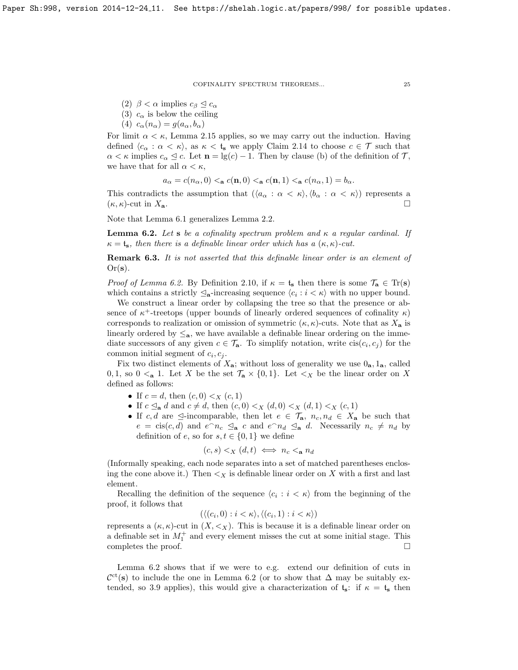(2)  $\beta < \alpha$  implies  $c_{\beta} \leq c_{\alpha}$ 

- (3)  $c_{\alpha}$  is below the ceiling
- (4)  $c_{\alpha}(n_{\alpha}) = g(a_{\alpha}, b_{\alpha})$

For limit  $\alpha < \kappa$ , Lemma [2.15](#page-13-2) applies, so we may carry out the induction. Having defined  $\langle c_{\alpha} : \alpha < \kappa \rangle$ , as  $\kappa < t_{s}$  we apply Claim [2.14](#page-13-4) to choose  $c \in \mathcal{T}$  such that  $\alpha < \kappa$  implies  $c_{\alpha} \leq c$ . Let  $\mathbf{n} = \lg(c) - 1$ . Then by clause (b) of the definition of  $\mathcal{T}$ , we have that for all  $\alpha < \kappa$ ,

 $a_{\alpha} = c(n_{\alpha}, 0) \leq a c(n, 0) \leq a c(n, 1) \leq a c(n_{\alpha}, 1) = b_{\alpha}.$ 

This contradicts the assumption that  $(\langle a_{\alpha} : \alpha < \kappa \rangle, \langle b_{\alpha} : \alpha < \kappa \rangle)$  represents a  $(\kappa, \kappa)$ -cut in  $X_{\mathbf{a}}$ .

Note that Lemma [6.1](#page-23-3) generalizes Lemma [2.2.](#page-6-3)

<span id="page-24-0"></span>**Lemma 6.2.** Let s be a cofinality spectrum problem and  $\kappa$  a regular cardinal. If  $\kappa = t_s$ , then there is a definable linear order which has a  $(\kappa, \kappa)$ -cut.

**Remark 6.3.** It is not asserted that this definable linear order is an element of  $Or(s)$ .

*Proof of Lemma [6.2.](#page-24-0)* By Definition [2.10,](#page-11-4) if  $\kappa = \mathfrak{t}_s$  then there is some  $\mathcal{T}_a \in \text{Tr}(s)$ which contains a strictly  $\mathcal{Q}_{a}$ -increasing sequence  $\langle c_i : i \langle \kappa \rangle$  with no upper bound.

We construct a linear order by collapsing the tree so that the presence or absence of  $\kappa^+$ -treetops (upper bounds of linearly ordered sequences of cofinality  $\kappa$ ) corresponds to realization or omission of symmetric  $(\kappa, \kappa)$ -cuts. Note that as  $X_a$  is linearly ordered by  $\leq_{a}$ , we have available a definable linear ordering on the immediate successors of any given  $c \in \mathcal{T}_{a}$ . To simplify notation, write  $\operatorname{cis}(c_i, c_j)$  for the common initial segment of  $c_i, c_j$ .

Fix two distinct elements of  $X_{a}$ ; without loss of generality we use  $0_{a}$ ,  $1_{a}$ , called 0, 1, so  $0 \le a$  1. Let X be the set  $\mathcal{T}_a \times \{0,1\}$ . Let  $\leq_X b$  be the linear order on X defined as follows:

- If  $c = d$ , then  $(c, 0) < x$   $(c, 1)$
- If  $c \leq_{\mathbf{a}} d$  and  $c \neq d$ , then  $(c, 0) \leq_{X} (d, 0) \leq_{X} (d, 1) \leq_{X} (c, 1)$
- If c, d are  $\leq$ -incomparable, then let  $e \in \mathcal{T}_a$ ,  $n_c, n_d \in X_a$  be such that  $e = \text{cis}(c, d)$  and  $e^{\hat{ }} n_c \leq_\mathbf{a} c$  and  $e^{\hat{ }} n_d \leq_\mathbf{a} d$ . Necessarily  $n_c \neq n_d$  by definition of e, so for  $s, t \in \{0, 1\}$  we define

$$
(c, s) <_X (d, t) \iff n_c <_a n_d
$$

(Informally speaking, each node separates into a set of matched parentheses enclosing the cone above it.) Then  $\lt_X$  is definable linear order on X with a first and last element.

Recalling the definition of the sequence  $\langle c_i : i \langle \kappa \rangle$  from the beginning of the proof, it follows that

 $(\langle (c_i, 0) : i < \kappa \rangle, \langle (c_i, 1) : i < \kappa \rangle)$ 

represents a  $(\kappa, \kappa)$ -cut in  $(X, \leq_X)$ . This is because it is a definable linear order on a definable set in  $M_1^+$  and every element misses the cut at some initial stage. This completes the proof.  $\Box$ 

Lemma [6.2](#page-24-0) shows that if we were to e.g. extend our definition of cuts in  $\mathcal{C}^{ct}(s)$  to include the one in Lemma [6.2](#page-24-0) (or to show that  $\Delta$  may be suitably ex-tended, so [3](#page-17-1).9 applies), this would give a characterization of  $t_s$ : if  $\kappa = t_s$  then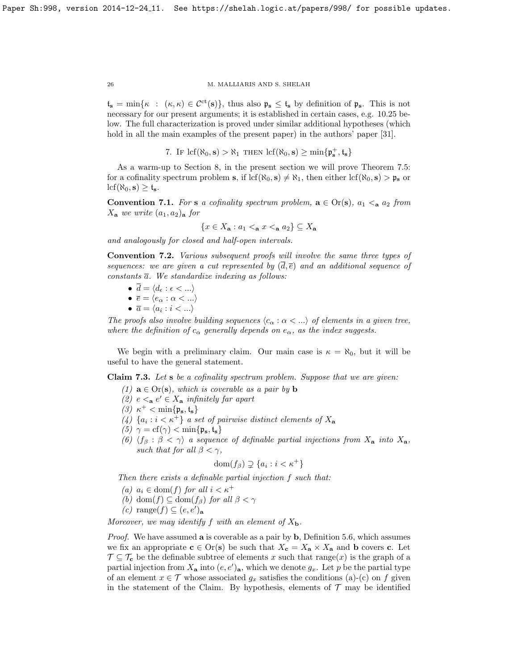$t_s = \min\{\kappa : (\kappa, \kappa) \in C^{ct}(s)\}\$ , thus also  $\mathfrak{p}_s \leq t_s$  by definition of  $\mathfrak{p}_s$ . This is not necessary for our present arguments; it is established in certain cases, e.g. [10](#page-41-2).25 below. The full characterization is proved under similar additional hypotheses (which hold in all the main examples of the present paper) in the authors' paper [\[31\]](#page-59-9).

7. If  $\text{lcf}(\aleph_0, \mathbf{s}) > \aleph_1$  then  $\text{lcf}(\aleph_0, \mathbf{s}) \ge \min\{\mathfrak{p}_\mathbf{s}^+, \mathfrak{t}_\mathbf{s}\}\$ 

<span id="page-25-0"></span>As a warm-up to Section [8,](#page-28-0) in the present section we will prove Theorem [7.5:](#page-28-1) for a cofinality spectrum problem s, if  $\text{lcf}(\aleph_0, \mathbf{s}) \neq \aleph_1$ , then either  $\text{lcf}(\aleph_0, \mathbf{s}) > \mathfrak{p}_\mathbf{s}$  or  $\text{lcf}(\aleph_0, \mathbf{s}) \geq \mathfrak{t}_{\mathbf{s}}.$ 

**Convention 7.1.** For s a cofinality spectrum problem,  $\mathbf{a} \in \text{Or}(\mathbf{s})$ ,  $a_1 \leq_a a_2$  from  $X_{\mathbf{a}}$  we write  $(a_1, a_2)_{\mathbf{a}}$  for

$$
\{x \in X_{\mathbf{a}} : a_1 <_{\mathbf{a}} x <_{\mathbf{a}} a_2\} \subseteq X_{\mathbf{a}}
$$

and analogously for closed and half-open intervals.

Convention 7.2. Various subsequent proofs will involve the same three types of sequences: we are given a cut represented by  $(d, \overline{e})$  and an additional sequence of constants  $\overline{a}$ . We standardize indexing as follows:

$$
\bullet \ \overline{d} = \langle d_{\epsilon} : \epsilon < \ldots \rangle
$$

$$
\bullet \ \overline{e} = \langle e_\alpha : \alpha < \ldots \rangle
$$

 $\bullet \ \overline{a} = \langle a_i : i < ... \rangle$ 

The proofs also involve building sequences  $\langle c_{\alpha} : \alpha < ... \rangle$  of elements in a given tree, where the definition of  $c_{\alpha}$  generally depends on  $e_{\alpha}$ , as the index suggests.

We begin with a preliminary claim. Our main case is  $\kappa = \aleph_0$ , but it will be useful to have the general statement.

<span id="page-25-1"></span>Claim 7.3. Let s be a cofinality spectrum problem. Suppose that we are given:

- (1)  $\mathbf{a} \in \text{Or}(\mathbf{s})$ , which is coverable as a pair by  $\mathbf{b}$
- (2)  $e \leq_a e' \in X_a$  infinitely far apart
- (3)  $κ$ <sup>+</sup> < min{ $ρ_s, t_s$ }
- (4)  $\{a_i : i < \kappa^+\}$  a set of pairwise distinct elements of  $X_{\mathbf{a}}$
- (5)  $\gamma = cf(\gamma) < \min\{\mathfrak{p}_s, \mathfrak{t}_s\}$
- (6)  $\langle f_\beta : \beta < \gamma \rangle$  a sequence of definable partial injections from  $X_a$  into  $X_a$ , such that for all  $\beta < \gamma$ ,

$$
\text{dom}(f_{\beta}) \supsetneq \{a_i : i < \kappa^+\}
$$

Then there exists a definable partial injection f such that:

- (a)  $a_i \in \text{dom}(f)$  for all  $i < \kappa^+$
- (b) dom(f)  $\subseteq$  dom(f<sub>β</sub>) for all  $\beta < \gamma$

(c) range
$$
(f) \subseteq (e, e')_{\mathbf{a}}
$$

Moreover, we may identify f with an element of  $X_{\bf b}$ .

*Proof.* We have assumed **a** is coverable as a pair by **b**, Definition [5.6,](#page-20-1) which assumes we fix an appropriate  $c \in Or(s)$  be such that  $X_c = X_a \times X_a$  and b covers c. Let  $\mathcal{T} \subseteq \mathcal{T}_{c}$  be the definable subtree of elements x such that range $(x)$  is the graph of a partial injection from  $X_a$  into  $(e, e')_a$ , which we denote  $g_x$ . Let p be the partial type of an element  $x \in \mathcal{T}$  whose associated  $g_x$  satisfies the conditions (a)-(c) on f given in the statement of the Claim. By hypothesis, elements of  $\mathcal T$  may be identified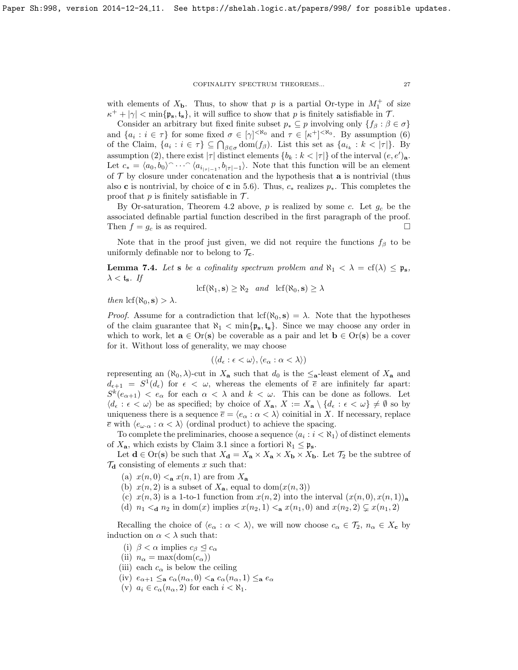with elements of  $X_{\mathbf{b}}$ . Thus, to show that p is a partial Or-type in  $M_1^+$  of size  $\kappa^+ + |\gamma| < \min\{\mathfrak{p}_s, \mathfrak{t}_s\},\$ it will suffice to show that p is finitely satisfiable in T.

Consider an arbitrary but fixed finite subset  $p_* \subseteq p$  involving only  $\{f_\beta : \beta \in \sigma\}$ and  $\{a_i : i \in \tau\}$  for some fixed  $\sigma \in [\gamma]^{< \aleph_0}$  and  $\tau \in [\kappa^+]^{< \aleph_0}$ . By assumption (6) of the Claim,  $\{a_i : i \in \tau\} \subseteq \bigcap_{\beta \in \sigma} \text{dom}(f_\beta)$ . List this set as  $\{a_{i_k} : k < |\tau|\}$ . By assumption (2), there exist  $|\tau|$  distinct elements  $\{b_k : k < |\tau|\}$  of the interval  $(e, e')_{\mathbf{a}}$ . Let  $c_* = \langle a_0, b_0 \rangle$   $\cdots$   $\langle a_{i_{|\tau|-1}}, b_{|\tau|-1} \rangle$ . Note that this function will be an element of  $\mathcal T$  by closure under concatenation and the hypothesis that **a** is nontrivial (thus also c is nontrivial, by choice of c in [5.6\)](#page-20-1). Thus,  $c_*$  realizes  $p_*$ . This completes the proof that  $p$  is finitely satisfiable in  $\mathcal{T}$ .

By Or-saturation, Theorem [4.2](#page-18-1) above,  $p$  is realized by some c. Let  $g_c$  be the associated definable partial function described in the first paragraph of the proof. Then  $f = g_c$  is as required.

Note that in the proof just given, we did not require the functions  $f_\beta$  to be uniformly definable nor to belong to  $\mathcal{T}_{c}$ .

<span id="page-26-0"></span>**Lemma 7.4.** Let s be a cofinality spectrum problem and  $\aleph_1 < \lambda = cf(\lambda) \leq \mathfrak{p}_s$ ,  $\lambda <$  t<sub>s</sub>. If

$$
\mathrm{lcf}(\aleph_1, \mathbf{s}) \ge \aleph_2 \quad and \quad \mathrm{lcf}(\aleph_0, \mathbf{s}) \ge \lambda
$$

then  $\text{lcf}(\aleph_0, \mathbf{s}) > \lambda$ .

*Proof.* Assume for a contradiction that  $\text{lcf}(\aleph_0, \mathbf{s}) = \lambda$ . Note that the hypotheses of the claim guarantee that  $\aleph_1 < \min{\{p_s, t_s\}}$ . Since we may choose any order in which to work, let  $\mathbf{a} \in \text{Or}(\mathbf{s})$  be coverable as a pair and let  $\mathbf{b} \in \text{Or}(\mathbf{s})$  be a cover for it. Without loss of generality, we may choose

$$
(\langle d_{\epsilon} : \epsilon < \omega \rangle, \langle e_{\alpha} : \alpha < \lambda \rangle)
$$

representing an  $(\aleph_0, \lambda)$ -cut in  $X_a$  such that  $d_0$  is the  $\leq_a$ -least element of  $X_a$  and  $d_{\epsilon+1} = S^1(d_{\epsilon})$  for  $\epsilon < \omega$ , whereas the elements of  $\bar{\epsilon}$  are infinitely far apart:  $S^k(e_{\alpha+1}) < e_{\alpha}$  for each  $\alpha < \lambda$  and  $k < \omega$ . This can be done as follows. Let  $\langle d_{\epsilon} : \epsilon < \omega \rangle$  be as specified; by choice of  $X_{\mathbf{a}}, X := X_{\mathbf{a}} \setminus \{d_{\epsilon} : \epsilon < \omega\} \neq \emptyset$  so by uniqueness there is a sequence  $\overline{e} = \langle e_\alpha : \alpha < \lambda \rangle$  coinitial in X. If necessary, replace  $\bar{e}$  with  $\langle e_{\omega \cdot \alpha} : \alpha < \lambda \rangle$  (ordinal product) to achieve the spacing.

To complete the preliminaries, choose a sequence  $\langle a_i : i < \aleph_1 \rangle$  of distinct elements of  $X_{\mathbf{a}}$ , which exists by Claim [3.1](#page-13-3) since a fortiori  $\aleph_1 \leq \mathfrak{p}_\mathbf{s}$ .

Let  $\mathbf{d} \in \text{Or}(\mathbf{s})$  be such that  $X_{\mathbf{d}} = X_{\mathbf{a}} \times X_{\mathbf{a}} \times X_{\mathbf{b}} \times X_{\mathbf{b}}$ . Let  $\mathcal{T}_2$  be the subtree of  $\mathcal{T}_{d}$  consisting of elements x such that:

- (a)  $x(n, 0) <_{\mathbf{a}} x(n, 1)$  are from  $X_{\mathbf{a}}$
- (b)  $x(n, 2)$  is a subset of  $X_{\mathbf{a}}$ , equal to  $\text{dom}(x(n, 3))$
- (c)  $x(n, 3)$  is a 1-to-1 function from  $x(n, 2)$  into the interval  $(x(n, 0), x(n, 1))$ <sub>a</sub>
- (d)  $n_1 <$ **a**  $n_2$  in dom(x) implies  $x(n_2, 1) <$ **a**  $x(n_1, 0)$  and  $x(n_2, 2) \subsetneq x(n_1, 2)$

Recalling the choice of  $\langle e_\alpha : \alpha < \lambda \rangle$ , we will now choose  $c_\alpha \in \mathcal{T}_2$ ,  $n_\alpha \in X_c$  by induction on  $\alpha < \lambda$  such that:

- (i)  $\beta < \alpha$  implies  $c_{\beta} \leq c_{\alpha}$
- (ii)  $n_{\alpha} = \max(\text{dom}(c_{\alpha}))$
- (iii) each  $c_{\alpha}$  is below the ceiling
- (iv)  $e_{\alpha+1} \leq_{\mathbf{a}} c_{\alpha}(n_{\alpha}, 0) \leq_{\mathbf{a}} c_{\alpha}(n_{\alpha}, 1) \leq_{\mathbf{a}} e_{\alpha}$
- (v)  $a_i \in c_\alpha(n_\alpha, 2)$  for each  $i < \aleph_1$ .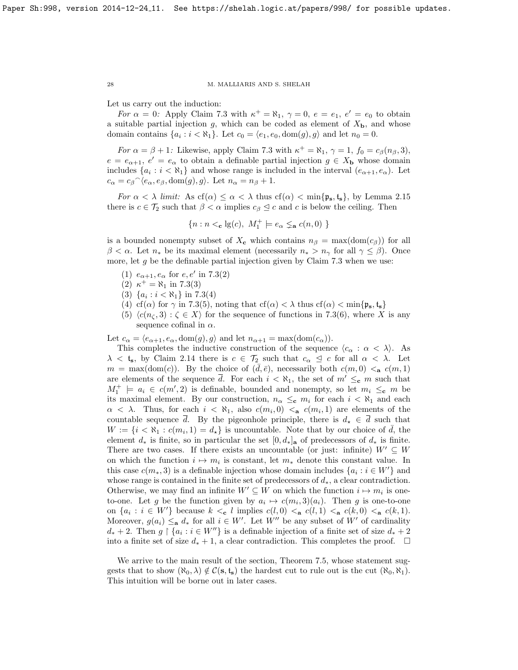Let us carry out the induction:

For  $\alpha = 0$ : Apply Claim [7.3](#page-25-1) with  $\kappa^+ = \aleph_1$ ,  $\gamma = 0$ ,  $e = e_1$ ,  $e' = e_0$  to obtain a suitable partial injection g, which can be coded as element of  $X<sub>b</sub>$ , and whose domain contains  $\{a_i : i < \aleph_1\}$ . Let  $c_0 = \langle e_1, e_0, \text{dom}(g), g \rangle$  and let  $n_0 = 0$ .

For  $\alpha = \beta + 1$ : Likewise, apply Claim [7.3](#page-25-1) with  $\kappa^+ = \aleph_1$ ,  $\gamma = 1$ ,  $f_0 = c_\beta(n_\beta, 3)$ ,  $e = e_{\alpha+1}, e' = e_{\alpha}$  to obtain a definable partial injection  $g \in X_{\mathbf{b}}$  whose domain includes  $\{a_i : i < \aleph_1\}$  and whose range is included in the interval  $(e_{\alpha+1}, e_{\alpha})$ . Let  $c_{\alpha} = c_{\beta} \widehat{\langle e_{\alpha}, e_{\beta}, \text{dom}(g), g \rangle}$ . Let  $n_{\alpha} = n_{\beta} + 1$ .

For  $\alpha < \lambda$  limit: As  $cf(\alpha) \leq \alpha < \lambda$  thus  $cf(\alpha) < \min\{\mathfrak{p}_s, \mathfrak{t}_s\}$ , by Lemma [2.15](#page-13-2) there is  $c \in \mathcal{T}_2$  such that  $\beta < \alpha$  implies  $c_{\beta} \leq c$  and c is below the ceiling. Then

$$
\{n: n <_{\mathbf{c}} \lg(c),\ M_1^+ \models e_\alpha \lneq_{\mathbf{a}} c(n,0)\ \}
$$

is a bounded nonempty subset of  $X_c$  which contains  $n_\beta = \max(\text{dom}(c_\beta))$  for all  $\beta < \alpha$ . Let  $n_*$  be its maximal element (necessarily  $n_* > n_\gamma$  for all  $\gamma \leq \beta$ ). Once more, let  $g$  be the definable partial injection given by Claim [7.3](#page-25-1) when we use:

- (1)  $e_{\alpha+1}, e_{\alpha}$  for  $e, e'$  in [7](#page-25-1).3(2)
- (2)  $\kappa^+ = \aleph_1$  in [7](#page-25-1).3(3)
- (3)  $\{a_i : i < \aleph_1\}$  in [7](#page-25-1).3(4)
- (4) cf( $\alpha$ ) for  $\gamma$  in [7](#page-25-1).3(5), noting that cf( $\alpha$ ) <  $\lambda$  thus cf( $\alpha$ ) < min{ $\mathfrak{p}_s$ , t<sub>s</sub>}
- (5)  $\langle c(n_{\zeta},3) : \zeta \in X \rangle$  for the sequence of functions in [7](#page-25-1).3(6), where X is any sequence cofinal in  $\alpha$ .

Let  $c_{\alpha} = \langle e_{\alpha+1}, e_{\alpha}, \text{dom}(g), g \rangle$  and let  $n_{\alpha+1} = \max(\text{dom}(c_{\alpha})).$ 

This completes the inductive construction of the sequence  $\langle c_{\alpha} : \alpha < \lambda \rangle$ . As  $\lambda <$  t<sub>s</sub>, by Claim [2.14](#page-13-4) there is  $c \in \mathcal{T}_2$  such that  $c_{\alpha} \leq c$  for all  $\alpha < \lambda$ . Let  $m = \max(\text{dom}(c))$ . By the choice of  $(\bar{d}, \bar{e})$ , necessarily both  $c(m, 0) < a$   $c(m, 1)$ are elements of the sequence  $\overline{d}$ . For each  $i < \aleph_1$ , the set of  $m' \leq_c m$  such that  $M_1^+$   $\vert a_i \vert \in c(m', 2)$  is definable, bounded and nonempty, so let  $m_i \leq_c m$  be its maximal element. By our construction,  $n_{\alpha} \leq_c m_i$  for each  $i < \aleph_1$  and each  $\alpha < \lambda$ . Thus, for each  $i < \aleph_1$ , also  $c(m_i, 0) < a$   $c(m_i, 1)$  are elements of the countable sequence  $\overline{d}$ . By the pigeonhole principle, there is  $d_{\star} \in \overline{d}$  such that  $W := \{i \leq \aleph_1 : c(m_i, 1) = d_*\}$  is uncountable. Note that by our choice of  $\overline{d}$ , the element  $d_*$  is finite, so in particular the set  $[0, d_*]_a$  of predecessors of  $d_*$  is finite. There are two cases. If there exists an uncountable (or just: infinite)  $W' \subseteq W$ on which the function  $i \mapsto m_i$  is constant, let  $m_*$  denote this constant value. In this case  $c(m_*, 3)$  is a definable injection whose domain includes  $\{a_i : i \in W'\}$  and whose range is contained in the finite set of predecessors of  $d_*$ , a clear contradiction. Otherwise, we may find an infinite  $W' \subseteq W$  on which the function  $i \mapsto m_i$  is oneto-one. Let g be the function given by  $a_i \mapsto c(m_i, 3)(a_i)$ . Then g is one-to-one on  $\{a_i : i \in W'\}$  because  $k \leq_c l$  implies  $c(l, 0) \leq_a c(l, 1) \leq_a c(k, 0) \leq_a c(k, 1)$ . Moreover,  $g(a_i) \leq_{\mathbf{a}} d_*$  for all  $i \in W'$ . Let  $W''$  be any subset of  $W'$  of cardinality  $d_* + 2$ . Then  $g \restriction \{a_i : i \in W''\}$  is a definable injection of a finite set of size  $d_* + 2$ into a finite set of size  $d_* + 1$ , a clear contradiction. This completes the proof.  $\Box$ 

We arrive to the main result of the section, Theorem [7.5,](#page-28-1) whose statement suggests that to show  $(\aleph_0, \lambda) \notin \mathcal{C}(\mathbf{s}, \mathbf{t}_s)$  the hardest cut to rule out is the cut  $(\aleph_0, \aleph_1)$ . This intuition will be borne out in later cases.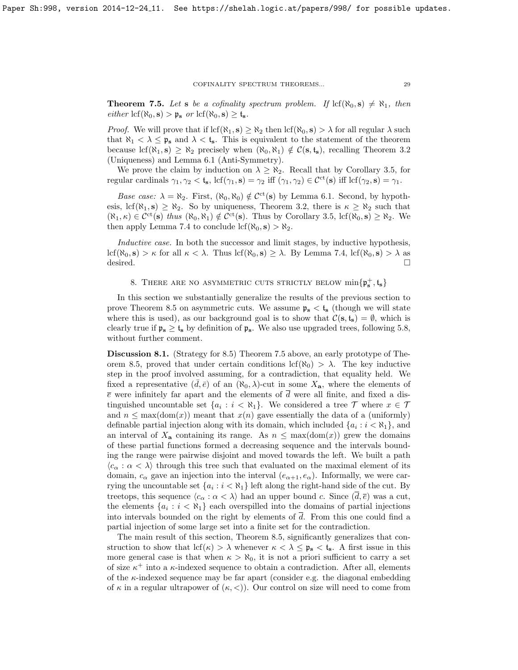<span id="page-28-1"></span>**Theorem 7.5.** Let **s** be a cofinality spectrum problem. If  $\text{lcf}(\aleph_0, \mathbf{s}) \neq \aleph_1$ , then  $either \, \text{lcf}(\aleph_0, \mathbf{s}) > \mathfrak{p}_\mathbf{s} \text{ or } \text{lcf}(\aleph_0, \mathbf{s}) \geq \mathfrak{t}_\mathbf{s}.$ 

*Proof.* We will prove that if  $\text{lcf}(\aleph_1, \mathbf{s}) \geq \aleph_2$  then  $\text{lcf}(\aleph_0, \mathbf{s}) > \lambda$  for all regular  $\lambda$  such that  $\aleph_1 < \lambda \leq \frak{p}_s$  and  $\lambda < t_s$ . This is equivalent to the statement of the theorem because lcf( $\aleph_1$ , s)  $\geq \aleph_2$  precisely when  $(\aleph_0, \aleph_1) \notin \mathcal{C}(\mathbf{s}, \mathbf{t}_{\mathbf{s}})$ , recalling Theorem [3.2](#page-14-0) (Uniqueness) and Lemma [6.1](#page-23-3) (Anti-Symmetry).

We prove the claim by induction on  $\lambda \geq \aleph_2$ . Recall that by Corollary [3.5,](#page-16-0) for regular cardinals  $\gamma_1, \gamma_2 < t_s$ , lcf $(\gamma_1, s) = \gamma_2$  iff  $(\gamma_1, \gamma_2) \in C^{\rm ct}(s)$  iff lcf $(\gamma_2, s) = \gamma_1$ .

Base case:  $\lambda = \aleph_2$ . First,  $(\aleph_0, \aleph_0) \notin C^{\text{ct}}(\mathbf{s})$  by Lemma [6.1.](#page-23-3) Second, by hypothesis, lcf( $\aleph_1$ , s)  $\geq \aleph_2$ . So by uniqueness, Theorem [3.2,](#page-14-0) there is  $\kappa \geq \aleph_2$  such that  $(\aleph_1, \kappa) \in \mathcal{C}^{ct}(s)$  thus  $(\aleph_0, \aleph_1) \notin \mathcal{C}^{ct}(s)$ . Thus by Corollary [3.5,](#page-16-0) lcf $(\aleph_0, s) \ge \aleph_2$ . We then apply Lemma [7.4](#page-26-0) to conclude lcf( $\aleph_0$ , s)  $>\aleph_2$ .

Inductive case. In both the successor and limit stages, by inductive hypothesis, lcf( $\aleph_0$ , s)  $>\kappa$  for all  $\kappa < \lambda$ . Thus lcf( $\aleph_0$ , s)  $\geq \lambda$ . By Lemma [7.4,](#page-26-0) lcf( $\aleph_0$ , s)  $>\lambda$  as desired.

# 8. THERE ARE NO ASYMMETRIC CUTS STRICTLY BELOW  $\min\{\mathfrak{p}_s^+, \mathfrak{t}_s\}$

<span id="page-28-0"></span>In this section we substantially generalize the results of the previous section to prove Theorem [8.5](#page-30-0) on asymmetric cuts. We assume  $p_s < t_s$  (though we will state where this is used), as our background goal is to show that  $\mathcal{C}(s, t_s) = \emptyset$ , which is clearly true if  $\mathfrak{p}_s \geq \mathfrak{t}_s$  by definition of  $\mathfrak{p}_s$ . We also use upgraded trees, following [5.8,](#page-21-0) without further comment.

<span id="page-28-2"></span>Discussion 8.1. (Strategy for [8.5\)](#page-30-0) Theorem [7.5](#page-28-1) above, an early prototype of The-orem [8.5,](#page-30-0) proved that under certain conditions lcf( $\aleph_0$ ) >  $\lambda$ . The key inductive step in the proof involved assuming, for a contradiction, that equality held. We fixed a representative  $(d, \bar{e})$  of an  $(\aleph_0, \lambda)$ -cut in some  $X_a$ , where the elements of  $\bar{e}$  were infinitely far apart and the elements of  $\bar{d}$  were all finite, and fixed a distinguished uncountable set  $\{a_i : i < \aleph_1\}$ . We considered a tree  $\mathcal T$  where  $x \in \mathcal T$ and  $n \leq \max(\text{dom}(x))$  meant that  $x(n)$  gave essentially the data of a (uniformly) definable partial injection along with its domain, which included  $\{a_i : i < \aleph_1\}$ , and an interval of  $X_a$  containing its range. As  $n \leq max(\text{dom}(x))$  grew the domains of these partial functions formed a decreasing sequence and the intervals bounding the range were pairwise disjoint and moved towards the left. We built a path  $\langle c_{\alpha} : \alpha < \lambda \rangle$  through this tree such that evaluated on the maximal element of its domain,  $c_{\alpha}$  gave an injection into the interval  $(e_{\alpha+1}, e_{\alpha})$ . Informally, we were carrying the uncountable set  $\{a_i : i < \aleph_1\}$  left along the right-hand side of the cut. By treetops, this sequence  $\langle c_{\alpha} : \alpha < \lambda \rangle$  had an upper bound c. Since  $(d, \overline{e})$  was a cut, the elements  $\{a_i : i < \aleph_1\}$  each overspilled into the domains of partial injections into intervals bounded on the right by elements of  $\overline{d}$ . From this one could find a partial injection of some large set into a finite set for the contradiction.

The main result of this section, Theorem [8.5,](#page-30-0) significantly generalizes that construction to show that  $\text{lcf}(\kappa) > \lambda$  whenever  $\kappa < \lambda \leq \mathfrak{p}_{\mathbf{s}} < \mathfrak{t}_{\mathbf{s}}$ . A first issue in this more general case is that when  $\kappa > \aleph_0$ , it is not a priori sufficient to carry a set of size  $\kappa^+$  into a  $\kappa$ -indexed sequence to obtain a contradiction. After all, elements of the  $\kappa$ -indexed sequence may be far apart (consider e.g. the diagonal embedding of  $\kappa$  in a regular ultrapower of  $(\kappa, \langle \rangle)$ . Our control on size will need to come from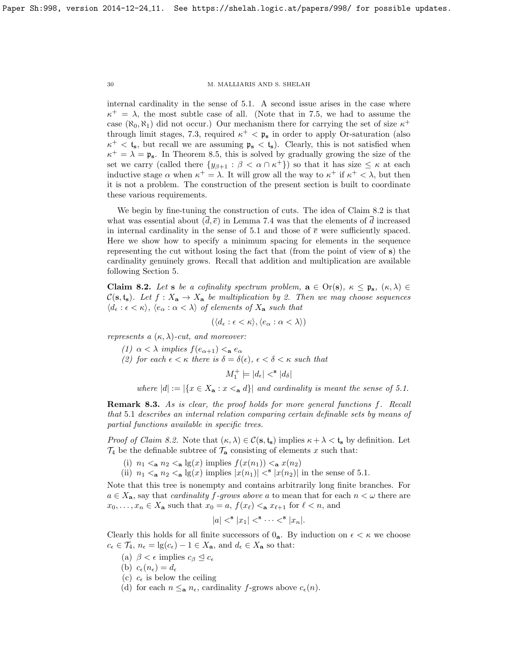internal cardinality in the sense of [5.1.](#page-19-0) A second issue arises in the case where  $\kappa^+ = \lambda$ , the most subtle case of all. (Note that in [7.5,](#page-28-1) we had to assume the case  $(\aleph_0, \aleph_1)$  did not occur.) Our mechanism there for carrying the set of size  $\kappa^+$ through limit stages, [7.3,](#page-25-1) required  $\kappa^+ < \mathfrak{p}_s$  in order to apply Or-saturation (also  $\kappa^+ < t_s$ , but recall we are assuming  $\mathfrak{p}_s < t_s$ ). Clearly, this is not satisfied when  $\kappa^+ = \lambda = \mathfrak{p}_s$ . In Theorem [8.5,](#page-30-0) this is solved by gradually growing the size of the set we carry (called there  $\{y_{\beta+1} : \beta < \alpha \cap \kappa^+\}$ ) so that it has size  $\leq \kappa$  at each inductive stage  $\alpha$  when  $\kappa^+ = \lambda$ . It will grow all the way to  $\kappa^+$  if  $\kappa^+ < \lambda$ , but then it is not a problem. The construction of the present section is built to coordinate these various requirements.

We begin by fine-tuning the construction of cuts. The idea of Claim [8.2](#page-29-0) is that what was essential about  $(\overline{d}, \overline{e})$  in Lemma [7.4](#page-26-0) was that the elements of  $\overline{d}$  increased in internal cardinality in the sense of [5.1](#page-19-0) and those of  $\bar{e}$  were sufficiently spaced. Here we show how to specify a minimum spacing for elements in the sequence representing the cut without losing the fact that (from the point of view of s) the cardinality genuinely grows. Recall that addition and multiplication are available following Section [5.](#page-18-0)

<span id="page-29-0"></span>**Claim 8.2.** Let s be a cofinality spectrum problem,  $\mathbf{a} \in \text{Or}(\mathbf{s}), \ \kappa \leq \mathbf{p}_{\mathbf{s}}, \ (\kappa, \lambda) \in$  $C(s, t_s)$ . Let  $f: X_a \to X_a$  be multiplication by 2. Then we may choose sequences  $\langle d_{\epsilon} : \epsilon \langle \kappa \rangle, \langle e_{\alpha} : \alpha \langle \lambda \rangle \text{ of elements of } X_{\mathbf{a}} \text{ such that }$ 

$$
(\langle d_{\epsilon} : \epsilon < \kappa \rangle, \langle e_{\alpha} : \alpha < \lambda \rangle)
$$

represents a  $(\kappa, \lambda)$ -cut, and moreover:

(1)  $\alpha < \lambda$  implies  $f(e_{\alpha+1}) <_{\mathbf{a}} e_{\alpha}$ 

(2) for each  $\epsilon < \kappa$  there is  $\delta = \delta(\epsilon)$ ,  $\epsilon < \delta < \kappa$  such that

$$
M_1^+ \models |d_{\epsilon}| <^{\mathbf{s}} |d_{\delta}|
$$

where  $|d| := |\{x \in X_{\mathbf{a}} : x <_{\mathbf{a}} d\}|$  and cardinality is meant the sense of [5.1.](#page-19-0)

Remark 8.3. As is clear, the proof holds for more general functions f. Recall that [5](#page-19-0).1 describes an internal relation comparing certain definable sets by means of partial functions available in specific trees.

*Proof of Claim [8.2.](#page-29-0)* Note that  $(\kappa, \lambda) \in C(\mathbf{s}, \mathbf{t}_{\mathbf{s}})$  implies  $\kappa + \lambda < \mathbf{t}_{\mathbf{s}}$  by definition. Let  $\mathcal{T}_4$  be the definable subtree of  $\mathcal{T}_8$  consisting of elements x such that:

- (i)  $n_1 < a n_2 < a \lg(x)$  implies  $f(x(n_1)) < a x(n_2)$
- (ii)  $n_1 <$ **a**  $n_2 <$ **a**  $\lg(x)$  implies  $|x(n_1)| <$ **s**  $|x(n_2)|$  in the sense of [5.1.](#page-19-0)

Note that this tree is nonempty and contains arbitrarily long finite branches. For  $a \in X_a$ , say that *cardinality f-grows above a* to mean that for each  $n < \omega$  there are  $x_0, \ldots, x_n \in X_a$  such that  $x_0 = a$ ,  $f(x_\ell) <_{a} x_{\ell+1}$  for  $\ell < n$ , and

$$
|a| <^{\mathbf{s}} |x_1| <^{\mathbf{s}} \cdots <^{\mathbf{s}} |x_n|.
$$

Clearly this holds for all finite successors of  $0_a$ . By induction on  $\epsilon < \kappa$  we choose  $c_{\epsilon} \in \mathcal{T}_4$ ,  $n_{\epsilon} = \lg(c_{\epsilon}) - 1 \in X_{\mathbf{a}}$ , and  $d_{\epsilon} \in X_{\mathbf{a}}$  so that:

- (a)  $\beta < \epsilon$  implies  $c_{\beta} \leq c_{\epsilon}$
- (b)  $c_{\epsilon}(n_{\epsilon}) = d_{\epsilon}$
- (c)  $c_{\epsilon}$  is below the ceiling
- (d) for each  $n \leq_a n_{\epsilon}$ , cardinality f-grows above  $c_{\epsilon}(n)$ .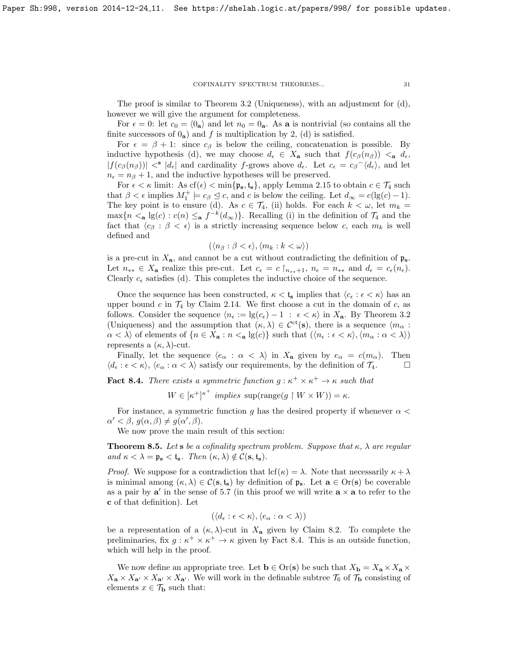The proof is similar to Theorem [3.2](#page-14-0) (Uniqueness), with an adjustment for  $(d)$ , however we will give the argument for completeness.

For  $\epsilon = 0$ : let  $c_0 = \langle 0_a \rangle$  and let  $n_0 = 0_a$ . As a is nontrivial (so contains all the finite successors of  $0_a$ ) and f is multiplication by 2, (d) is satisfied.

For  $\epsilon = \beta + 1$ : since  $c_{\beta}$  is below the ceiling, concatenation is possible. By inductive hypothesis (d), we may choose  $d_{\epsilon} \in X_{\mathbf{a}}$  such that  $f(c_{\beta}(n_{\beta})) <_{\mathbf{a}} d_{\epsilon}$ ,  $|f(c_\beta(n_\beta))| \leq |d_\epsilon|$  and cardinality f-grows above  $d_\epsilon$ . Let  $c_\epsilon = c_\beta \hat{d}_\epsilon$ , and let  $n_{\epsilon} = n_{\beta} + 1$ , and the inductive hypotheses will be preserved.

For  $\epsilon < \kappa$  limit: As  $cf(\epsilon) < \min\{\mathfrak{p}_s, \mathfrak{t}_s\}$ , apply Lemma [2.15](#page-13-2) to obtain  $c \in \mathcal{T}_4$  such that  $\beta < \epsilon$  implies  $M_1^+ \models c_{\beta} \leq c$ , and c is below the ceiling. Let  $d_{\infty} = c(\lg(c) - 1)$ . The key point is to ensure (d). As  $c \in \mathcal{T}_4$ , (ii) holds. For each  $k < \omega$ , let  $m_k =$  $\max\{n \leq_{\mathbf{a}} \lg(c) : c(n) \leq_{\mathbf{a}} f^{-k}(d_{\infty})\}.$  Recalling (i) in the definition of  $\mathcal{T}_4$  and the fact that  $\langle c_\beta : \beta < \epsilon \rangle$  is a strictly increasing sequence below c, each  $m_k$  is well defined and

$$
(\langle n_\beta : \beta < \epsilon \rangle, \langle m_k : k < \omega \rangle)
$$

is a pre-cut in  $X_{a}$ , and cannot be a cut without contradicting the definition of  $\mathfrak{p}_{s}$ . Let  $n_{**} \in X_{\mathbf{a}}$  realize this pre-cut. Let  $c_{\epsilon} = c \nvert_{n_{**}+1}, n_{\epsilon} = n_{**}$  and  $d_{\epsilon} = c_{\epsilon}(n_{\epsilon})$ . Clearly  $c_{\epsilon}$  satisfies (d). This completes the inductive choice of the sequence.

Once the sequence has been constructed,  $\kappa < t_s$  implies that  $\langle c_{\epsilon} : \epsilon < \kappa \rangle$  has an upper bound  $c$  in  $\mathcal{T}_4$  by Claim [2.14.](#page-13-4) We first choose a cut in the domain of  $c$ , as follows. Consider the sequence  $\langle n_{\epsilon} := \lg(c_{\epsilon}) - 1 : \epsilon < \kappa \rangle$  in  $X_{\mathbf{a}}$ . By Theorem [3.2](#page-14-0) (Uniqueness) and the assumption that  $(\kappa, \lambda) \in C^{\rm ct}(s)$ , there is a sequence  $\langle m_{\alpha} :$  $\alpha < \lambda$  of elements of  $\{n \in X_a : n <_a \lg(c)\}\$  such that  $(\langle n_{\epsilon} : \epsilon < \kappa \rangle, \langle m_{\alpha} : \alpha < \lambda \rangle)$ represents a  $(\kappa, \lambda)$ -cut.

Finally, let the sequence  $\langle e_{\alpha} : \alpha \langle \lambda \rangle$  in  $X_{\mathbf{a}}$  given by  $e_{\alpha} = c(m_{\alpha})$ . Then  $\langle d_{\epsilon} : \epsilon < \kappa \rangle$ ,  $\langle e_{\alpha} : \alpha < \lambda \rangle$  satisfy our requirements, by the definition of  $\mathcal{T}_4$ .

<span id="page-30-1"></span>**Fact 8.4.** There exists a symmetric function  $g : \kappa^+ \times \kappa^+ \to \kappa$  such that

 $W \in [\kappa^+]^{\kappa^+}$  implies  $\text{sup}(\text{range}(g \restriction W \times W)) = \kappa$ .

For instance, a symmetric function q has the desired property if whenever  $\alpha$  $\alpha' < \beta, g(\alpha, \beta) \neq g(\alpha', \beta).$ 

We now prove the main result of this section:

<span id="page-30-0"></span>**Theorem 8.5.** Let s be a cofinality spectrum problem. Suppose that  $\kappa$ ,  $\lambda$  are regular and  $\kappa < \lambda = \mathfrak{p}_s < \mathfrak{t}_s$ . Then  $(\kappa, \lambda) \notin \mathcal{C}(s, \mathfrak{t}_s)$ .

*Proof.* We suppose for a contradiction that  $\text{lcf}(\kappa) = \lambda$ . Note that necessarily  $\kappa + \lambda$ is minimal among  $(\kappa, \lambda) \in \mathcal{C}(\mathbf{s}, \mathbf{t}_{\mathbf{s}})$  by definition of  $\mathfrak{p}_{\mathbf{s}}$ . Let  $\mathbf{a} \in \text{Or}(\mathbf{s})$  be coverable as a pair by  $a'$  in the sense of [5.7](#page-21-2) (in this proof we will write  $a \times a$  to refer to the c of that definition). Let

$$
(\langle d_{\epsilon} : \epsilon < \kappa \rangle, \langle e_{\alpha} : \alpha < \lambda \rangle)
$$

be a representation of a  $(\kappa, \lambda)$ -cut in  $X_a$  given by Claim [8.2.](#page-29-0) To complete the preliminaries, fix  $g: \kappa^+ \times \kappa^+ \to \kappa$  given by Fact [8.4.](#page-30-1) This is an outside function, which will help in the proof.

We now define an appropriate tree. Let  $\mathbf{b} \in \text{Or}(\mathbf{s})$  be such that  $X_{\mathbf{b}} = X_{\mathbf{a}} \times X_{\mathbf{a}} \times X_{\mathbf{b}}$  $X_{\mathbf{a}} \times X_{\mathbf{a}'} \times X_{\mathbf{a'}}$ . We will work in the definable subtree  $\mathcal{T}_6$  of  $\mathcal{T}_b$  consisting of elements  $x \in \mathcal{T}_{\mathbf{b}}$  such that: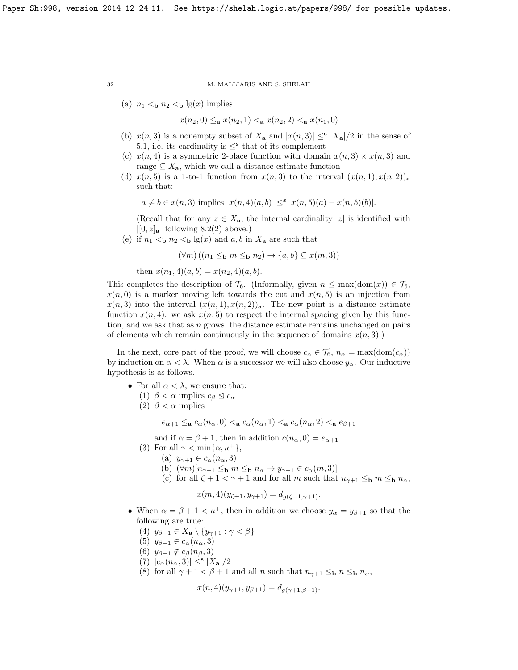(a)  $n_1 <$ <sub>b</sub>  $n_2 <$ <sub>b</sub> lg(x) implies

$$
x(n_2,0) \leq_{\mathbf{a}} x(n_2,1) <_{\mathbf{a}} x(n_2,2) <_{\mathbf{a}} x(n_1,0)
$$

- (b)  $x(n, 3)$  is a nonempty subset of  $X_a$  and  $|x(n, 3)| \leq^{\mathbf{s}} |X_a|/2$  in the sense of [5.1,](#page-19-0) i.e. its cardinality is  $\leq^{\mathbf{s}}$  that of its complement
- (c)  $x(n, 4)$  is a symmetric 2-place function with domain  $x(n, 3) \times x(n, 3)$  and range  $\subseteq X_{\mathbf{a}}$ , which we call a distance estimate function
- (d)  $x(n, 5)$  is a 1-to-1 function from  $x(n, 3)$  to the interval  $(x(n, 1), x(n, 2))$ <sub>a</sub> such that:

 $a \neq b \in x(n, 3)$  implies  $|x(n, 4)(a, b)| \leq^{s} |x(n, 5)(a) - x(n, 5)(b)|$ .

(Recall that for any  $z \in X_{\mathbf{a}}$ , the internal cardinality |z| is identified with  $|[0, z]_{\mathbf{a}}|$  following [8.2\(](#page-29-0)2) above.)

(e) if  $n_1 <$  b  $n_2 <$  b  $\lg(x)$  and a, b in  $X_a$  are such that

$$
(\forall m)((n_1 \leq_{\mathbf{b}} m \leq_{\mathbf{b}} n_2) \to \{a, b\} \subseteq x(m, 3))
$$

then  $x(n_1, 4)(a, b) = x(n_2, 4)(a, b)$ .

This completes the description of  $\mathcal{T}_6$ . (Informally, given  $n \leq \max(\text{dom}(x)) \in \mathcal{T}_6$ ,  $x(n, 0)$  is a marker moving left towards the cut and  $x(n, 5)$  is an injection from  $x(n, 3)$  into the interval  $(x(n, 1), x(n, 2))$ <sub>a</sub>. The new point is a distance estimate function  $x(n, 4)$ : we ask  $x(n, 5)$  to respect the internal spacing given by this function, and we ask that as  $n$  grows, the distance estimate remains unchanged on pairs of elements which remain continuously in the sequence of domains  $x(n, 3)$ .)

In the next, core part of the proof, we will choose  $c_{\alpha} \in \mathcal{T}_6$ ,  $n_{\alpha} = \max(\text{dom}(c_{\alpha}))$ by induction on  $\alpha < \lambda$ . When  $\alpha$  is a successor we will also choose  $y_{\alpha}$ . Our inductive hypothesis is as follows.

- For all  $\alpha < \lambda$ , we ensure that:
	- (1)  $\beta < \alpha$  implies  $c_{\beta} \leq c_{\alpha}$
	- (2)  $\beta < \alpha$  implies

 $e_{\alpha+1}\leq_{\bf a} c_\alpha(n_\alpha,0)<_{\bf a} c_\alpha(n_\alpha,1)<_{\bf a} c_\alpha(n_\alpha,2)<_{\bf a} e_{\beta+1}$ 

and if  $\alpha = \beta + 1$ , then in addition  $c(n_{\alpha}, 0) = e_{\alpha+1}$ .

- (3) For all  $\gamma < \min\{\alpha, \kappa^+\},$ 
	- (a)  $y_{\gamma+1} \in c_{\alpha}(n_{\alpha},3)$
	- (b)  $(\forall m)[n_{\gamma+1} \leq_b m \leq_b n_\alpha \rightarrow y_{\gamma+1} \in c_\alpha(m, 3)]$
	- (c) for all  $\zeta + 1 < \gamma + 1$  and for all m such that  $n_{\gamma+1} \leq_{\mathbf{b}} m \leq_{\mathbf{b}} n_{\alpha}$ ,

$$
x(m, 4)(y_{\zeta+1}, y_{\gamma+1}) = d_{g(\zeta+1, \gamma+1)}
$$
.

- <span id="page-31-0"></span>• When  $\alpha = \beta + 1 < \kappa^+$ , then in addition we choose  $y_\alpha = y_{\beta+1}$  so that the following are true:
	- (4)  $y_{\beta+1} \in X_{\mathbf{a}} \setminus \{y_{\gamma+1} : \gamma < \beta\}$
	- (5)  $y_{\beta+1} \in c_{\alpha}(n_{\alpha},3)$
	- (6)  $y_{\beta+1} \notin c_\beta(n_\beta, 3)$
	- (7)  $|c_{\alpha}(n_{\alpha},3)| \leq s |X_{\mathbf{a}}|/2$
	- (8) for all  $\gamma + 1 < \beta + 1$  and all n such that  $n_{\gamma+1} \leq_{\mathbf{b}} n \leq_{\mathbf{b}} n_{\alpha}$ ,

$$
x(n,4)(y_{\gamma+1}, y_{\beta+1}) = d_{g(\gamma+1,\beta+1)}.
$$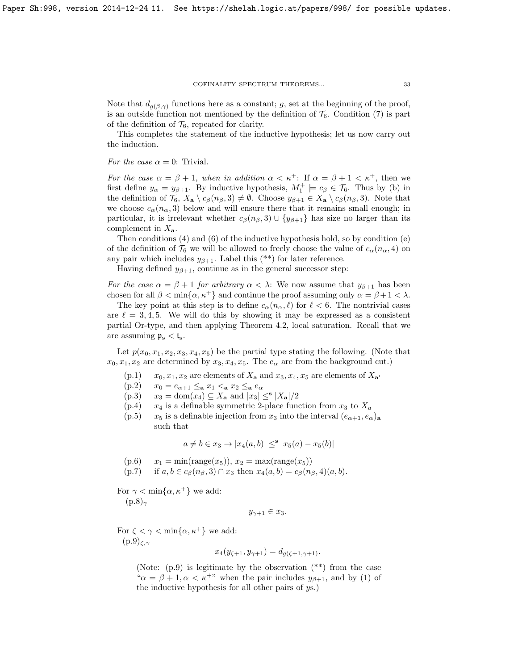Note that  $d_{g(\beta,\gamma)}$  functions here as a constant; g, set at the beginning of the proof, is an outside function not mentioned by the definition of  $\mathcal{T}_6$ . Condition [\(7\)](#page-31-0) is part of the definition of  $\mathcal{T}_6$ , repeated for clarity.

This completes the statement of the inductive hypothesis; let us now carry out the induction.

For the case  $\alpha = 0$ : Trivial.

For the case  $\alpha = \beta + 1$ , when in addition  $\alpha < \kappa^+$ : If  $\alpha = \beta + 1 < \kappa^+$ , then we first define  $y_{\alpha} = y_{\beta+1}$ . By inductive hypothesis,  $M_1^+ \models c_{\beta} \in \mathcal{T}_6$ . Thus by (b) in the definition of  $\mathcal{T}_6$ ,  $X_\mathbf{a} \setminus c_\beta(n_\beta, 3) \neq \emptyset$ . Choose  $y_{\beta+1} \in X_\mathbf{a} \setminus c_\beta(n_\beta, 3)$ . Note that we choose  $c_{\alpha}(n_{\alpha},3)$  below and will ensure there that it remains small enough; in particular, it is irrelevant whether  $c_\beta(n_\beta, 3) \cup \{y_{\beta+1}\}\$  has size no larger than its complement in  $X_{\mathbf{a}}$ .

Then conditions (4) and (6) of the inductive hypothesis hold, so by condition (e) of the definition of  $\mathcal{T}_6$  we will be allowed to freely choose the value of  $c_{\alpha}(n_{\alpha}, 4)$  on any pair which includes  $y_{\beta+1}$ . Label this (\*\*) for later reference.

Having defined  $y_{\beta+1}$ , continue as in the general successor step:

For the case  $\alpha = \beta + 1$  for arbitrary  $\alpha < \lambda$ : We now assume that  $y_{\beta+1}$  has been chosen for all  $\beta < \min\{\alpha, \kappa^+\}$  and continue the proof assuming only  $\alpha = \beta + 1 < \lambda$ .

The key point at this step is to define  $c_{\alpha}(n_{\alpha}, \ell)$  for  $\ell < 6$ . The nontrivial cases are  $\ell = 3, 4, 5$ . We will do this by showing it may be expressed as a consistent partial Or-type, and then applying Theorem [4.2,](#page-18-1) local saturation. Recall that we are assuming  $p_s < t_s$ .

Let  $p(x_0, x_1, x_2, x_3, x_4, x_5)$  be the partial type stating the following. (Note that  $x_0, x_1, x_2$  are determined by  $x_3, x_4, x_5$ . The  $e_\alpha$  are from the background cut.)

- $(p.1)$   $x_0, x_1, x_2$  are elements of  $X_a$  and  $x_3, x_4, x_5$  are elements of  $X_{a'}$
- $(p.2)$   $x_0 = e_{\alpha+1} \leq_{\mathbf{a}} x_1 <_{\mathbf{a}} x_2 \leq_{\mathbf{a}} e_{\alpha}$
- (p.3)  $x_3 = \text{dom}(x_4) \subseteq X_\mathbf{a}$  and  $|x_3| \leq |\mathbf{x}_\mathbf{a}|/2$
- $(p.4)$   $x_4$  is a definable symmetric 2-place function from  $x_3$  to  $X_a$
- (p.5)  $x_5$  is a definable injection from  $x_3$  into the interval  $(e_{\alpha+1}, e_{\alpha})_a$ such that

$$
a \neq b \in x_3 \to |x_4(a, b)| \leq^{\mathbf{s}} |x_5(a) - x_5(b)|
$$

- $(p.6)$   $x_1 = \min(\text{range}(x_5)), x_2 = \max(\text{range}(x_5))$
- (p.7) if  $a, b \in c_{\beta}(n_{\beta}, 3) \cap x_3$  then  $x_4(a, b) = c_{\beta}(n_{\beta}, 4)(a, b)$ .

For  $\gamma < \min\{\alpha, \kappa^+\}$  we add:  $(p.8)_{\gamma}$ 

$$
y_{\gamma+1} \in x_3.
$$

For  $\zeta < \gamma < \min\{\alpha, \kappa^+\}$  we add:  $(p.9)_{\zeta,\gamma}$ 

$$
x_4(y_{\zeta+1}, y_{\gamma+1}) = d_{g(\zeta+1, \gamma+1)}.
$$

(Note: (p.9) is legitimate by the observation (\*\*) from the case " $\alpha = \beta + 1, \alpha < \kappa^{+}$ " when the pair includes  $y_{\beta+1}$ , and by (1) of the inductive hypothesis for all other pairs of ys.)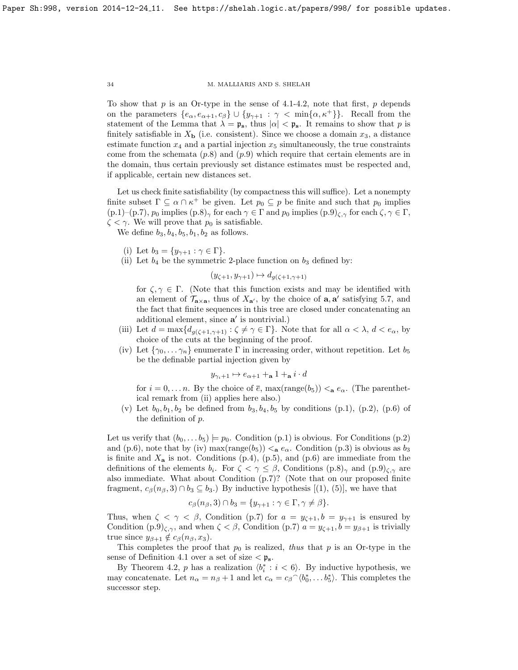To show that  $p$  is an Or-type in the sense of [4.1-](#page-17-3)[4.2,](#page-18-1) note that first,  $p$  depends on the parameters  $\{e_{\alpha}, e_{\alpha+1}, c_{\beta}\} \cup \{y_{\gamma+1} : \gamma < \min\{\alpha, \kappa^+\}\}\$ . Recall from the statement of the Lemma that  $\lambda = \mathfrak{p}_s$ , thus  $|\alpha| < \mathfrak{p}_s$ . It remains to show that p is finitely satisfiable in  $X_{\mathbf{b}}$  (i.e. consistent). Since we choose a domain  $x_3$ , a distance estimate function  $x_4$  and a partial injection  $x_5$  simultaneously, the true constraints come from the schemata  $(p.8)$  and  $(p.9)$  which require that certain elements are in the domain, thus certain previously set distance estimates must be respected and, if applicable, certain new distances set.

Let us check finite satisfiability (by compactness this will suffice). Let a nonempty finite subset  $\Gamma \subseteq \alpha \cap \kappa^+$  be given. Let  $p_0 \subseteq p$  be finite and such that  $p_0$  implies  $(p.1)-(p.7), p_0$  implies  $(p.8)_{\gamma}$  for each  $\gamma \in \Gamma$  and  $p_0$  implies  $(p.9)_{\zeta,\gamma}$  for each  $\zeta, \gamma \in \Gamma$ ,  $\zeta < \gamma$ . We will prove that  $p_0$  is satisfiable.

We define  $b_3$ ,  $b_4$ ,  $b_5$ ,  $b_1$ ,  $b_2$  as follows.

- (i) Let  $b_3 = \{y_{\gamma+1} : \gamma \in \Gamma\}.$
- (ii) Let  $b_4$  be the symmetric 2-place function on  $b_3$  defined by:

$$
(y_{\zeta+1}, y_{\gamma+1}) \mapsto d_{g(\zeta+1, \gamma+1)}
$$

for  $\zeta, \gamma \in \Gamma$ . (Note that this function exists and may be identified with an element of  $\mathcal{T}_{\mathbf{a}\times\mathbf{a}}$ , thus of  $X_{\mathbf{a}'}$ , by the choice of  $\mathbf{a}, \mathbf{a}'$  satisfying [5.7,](#page-21-2) and the fact that finite sequences in this tree are closed under concatenating an additional element, since  $a'$  is nontrivial.)

- (iii) Let  $d = \max\{d_{g(\zeta+1,\gamma+1)} : \zeta \neq \gamma \in \Gamma\}$ . Note that for all  $\alpha < \lambda, d < e_\alpha$ , by choice of the cuts at the beginning of the proof.
- (iv) Let  $\{\gamma_0, \ldots \gamma_n\}$  enumerate  $\Gamma$  in increasing order, without repetition. Let  $b_5$ be the definable partial injection given by

$$
y_{\gamma_i+1}\mapsto e_{\alpha+1}+_\mathbf{a} 1+_\mathbf{a} i\cdot d
$$

for  $i = 0, \ldots, n$ . By the choice of  $\bar{e}$ , max(range(b<sub>5</sub>))  $\lt_{a} e_{\alpha}$ . (The parenthetical remark from (ii) applies here also.)

(v) Let  $b_0, b_1, b_2$  be defined from  $b_3, b_4, b_5$  by conditions (p.1), (p.2), (p.6) of the definition of p.

Let us verify that  $(b_0, \ldots b_5) \models p_0$ . Condition  $(p.1)$  is obvious. For Conditions  $(p.2)$ and (p.6), note that by (iv) max(range( $b_5$ ))  $\leq_a e_\alpha$ . Condition (p.3) is obvious as  $b_3$ is finite and  $X_a$  is not. Conditions  $(p.4)$ ,  $(p.5)$ , and  $(p.6)$  are immediate from the definitions of the elements  $b_i$ . For  $\zeta < \gamma \leq \beta$ , Conditions  $(p.8)_{\gamma}$  and  $(p.9)_{\zeta,\gamma}$  are also immediate. What about Condition (p.7)? (Note that on our proposed finite fragment,  $c_\beta(n_\beta, 3) \cap b_3 \subseteq b_3$ .) By inductive hypothesis  $[(1), (5)]$ , we have that

$$
c_{\beta}(n_{\beta},3) \cap b_3 = \{y_{\gamma+1} : \gamma \in \Gamma, \gamma \neq \beta\}.
$$

Thus, when  $\zeta < \gamma < \beta$ , Condition (p.7) for  $a = y_{\zeta+1}, b = y_{\gamma+1}$  is ensured by Condition  $(p.9)_{\zeta,\gamma}$ , and when  $\zeta < \beta$ , Condition  $(p.7)$   $a = y_{\zeta+1}, b = y_{\beta+1}$  is trivially true since  $y_{\beta+1} \notin c_{\beta}(n_{\beta}, x_3)$ .

This completes the proof that  $p_0$  is realized, thus that p is an Or-type in the sense of Definition [4.1](#page-17-3) over a set of size  $\langle \mathfrak{p}_s \rangle$ .

By Theorem [4.2,](#page-18-1)  $p$  has a realization  $\langle b_i^* : i < 6 \rangle$ . By inductive hypothesis, we may concatenate. Let  $n_{\alpha} = n_{\beta} + 1$  and let  $c_{\alpha} = c_{\beta} \gamma b_0^*, \ldots b_5^*$ . This completes the successor step.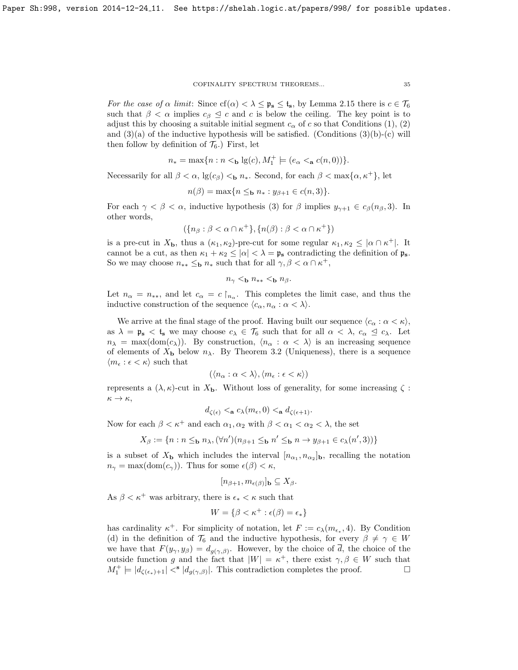For the case of  $\alpha$  limit: Since  $cf(\alpha) < \lambda \leq \mathfrak{p}_s \leq \mathfrak{t}_s$ , by Lemma [2.15](#page-13-2) there is  $c \in \mathcal{T}_6$ such that  $\beta < \alpha$  implies  $c_{\beta} \leq c$  and c is below the ceiling. The key point is to adjust this by choosing a suitable initial segment  $c_{\alpha}$  of c so that Conditions (1), (2) and  $(3)(a)$  of the inductive hypothesis will be satisfied. (Conditions  $(3)(b)-(c)$  will then follow by definition of  $\mathcal{T}_6$ .) First, let

$$
n_*=\max\{n: n<_{\mathbf{b}}\lg(c), M_1^+\models (e_\alpha <_{\mathbf{a}}c(n,0))\}.
$$

Necessarily for all  $\beta < \alpha$ ,  $\lg(c_{\beta}) <_{\mathbf{b}} n_*$ . Second, for each  $\beta < \max\{\alpha, \kappa^+\}$ , let

$$
n(\beta) = \max\{n \leq_{\mathbf{b}} n_* : y_{\beta+1} \in c(n,3)\}.
$$

For each  $\gamma < \beta < \alpha$ , inductive hypothesis (3) for  $\beta$  implies  $y_{\gamma+1} \in c_{\beta}(n_{\beta}, 3)$ . In other words,

$$
(\{n_\beta : \beta < \alpha \cap \kappa^+ \}, \{n(\beta) : \beta < \alpha \cap \kappa^+ \})
$$

is a pre-cut in  $X_{\mathbf{b}}$ , thus a  $(\kappa_1, \kappa_2)$ -pre-cut for some regular  $\kappa_1, \kappa_2 \leq |\alpha \cap \kappa^+|$ . It cannot be a cut, as then  $\kappa_1 + \kappa_2 \leq |\alpha| < \lambda = \mathfrak{p}_s$  contradicting the definition of  $\mathfrak{p}_s$ . So we may choose  $n_{**} \leq_{\mathbf{b}} n_*$  such that for all  $\gamma, \beta < \alpha \cap \kappa^+,$ 

$$
n_{\gamma} <_{\mathbf{b}} n_{**} <_{\mathbf{b}} n_{\beta}.
$$

Let  $n_{\alpha} = n_{**}$ , and let  $c_{\alpha} = c \nvert_{n_{\alpha}}$ . This completes the limit case, and thus the inductive construction of the sequence  $\langle c_{\alpha}, n_{\alpha} : \alpha < \lambda \rangle$ .

We arrive at the final stage of the proof. Having built our sequence  $\langle c_{\alpha} : \alpha < \kappa \rangle$ , as  $\lambda = \mathfrak{p}_s < \mathfrak{t}_s$  we may choose  $c_{\lambda} \in \mathcal{T}_6$  such that for all  $\alpha < \lambda$ ,  $c_{\alpha} \leq c_{\lambda}$ . Let  $n_{\lambda} = \max(\text{dom}(c_{\lambda}))$ . By construction,  $\langle n_{\alpha} : \alpha < \lambda \rangle$  is an increasing sequence of elements of  $X_{\mathbf{b}}$  below  $n_{\lambda}$ . By Theorem [3.2](#page-14-0) (Uniqueness), there is a sequence  $\langle m_{\epsilon} : \epsilon < \kappa \rangle$  such that

$$
(\langle n_\alpha : \alpha < \lambda \rangle, \langle m_\epsilon : \epsilon < \kappa \rangle)
$$

represents a  $(\lambda, \kappa)$ -cut in  $X_{\mathbf{b}}$ . Without loss of generality, for some increasing  $\zeta$ :  $\kappa \to \kappa$ ,

$$
d_{\zeta(\epsilon)} <_{\mathbf{a}} c_{\lambda}(m_{\epsilon}, 0) <_{\mathbf{a}} d_{\zeta(\epsilon+1)}.
$$

Now for each  $\beta < \kappa^+$  and each  $\alpha_1, \alpha_2$  with  $\beta < \alpha_1 < \alpha_2 < \lambda$ , the set

$$
X_{\beta} := \{ n : n \leq_{\mathbf{b}} n_{\lambda}, (\forall n')(n_{\beta+1} \leq_{\mathbf{b}} n' \leq_{\mathbf{b}} n \to y_{\beta+1} \in c_{\lambda}(n', 3)) \}
$$

is a subset of  $X_{\mathbf{b}}$  which includes the interval  $[n_{\alpha_1}, n_{\alpha_2}]_{\mathbf{b}}$ , recalling the notation  $n_{\gamma} = \max(\text{dom}(c_{\gamma}))$ . Thus for some  $\epsilon(\beta) < \kappa$ ,

$$
[n_{\beta+1}, m_{\epsilon(\beta)}]_{\mathbf{b}} \subseteq X_{\beta}.
$$

As  $\beta < \kappa^+$  was arbitrary, there is  $\epsilon_* < \kappa$  such that

$$
W = \{ \beta < \kappa^+ : \epsilon(\beta) = \epsilon_* \}
$$

has cardinality  $\kappa^+$ . For simplicity of notation, let  $F := c_{\lambda}(m_{\epsilon_*}, 4)$ . By Condition (d) in the definition of  $\mathcal{T}_6$  and the inductive hypothesis, for every  $\beta \neq \gamma \in W$ we have that  $F(y_\gamma, y_\beta) = d_{g(\gamma, \beta)}$ . However, by the choice of d, the choice of the outside function g and the fact that  $|W| = \kappa^+$ , there exist  $\gamma, \beta \in W$  such that  $M_1^+ \models |d_{\zeta(\epsilon_*)+1}| <^{\mathbf{s}} |d_{g(\gamma,\beta)}|$ . This contradiction completes the proof.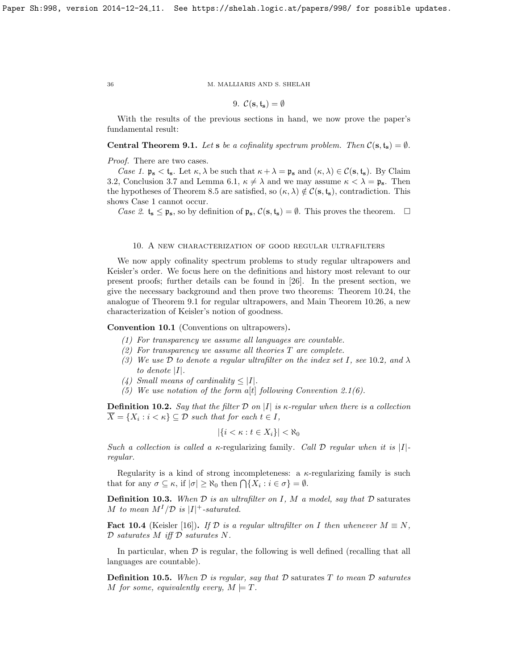9.  $\mathcal{C}(\mathbf{s}, \mathbf{t}_{\mathbf{s}}) = \emptyset$ 

With the results of the previous sections in hand, we now prove the paper's fundamental result:

<span id="page-35-2"></span>**Central Theorem 9.1.** Let s be a cofinality spectrum problem. Then  $C(s, t_s) = \emptyset$ .

Proof. There are two cases.

Case 1.  $\mathfrak{p}_s < \mathfrak{t}_s$ . Let  $\kappa, \lambda$  be such that  $\kappa + \lambda = \mathfrak{p}_s$  and  $(\kappa, \lambda) \in \mathcal{C}(s, \mathfrak{t}_s)$ . By Claim [3.2,](#page-14-0) Conclusion [3.7](#page-16-2) and Lemma [6.1,](#page-23-3)  $\kappa \neq \lambda$  and we may assume  $\kappa < \lambda = \mathfrak{p}_s$ . Then the hypotheses of Theorem [8.5](#page-30-0) are satisfied, so  $(\kappa, \lambda) \notin C(\mathbf{s}, \mathbf{t}_{\mathbf{s}})$ , contradiction. This shows Case 1 cannot occur.

Case 2.  $t_s \leq \mathfrak{p}_s$ , so by definition of  $\mathfrak{p}_s$ ,  $\mathcal{C}(s, t_s) = \emptyset$ . This proves the theorem.  $\Box$ 

# 10. A new characterization of good regular ultrafilters

<span id="page-35-1"></span>We now apply cofinality spectrum problems to study regular ultrapowers and Keisler's order. We focus here on the definitions and history most relevant to our present proofs; further details can be found in [\[26\]](#page-59-12). In the present section, we give the necessary background and then prove two theorems: Theorem [10.24,](#page-41-3) the analogue of Theorem [9.1](#page-35-2) for regular ultrapowers, and Main Theorem [10.26,](#page-41-1) a new characterization of Keisler's notion of goodness.

Convention 10.1 (Conventions on ultrapowers).

- (1) For transparency we assume all languages are countable.
- (2) For transparency we assume all theories  $T$  are complete.
- (3) We use  $\mathcal D$  to denote a regular ultrafilter on the index set I, see [10](#page-35-3).2, and  $\lambda$ to denote  $|I|$ .
- (4) Small means of cardinality  $\leq |I|$ .
- (5) We use notation of the form a[t] following Convention [2.1\(](#page-6-2)6).

<span id="page-35-3"></span>**Definition 10.2.** Say that the filter D on |I| is  $\kappa$ -regular when there is a collection  $X = \{X_i : i < \kappa\} \subseteq \mathcal{D}$  such that for each  $t \in I$ ,

$$
|\{i < \kappa : t \in X_i\}| < \aleph_0
$$

Such a collection is called a  $\kappa$ -regularizing family. Call D regular when it is |I|regular.

Regularity is a kind of strong incompleteness: a  $\kappa$ -regularizing family is such that for any  $\sigma \subseteq \kappa$ , if  $|\sigma| \geq \aleph_0$  then  $\bigcap \{X_i : i \in \sigma\} = \emptyset$ .

**Definition 10.3.** When  $D$  is an ultrafilter on I, M a model, say that  $D$  saturates M to mean  $M^I/\mathcal{D}$  is  $|I|^+$ -saturated.

**Fact 10.4** (Keisler [\[16\]](#page-58-10)). If D is a regular ultrafilter on I then whenever  $M \equiv N$ ,  $D$  saturates  $M$  iff  $D$  saturates  $N$ .

In particular, when  $\mathcal D$  is regular, the following is well defined (recalling that all languages are countable).

**Definition 10.5.** When  $\mathcal D$  is regular, say that  $\mathcal D$  saturates  $T$  to mean  $\mathcal D$  saturates M for some, equivalently every,  $M \models T$ .

<span id="page-35-0"></span>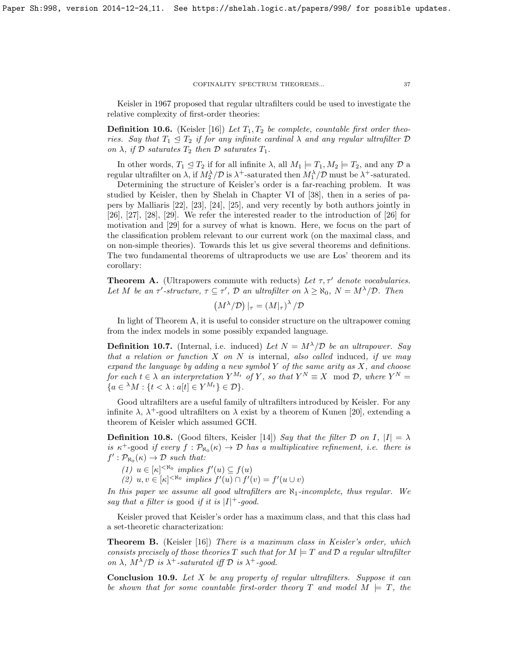Keisler in 1967 proposed that regular ultrafilters could be used to investigate the relative complexity of first-order theories:

**Definition 10.6.** (Keisler [\[16\]](#page-58-10)) Let  $T_1, T_2$  be complete, countable first order theories. Say that  $T_1 \leq T_2$  if for any infinite cardinal  $\lambda$  and any regular ultrafilter  $\mathcal D$ on  $\lambda$ , if  $\mathcal D$  saturates  $T_2$  then  $\mathcal D$  saturates  $T_1$ .

In other words,  $T_1 \trianglelefteq T_2$  if for all infinite  $\lambda$ , all  $M_1 \models T_1, M_2 \models T_2$ , and any  $\mathcal{D}$  a regular ultrafilter on  $\lambda$ , if  $M_2^{\lambda}/\mathcal{D}$  is  $\lambda^+$ -saturated then  $M_1^{\lambda}/\mathcal{D}$  must be  $\lambda^+$ -saturated.

Determining the structure of Keisler's order is a far-reaching problem. It was studied by Keisler, then by Shelah in Chapter VI of [\[38\]](#page-59-5), then in a series of papers by Malliaris [\[22\]](#page-58-8), [\[23\]](#page-58-11), [\[24\]](#page-59-7), [\[25\]](#page-59-8), and very recently by both authors jointly in [\[26\]](#page-59-12), [\[27\]](#page-59-13), [\[28\]](#page-59-6), [\[29\]](#page-59-14). We refer the interested reader to the introduction of [\[26\]](#page-59-12) for motivation and [\[29\]](#page-59-14) for a survey of what is known. Here, we focus on the part of the classification problem relevant to our current work (on the maximal class, and on non-simple theories). Towards this let us give several theorems and definitions. The two fundamental theorems of ultraproducts we use are Los' theorem and its corollary:

<span id="page-36-1"></span>**Theorem A.** (Ultrapowers commute with reducts) Let  $\tau$ ,  $\tau'$  denote vocabularies. Let M be an  $\tau'$ -structure,  $\tau \subseteq \tau'$ ,  $\mathcal D$  an ultrafilter on  $\lambda \geq \aleph_0$ ,  $N = M^{\lambda}/\mathcal D$ . Then

$$
(M^{\lambda}/\mathcal{D})|_{\tau} = (M|_{\tau})^{\lambda}/\mathcal{D}
$$

In light of Theorem [A,](#page-36-1) it is useful to consider structure on the ultrapower coming from the index models in some possibly expanded language.

**Definition 10.7.** (Internal, i.e. induced) Let  $N = M^{\lambda}/\mathcal{D}$  be an ultrapower. Say that a relation or function  $X$  on  $N$  is internal, also called induced, if we may expand the language by adding a new symbol  $Y$  of the same arity as  $X$ , and choose for each  $t \in \lambda$  an interpretation  $Y^{M_t}$  of Y, so that  $Y^N \equiv X \mod \mathcal{D}$ , where  $Y^N =$  ${a \in {}^{\lambda}M : \{t < \lambda : a[t] \in Y^{M_t}\} \in \mathcal{D}}.$ 

Good ultrafilters are a useful family of ultrafilters introduced by Keisler. For any infinite  $\lambda$ ,  $\lambda^+$ -good ultrafilters on  $\lambda$  exist by a theorem of Kunen [\[20\]](#page-58-7), extending a theorem of Keisler which assumed GCH.

<span id="page-36-0"></span>**Definition 10.8.** (Good filters, Keisler [\[14\]](#page-58-6)) Say that the filter D on I,  $|I| = \lambda$ is  $\kappa^+$ -good if every  $f : \mathcal{P}_{\aleph_0}(\kappa) \to \mathcal{D}$  has a multiplicative refinement, i.e. there is  $f': \mathcal{P}_{\aleph_0}(\kappa) \to \mathcal{D}$  such that:

(1)  $u \in [\kappa]^{<\aleph_0}$  implies  $f'(u) \subseteq f(u)$ 

(2)  $u, v \in [\kappa]^{< \aleph_0}$  implies  $f'(u) \cap f'(v) = f'(u \cup v)$ 

In this paper we assume all good ultrafilters are  $\aleph_1$ -incomplete, thus regular. We say that a filter is good if it is  $|I|$ <sup>+</sup>-good.

Keisler proved that Keisler's order has a maximum class, and that this class had a set-theoretic characterization:

<span id="page-36-2"></span>**Theorem B.** (Keisler [\[16\]](#page-58-10)) There is a maximum class in Keisler's order, which consists precisely of those theories T such that for  $M \models T$  and  $D$  a regular ultrafilter on  $\lambda$ ,  $M^{\lambda}/\mathcal{D}$  is  $\lambda^{+}$ -saturated iff  $\mathcal{D}$  is  $\lambda^{+}$ -good.

<span id="page-36-3"></span>**Conclusion 10.9.** Let  $X$  be any property of regular ultrafilters. Suppose it can be shown that for some countable first-order theory T and model  $M \models T$ , the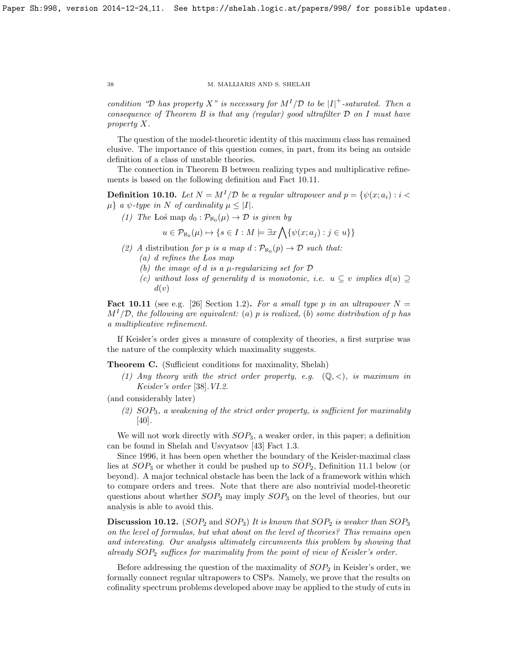condition "D has property X" is necessary for  $M^{I}/\mathcal{D}$  to be |I|<sup>+</sup>-saturated. Then a consequence of Theorem [B](#page-36-2) is that any (regular) good ultrafilter  $D$  on I must have property X.

The question of the model-theoretic identity of this maximum class has remained elusive. The importance of this question comes, in part, from its being an outside definition of a class of unstable theories.

The connection in Theorem [B](#page-36-2) between realizing types and multiplicative refinements is based on the following definition and Fact [10.11.](#page-37-0)

<span id="page-37-2"></span>**Definition 10.10.** Let  $N = M^{I}/\mathcal{D}$  be a regular ultrapower and  $p = \{\psi(x; a_i) : i <$  $\mu$  a  $\psi$ -type in N of cardinality  $\mu \leq |I|$ .

(1) The Los map  $d_0: \mathcal{P}_{\aleph_0}(\mu) \to \mathcal{D}$  is given by

$$
u \in \mathcal{P}_{\aleph_0}(\mu) \mapsto \{ s \in I : M \models \exists x \bigwedge \{ \psi(x; a_j) : j \in u \} \}
$$

- (2) A distribution for p is a map  $d : \mathcal{P}_{\aleph_0}(p) \to \mathcal{D}$  such that:
	- (a) d refines the Los map
	- (b) the image of d is a  $\mu$ -regularizing set for  $D$
	- (c) without loss of generality d is monotonic, i.e.  $u \subseteq v$  implies  $d(u) \supseteq$  $d(v)$

<span id="page-37-0"></span>**Fact 10.11** (see e.g. [\[26\]](#page-59-12) Section 1.2). For a small type p in an ultrapower  $N =$  $M^{1}/\mathcal{D}$ , the following are equivalent: (a) p is realized, (b) some distribution of p has a multiplicative refinement.

If Keisler's order gives a measure of complexity of theories, a first surprise was the nature of the complexity which maximality suggests.

<span id="page-37-1"></span>Theorem C. (Sufficient conditions for maximality, Shelah)

(1) Any theory with the strict order property, e.g.  $(\mathbb{Q}, \leq)$ , is maximum in Keisler's order [\[38\]](#page-59-5).VI.2.

(and considerably later)

(2)  $SOP_3$ , a weakening of the strict order property, is sufficient for maximality  $|40|$ .

We will not work directly with  $SOP_3$ , a weaker order, in this paper; a definition can be found in Shelah and Usvyatsov [\[43\]](#page-59-10) Fact 1.3.

Since 1996, it has been open whether the boundary of the Keisler-maximal class lies at  $SOP_3$  or whether it could be pushed up to  $SOP_2$ , Definition [11.1](#page-42-0) below (or beyond). A major technical obstacle has been the lack of a framework within which to compare orders and trees. Note that there are also nontrivial model-theoretic questions about whether  $SOP_2$  may imply  $SOP_3$  on the level of theories, but our analysis is able to avoid this.

**Discussion 10.12.** (SOP<sub>2</sub> and SOP<sub>3</sub>) It is known that SOP<sub>2</sub> is weaker than SOP<sub>3</sub> on the level of formulas, but what about on the level of theories? This remains open and interesting. Our analysis ultimately circumvents this problem by showing that already  $SOP_2$  suffices for maximality from the point of view of Keisler's order.

Before addressing the question of the maximality of  $SOP<sub>2</sub>$  in Keisler's order, we formally connect regular ultrapowers to CSPs. Namely, we prove that the results on cofinality spectrum problems developed above may be applied to the study of cuts in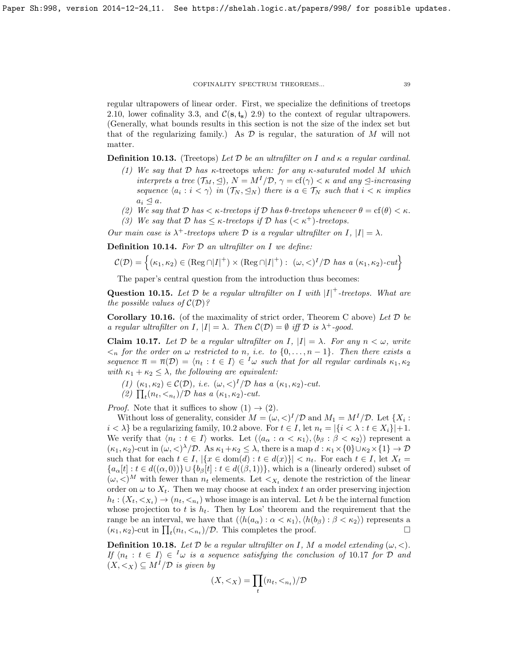regular ultrapowers of linear order. First, we specialize the definitions of treetops [2.10,](#page-11-4) lower cofinality [3.3,](#page-16-4) and  $\mathcal{C}(s, t_s)$  [2.9\)](#page-11-0) to the context of regular ultrapowers. (Generally, what bounds results in this section is not the size of the index set but that of the regularizing family.) As  $\mathcal D$  is regular, the saturation of  $M$  will not matter.

<span id="page-38-2"></span>**Definition 10.13.** (Treetops) Let D be an ultrafilter on I and  $\kappa$  a regular cardinal.

- (1) We say that  $D$  has  $\kappa$ -treetops when: for any  $\kappa$ -saturated model M which interprets a tree  $(\mathcal{T}_M, \leq), N = M^I/\mathcal{D}, \gamma = \text{cf}(\gamma) < \kappa$  and any  $\leq$ -increasing sequence  $\langle a_i : i \langle \gamma \rangle$  in  $(\mathcal{T}_N, \leq_N)$  there is  $a \in \mathcal{T}_N$  such that  $i \langle \kappa \rangle$  implies  $a_i \trianglelefteq a.$
- (2) We say that  $\mathcal D$  has  $\lt \kappa$ -treetops if  $\mathcal D$  has  $\theta$ -treetops whenever  $\theta = \text{cf}(\theta) \lt \kappa$ .
- (3) We say that  $D$  has  $\leq \kappa$ -treetops if  $D$  has  $( $\kappa^+$ )-treetops.$

Our main case is  $\lambda^+$ -treetops where  $\mathcal D$  is a regular ultrafilter on I,  $|I| = \lambda$ .

**Definition 10.14.** For  $D$  an ultrafilter on  $I$  we define:

$$
\mathcal{C}(\mathcal{D}) = \left\{ (\kappa_1, \kappa_2) \in (\text{Reg} \cap |I|^+) \times (\text{Reg} \cap |I|^+) : (\omega, \langle I \rangle^I / \mathcal{D} \text{ has a } (\kappa_1, \kappa_2) \text{-}cut \right\}
$$

The paper's central question from the introduction thus becomes:

**Question 10.15.** Let  $D$  be a regular ultrafilter on I with  $|I|$ <sup>+</sup>-treetops. What are the possible values of  $\mathcal{C}(\mathcal{D})$ ?

<span id="page-38-3"></span>**Corollary 10.16.** (of the maximality of strict order, Theorem [C](#page-37-1) above) Let  $D$  be a regular ultrafilter on I,  $|I| = \lambda$ . Then  $C(\mathcal{D}) = \emptyset$  iff  $\mathcal D$  is  $\lambda^+$ -good.

<span id="page-38-0"></span>**Claim 10.17.** Let D be a regular ultrafilter on I,  $|I| = \lambda$ . For any  $n < \omega$ , write  $\langle n \rangle$  for the order on  $\omega$  restricted to n, i.e. to  $\{0, \ldots, n-1\}$ . Then there exists a sequence  $\overline{n} = \overline{n}(\mathcal{D}) = \langle n_t : t \in I \rangle \in \overline{I} \omega$  such that for all regular cardinals  $\kappa_1, \kappa_2$ with  $\kappa_1 + \kappa_2 \leq \lambda$ , the following are equivalent:

- (1)  $(\kappa_1, \kappa_2) \in \mathcal{C}(\mathcal{D}),$  i.e.  $(\omega, \langle)^I/\mathcal{D}$  has a  $(\kappa_1, \kappa_2)$ -cut.
- (2)  $\prod_t(n_t, \langle n_t \rangle/\mathcal{D}$  has a  $(\kappa_1, \kappa_2)$ -cut.

*Proof.* Note that it suffices to show  $(1) \rightarrow (2)$ .

Without loss of generality, consider  $M = (\omega, <)^{I}/\mathcal{D}$  and  $M_1 = M^{I}/\mathcal{D}$ . Let  $\{X_i :$  $i < \lambda$  be a regularizing family, [10.2](#page-35-3) above. For  $t \in I$ , let  $n_t = |\{i < \lambda : t \in X_i\}| + 1$ . We verify that  $\langle n_t : t \in I \rangle$  works. Let  $(\langle a_\alpha : \alpha < \kappa_1 \rangle, \langle b_\beta : \beta < \kappa_2 \rangle)$  represent a  $(\kappa_1, \kappa_2)$ -cut in  $(\omega, \langle \rangle^{\lambda}/\mathcal{D})$ . As  $\kappa_1 + \kappa_2 \leq \lambda$ , there is a map  $d : \kappa_1 \times \{0\} \cup \kappa_2 \times \{1\} \to \mathcal{D}$ such that for each  $t \in I$ ,  $|\{x \in dom(d) : t \in d(x)\}| < n_t$ . For each  $t \in I$ , let  $X_t =$  ${a_{\alpha}[t]: t \in d((\alpha,0))\} \cup {b_{\beta}[t]: t \in d((\beta,1))},$  which is a (linearly ordered) subset of  $(\omega, \langle W \rangle^M)$  with fewer than  $n_t$  elements. Let  $\langle X_t \rangle$  denote the restriction of the linear order on  $\omega$  to  $X_t$ . Then we may choose at each index t an order preserving injection  $h_t: (X_t, \langle X_t \rangle \to (n_t, \langle X_t \rangle \cdot \text{whose image is an interval. Let } h$  be the internal function whose projection to t is  $h_t$ . Then by Los' theorem and the requirement that the range be an interval, we have that  $(\langle h(a_{\alpha}): \alpha < \kappa_1 \rangle, \langle h(b_{\beta}): \beta < \kappa_2 \rangle)$  represents a  $(\kappa_1, \kappa_2)$ -cut in  $\prod_t (n_t, \langle n_t \rangle / \mathcal{D})$ . This completes the proof.

<span id="page-38-1"></span>**Definition 10.18.** Let  $\mathcal D$  be a regular ultrafilter on I, M a model extending  $(\omega, <)$ . If  $\{n_t : t \in I\} \in \mathcal{I} \omega$  is a sequence satisfying the conclusion of [10](#page-38-0).17 for D and  $(X, \leq_X) \subseteq M^I/\mathcal{D}$  is given by

$$
(X, <_X) = \prod_t (n_t, <_{n_t})/\mathcal{D}
$$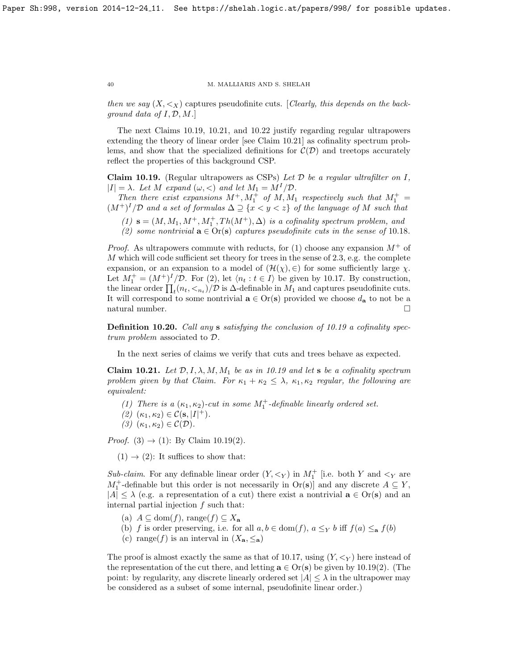then we say  $(X, \leq_X)$  captures pseudofinite cuts. [Clearly, this depends on the background data of  $I, \mathcal{D}, M$ .

The next Claims [10.19,](#page-39-0) [10.21,](#page-39-1) and [10.22](#page-40-0) justify regarding regular ultrapowers extending the theory of linear order [see Claim [10.21\]](#page-39-1) as cofinality spectrum problems, and show that the specialized definitions for  $\mathcal{C}(\mathcal{D})$  and treetops accurately reflect the properties of this background CSP.

<span id="page-39-0"></span>Claim 10.19. (Regular ultrapowers as CSPs) Let  $D$  be a regular ultrafilter on  $I$ ,  $|I| = \lambda$ . Let M expand  $(\omega, <)$  and let  $M_1 = M^I/\mathcal{D}$ .

Then there exist expansions  $M^+, M_1^+$  of  $M, M_1$  respectively such that  $M_1^+$  =  $(M^+)^I/D$  and a set of formulas  $\Delta \supseteq \{x < y < z\}$  of the language of M such that

- (1)  $\mathbf{s} = (M, M_1, M^+, M_1^+, Th(M^+), \Delta)$  is a cofinality spectrum problem, and
- (2) some nontrivial  $\mathbf{a} \in \text{Or}(\mathbf{s})$  captures pseudofinite cuts in the sense of [10](#page-38-1).18.

*Proof.* As ultrapowers commute with reducts, for (1) choose any expansion  $M^+$  of  $M$  which will code sufficient set theory for trees in the sense of [2.3,](#page-8-1) e.g. the complete expansion, or an expansion to a model of  $(\mathcal{H}(\chi), \in)$  for some sufficiently large  $\chi$ . Let  $M_1^+ = (M^+)^I / \mathcal{D}$ . For (2), let  $\langle n_t : t \in I \rangle$  be given by [10.17.](#page-38-0) By construction, the linear order  $\prod_t (n_t, \langle n_t \rangle/\mathcal{D})$  is  $\Delta$ -definable in  $M_1$  and captures pseudofinite cuts. It will correspond to some nontrivial  $\mathbf{a} \in \text{Or}(\mathbf{s})$  provided we choose  $d_{\mathbf{a}}$  to not be a natural number. $\hfill \square$ 

Definition 10.20. Call any s satisfying the conclusion of [10.19](#page-39-0) a cofinality spectrum problem associated to D.

In the next series of claims we verify that cuts and trees behave as expected.

<span id="page-39-1"></span>Claim 10.21. Let  $\mathcal{D}, I, \lambda, M, M_1$  be as in [10.19](#page-39-0) and let s be a cofinality spectrum problem given by that Claim. For  $\kappa_1 + \kappa_2 \leq \lambda$ ,  $\kappa_1, \kappa_2$  regular, the following are equivalent:

- (1) There is a  $(\kappa_1, \kappa_2)$ -cut in some  $M_1^+$ -definable linearly ordered set.
- (2)  $(\kappa_1, \kappa_2) \in C(\mathbf{s}, |I|^+).$
- (3)  $(\kappa_1, \kappa_2) \in \mathcal{C}(\mathcal{D}).$

*Proof.* (3)  $\rightarrow$  (1): By Claim [10.19\(](#page-39-0)2).

 $(1) \rightarrow (2)$ : It suffices to show that:

Sub-claim. For any definable linear order  $(Y, \leq_Y)$  in  $M_1^+$  [i.e. both Y and  $\leq_Y$  are  $M_1^+$ -definable but this order is not necessarily in  $\text{Or}(s)$  and any discrete  $A \subseteq Y$ ,  $|A| \leq \lambda$  (e.g. a representation of a cut) there exist a nontrivial  $\mathbf{a} \in \text{Or}(\mathbf{s})$  and an internal partial injection f such that:

- (a)  $A \subseteq \text{dom}(f)$ , range $(f) \subseteq X_{\mathbf{a}}$
- (b) f is order preserving, i.e. for all  $a, b \in \text{dom}(f)$ ,  $a \leq_Y b$  iff  $f(a) \leq_{\mathbf{a}} f(b)$
- (c) range(f) is an interval in  $(X_{\mathbf{a}}, \leq_{\mathbf{a}})$

The proof is almost exactly the same as that of [10.17,](#page-38-0) using  $(Y, \leq_Y)$  here instead of the representation of the cut there, and letting  $\mathbf{a} \in \text{Or}(\mathbf{s})$  be given by [10.19\(](#page-39-0)2). (The point: by regularity, any discrete linearly ordered set  $|A| \leq \lambda$  in the ultrapower may be considered as a subset of some internal, pseudofinite linear order.)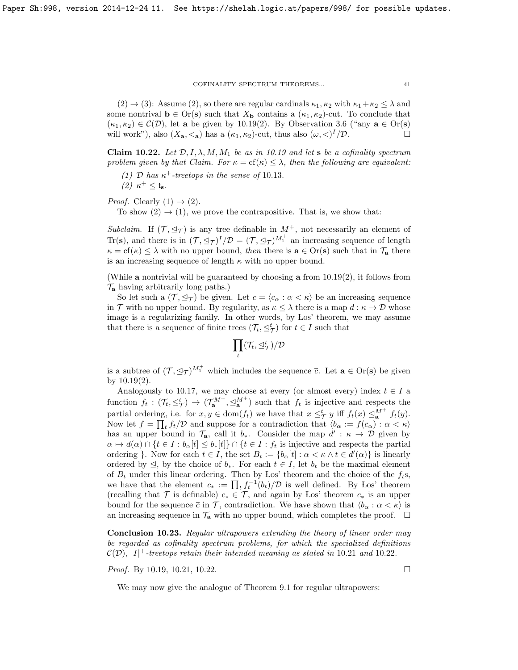$(2) \rightarrow (3)$ : Assume (2), so there are regular cardinals  $\kappa_1, \kappa_2$  with  $\kappa_1 + \kappa_2 \leq \lambda$  and some nontrival  $\mathbf{b} \in \text{Or}(\mathbf{s})$  such that  $X_{\mathbf{b}}$  contains a  $(\kappa_1, \kappa_2)$ -cut. To conclude that  $(\kappa_1, \kappa_2) \in \mathcal{C}(\mathcal{D})$ , let a be given by [10.19\(](#page-39-0)2). By Observation [3.6](#page-16-1) ("any  $\mathbf{a} \in \text{Or}(\mathbf{s})$ will work"), also  $(X_{\mathbf{a}}, <_{\mathbf{a}})$  has a  $(\kappa_1, \kappa_2)$ -cut, thus also  $(\omega, <)^I/\mathcal{D}$ .

<span id="page-40-0"></span>Claim 10.22. Let  $\mathcal{D}, I, \lambda, M, M_1$  be as in [10.19](#page-39-0) and let s be a cofinality spectrum problem given by that Claim. For  $\kappa = cf(\kappa) \leq \lambda$ , then the following are equivalent:

(1) D has  $\kappa^+$ -treetops in the sense of [10](#page-38-2).13. (2)  $\kappa^+ \leq \mathfrak{t}_s$ .

*Proof.* Clearly  $(1) \rightarrow (2)$ .

To show  $(2) \rightarrow (1)$ , we prove the contrapositive. That is, we show that:

Subclaim. If  $(\mathcal{T}, \trianglelefteq_{\mathcal{T}})$  is any tree definable in  $M^+$ , not necessarily an element of Tr(s), and there is in  $(\mathcal{T}, \preceq_{\mathcal{T}})^I/\mathcal{D} = (\mathcal{T}, \preceq_{\mathcal{T}})^{M_1^+}$  an increasing sequence of length  $\kappa = \text{cf}(\kappa) \leq \lambda$  with no upper bound, then there is  $\mathbf{a} \in \text{Or}(\mathbf{s})$  such that in  $\mathcal{T}_{\mathbf{a}}$  there is an increasing sequence of length  $\kappa$  with no upper bound.

(While a nontrivial will be guaranteed by choosing a from [10.19\(](#page-39-0)2), it follows from  $\mathcal{T}_{\mathbf{a}}$  having arbitrarily long paths.)

So let such a  $(\mathcal{T}, \preceq_{\mathcal{T}})$  be given. Let  $\bar{c} = \langle c_{\alpha} : \alpha < \kappa \rangle$  be an increasing sequence in T with no upper bound. By regularity, as  $\kappa \leq \lambda$  there is a map  $d : \kappa \to \mathcal{D}$  whose image is a regularizing family. In other words, by Los' theorem, we may assume that there is a sequence of finite trees  $(\mathcal{T}_t, \leq^t_{\mathcal{T}})$  for  $t \in I$  such that

$$
\prod_t(\mathcal{T}_t,\unlhd_{\mathcal{T}}^t)/\mathcal{D}
$$

is a subtree of  $(\mathcal{T}, \trianglelefteq_{\mathcal{T}})^{M_1^+}$  which includes the sequence  $\bar{c}$ . Let  $\mathbf{a} \in \text{Or}(\mathbf{s})$  be given by [10.19\(](#page-39-0)2).

Analogously to [10.17,](#page-38-0) we may choose at every (or almost every) index  $t \in I$  a function  $f_t: (\mathcal{T}_t, \leq^t_\mathcal{T}) \to (\mathcal{T}_{\mathbf{a}}^{M^+}, \leq^M_{\mathbf{a}}^t)$  such that  $f_t$  is injective and respects the partial ordering, i.e. for  $x, y \in \text{dom}(f_t)$  we have that  $x \leq^t_\mathcal{T} y$  iff  $f_t(x) \leq^{\mathcal{M}^+}_{\mathbf{a}} f_t(y)$ . Now let  $f = \prod_t f_t/\mathcal{D}$  and suppose for a contradiction that  $\langle b_\alpha := f(c_\alpha) : \alpha < \kappa \rangle$ has an upper bound in  $\mathcal{T}_a$ , call it  $b_*$ . Consider the map  $d' : \kappa \to \mathcal{D}$  given by  $\alpha \mapsto d(\alpha) \cap \{t \in I : b_{\alpha}[t] \subseteq b_{*}[t]\} \cap \{t \in I : f_{t} \text{ is injective and respects the partial }$ ordering }. Now for each  $t \in I$ , the set  $B_t := \{b_\alpha[t] : \alpha < \kappa \wedge t \in d'(\alpha)\}\$ is linearly ordered by  $\leq$ , by the choice of  $b_*$ . For each  $t \in I$ , let  $b_t$  be the maximal element of  $B_t$  under this linear ordering. Then by Los' theorem and the choice of the  $f_t$ s, we have that the element  $c_* := \prod_t f_t^{-1}(b_t)/\mathcal{D}$  is well defined. By Los' theorem (recalling that  $\mathcal T$  is definable)  $c_* \in \mathcal T$ , and again by Los' theorem  $c_*$  is an upper bound for the sequence  $\bar{c}$  in  $\mathcal{T}$ , contradiction. We have shown that  $\langle b_{\alpha} : \alpha < \kappa \rangle$  is an increasing sequence in  $\mathcal{T}_a$  with no upper bound, which completes the proof.  $\Box$ 

Conclusion 10.23. Regular ultrapowers extending the theory of linear order may be regarded as cofinality spectrum problems, for which the specialized definitions  $\mathcal{C}(\mathcal{D}), |I|$ <sup>+</sup>-treetops retain their intended meaning as stated in [10](#page-40-0).21 and 10.22.

*Proof.* By [10.19,](#page-39-0) [10.21,](#page-39-1) [10.22.](#page-40-0)

We may now give the analogue of Theorem [9.1](#page-35-2) for regular ultrapowers: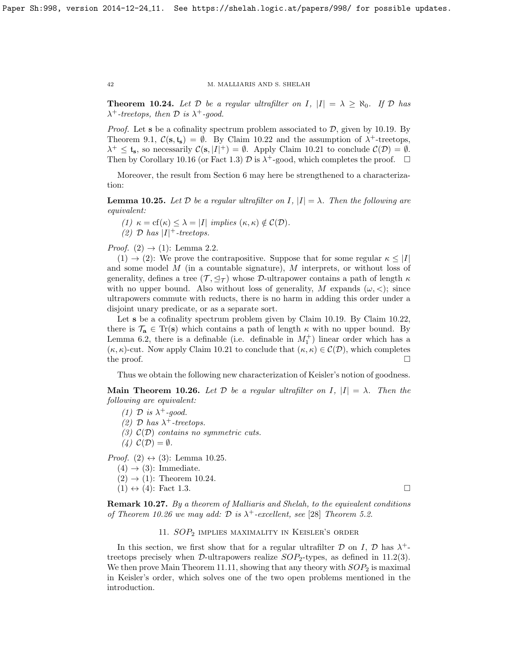<span id="page-41-3"></span>**Theorem 10.24.** Let  $D$  be a regular ultrafilter on I,  $|I| = \lambda \geq \aleph_0$ . If  $D$  has  $\lambda^+$ -treetops, then  $\mathcal D$  is  $\lambda^+$ -good.

*Proof.* Let **s** be a cofinality spectrum problem associated to  $D$ , given by [10.19.](#page-39-0) By Theorem [9.1,](#page-35-2)  $\mathcal{C}(\mathbf{s}, \mathbf{t_s}) = \emptyset$ . By Claim [10.22](#page-40-0) and the assumption of  $\lambda^+$ -treetops,  $\lambda^+ \leq \mathfrak{t}_s$ , so necessarily  $\mathcal{C}(\mathbf{s}, |I|^+) = \emptyset$ . Apply Claim [10.21](#page-39-1) to conclude  $\mathcal{C}(\mathcal{D}) = \emptyset$ . Then by Corollary [10.16](#page-38-3) (or Fact [1.3\)](#page-3-1)  $\mathcal D$  is  $\lambda^+$ -good, which completes the proof.  $\Box$ 

Moreover, the result from Section [6](#page-23-0) may here be strengthened to a characterization:

<span id="page-41-2"></span>**Lemma 10.25.** Let  $\mathcal{D}$  be a regular ultrafilter on  $I, |I| = \lambda$ . Then the following are equivalent:

(1)  $\kappa = \text{cf}(\kappa) \leq \lambda = |I|$  implies  $(\kappa, \kappa) \notin C(\mathcal{D})$ . (2)  $\mathcal{D}$  has  $|I|^{+}$ -treetops.

*Proof.* (2)  $\rightarrow$  (1): Lemma [2.2.](#page-6-3)

 $(1) \rightarrow (2)$ : We prove the contrapositive. Suppose that for some regular  $\kappa \leq |I|$ and some model M (in a countable signature), M interprets, or without loss of generality, defines a tree  $(\mathcal{T}, \trianglelefteq_{\mathcal{T}})$  whose D-ultrapower contains a path of length  $\kappa$ with no upper bound. Also without loss of generality, M expands  $(\omega, <)$ ; since ultrapowers commute with reducts, there is no harm in adding this order under a disjoint unary predicate, or as a separate sort.

Let **s** be a cofinality spectrum problem given by Claim [10.19.](#page-39-0) By Claim [10.22,](#page-40-0) there is  $\mathcal{T}_a \in \text{Tr}(s)$  which contains a path of length  $\kappa$  with no upper bound. By Lemma [6.2,](#page-24-0) there is a definable (i.e. definable in  $M_1^+$ ) linear order which has a  $(\kappa, \kappa)$ -cut. Now apply Claim [10.21](#page-39-1) to conclude that  $(\kappa, \kappa) \in C(\mathcal{D})$ , which completes the proof.  $\Box$ 

Thus we obtain the following new characterization of Keisler's notion of goodness.

<span id="page-41-1"></span>**Main Theorem 10.26.** Let D be a regular ultrafilter on I,  $|I| = \lambda$ . Then the following are equivalent:

(1)  $\mathcal{D}$  is  $\lambda^+$ -good.

(2)  $\mathcal{D}$  has  $\lambda^+$ -treetops.

(3)  $\mathcal{C}(\mathcal{D})$  contains no symmetric cuts.

(4)  $\mathcal{C}(\mathcal{D}) = \emptyset$ .

*Proof.* (2)  $\leftrightarrow$  (3): Lemma [10.25.](#page-41-2)

- $(4) \rightarrow (3)$ : Immediate.
- $(2) \rightarrow (1)$ : Theorem [10.24.](#page-41-3)
- $(1) \leftrightarrow (4)$ : Fact [1.3.](#page-3-1)

Remark 10.27. By a theorem of Malliaris and Shelah, to the equivalent conditions of Theorem [10.26](#page-41-1) we may add:  $D$  is  $\lambda^+$ -excellent, see [\[28\]](#page-59-6) Theorem 5.2.

# 11. SOP<sup>2</sup> implies maximality in Keisler's order

<span id="page-41-0"></span>In this section, we first show that for a regular ultrafilter  $D$  on I,  $D$  has  $\lambda^+$ treetops precisely when  $\mathcal{D}\text{-ultrapowers}$  realize  $SOP_2$ -types, as defined in [11.2\(](#page-42-1)3). We then prove Main Theorem [11.11,](#page-44-1) showing that any theory with  $SOP_2$  is maximal in Keisler's order, which solves one of the two open problems mentioned in the introduction.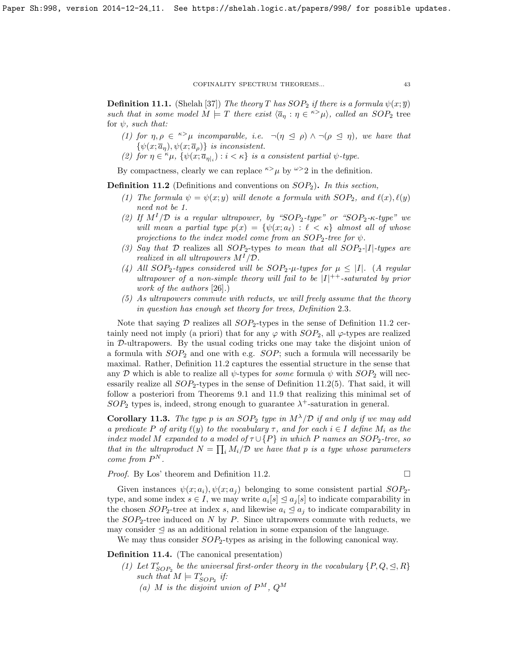<span id="page-42-0"></span>**Definition 11.1.** (Shelah [\[37\]](#page-59-16)) The theory T has  $SOP_2$  if there is a formula  $\psi(x;\overline{y})$ such that in some model  $M \models T$  there exist  $\langle \overline{a}_\eta : \eta \in {}^{\kappa} \rangle \mu$ , called an SOP<sub>2</sub> tree for  $\psi$ , such that:

- (1) for  $\eta, \rho \in \infty$  incomparable, i.e.  $\neg(\eta \leq \rho) \wedge \neg(\rho \leq \eta)$ , we have that  $\{\psi(x;\overline{a}_\eta), \psi(x;\overline{a}_\rho)\}\$ is inconsistent.
- (2) for  $\eta \in \kappa \mu$ ,  $\{\psi(x; \overline{a}_{\eta\vert i}) : i < \kappa\}$  is a consistent partial  $\psi$ -type.

By compactness, clearly we can replace  $\kappa > \mu$  by  $\omega > 2$  in the definition.

<span id="page-42-1"></span>**Definition 11.2** (Definitions and conventions on  $SOP_2$ ). In this section,

- (1) The formula  $\psi = \psi(x; y)$  will denote a formula with  $SOP_2$ , and  $\ell(x), \ell(y)$ need not be 1.
- (2) If  $M^{I}/\mathcal{D}$  is a regular ultrapower, by "SOP<sub>2</sub>-type" or "SOP<sub>2</sub>- $\kappa$ -type" we will mean a partial type  $p(x) = \{ \psi(x; a_{\ell}) : \ell < \kappa \}$  almost all of whose projections to the index model come from an  $SOP_2$ -tree for  $\psi$ .
- (3) Say that D realizes all  $SOP_2$ -types to mean that all  $SOP_2$ -[I]-types are realized in all ultrapowers  $M^{I}/\mathcal{D}$ .
- (4) All SOP<sub>2</sub>-types considered will be SOP<sub>2</sub>- $\mu$ -types for  $\mu \leq |I|$ . (A regular ultrapower of a non-simple theory will fail to be  $|I|^{++}$ -saturated by prior work of the authors [\[26\]](#page-59-12).)
- (5) As ultrapowers commute with reducts, we will freely assume that the theory in question has enough set theory for trees, Definition [2](#page-8-1).3.

Note that saying D realizes all  $SOP_2$ -types in the sense of Definition [11](#page-42-1).2 certainly need not imply (a priori) that for any  $\varphi$  with  $SOP_2$ , all  $\varphi$ -types are realized in D-ultrapowers. By the usual coding tricks one may take the disjoint union of a formula with  $SOP_2$  and one with e.g.  $SOP$ ; such a formula will necessarily be maximal. Rather, Definition [11](#page-42-1).2 captures the essential structure in the sense that any D which is able to realize all  $\psi$ -types for some formula  $\psi$  with  $SOP_2$  will necessarily realize all  $SOP<sub>2</sub>$ -types in the sense of Definition [11](#page-42-1).2(5). That said, it will follow a posteriori from Theorems [9.1](#page-35-2) and [11.9](#page-44-2) that realizing this minimal set of  $SOP_2$  types is, indeed, strong enough to guarantee  $\lambda^+$ -saturation in general.

**Corollary 11.3.** The type p is an  $SOP_2$  type in  $M^{\lambda}/\mathcal{D}$  if and only if we may add a predicate P of arity  $\ell(y)$  to the vocabulary  $\tau$ , and for each  $i \in I$  define  $M_i$  as the index model M expanded to a model of  $\tau \cup \{P\}$  in which P names an SOP<sub>2</sub>-tree, so that in the ultraproduct  $N = \prod_i M_i/\mathcal{D}$  we have that p is a type whose parameters come from  $P^N$ .

*Proof.* By Los' theorem and Definition [11.2.](#page-42-1)

Given instances  $\psi(x; a_i), \psi(x; a_j)$  belonging to some consistent partial  $SOP_2$ type, and some index  $s \in I$ , we may write  $a_i[s] \leq a_j[s]$  to indicate comparability in the chosen  $SOP_2$ -tree at index s, and likewise  $a_i \leq a_j$  to indicate comparability in the  $SOP_2$ -tree induced on N by P. Since ultrapowers commute with reducts, we may consider  $\leq$  as an additional relation in some expansion of the language.

We may thus consider  $SOP_2$ -types as arising in the following canonical way.

<span id="page-42-2"></span>Definition 11.4. (The canonical presentation)

- (1) Let  $T'_{SOP_2}$  be the universal first-order theory in the vocabulary  $\{P,Q,\trianglelefteq,R\}$ such that  $M \models T'_{SOP_2}$  if:
	- (a) M is the disjoint union of  $P^M$ ,  $Q^M$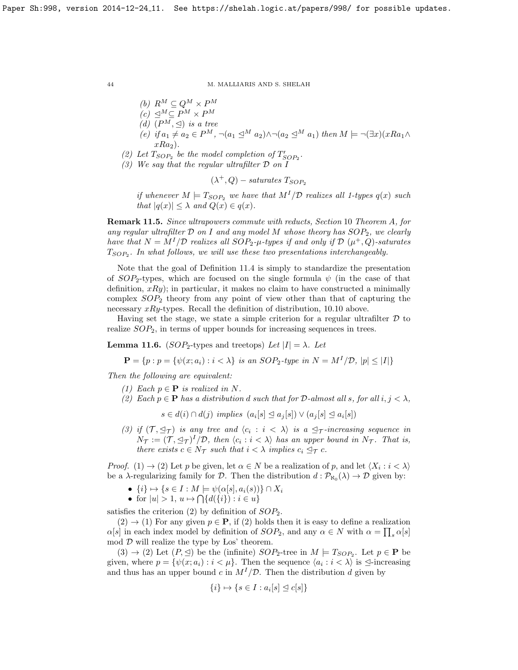- (b)  $R^M \subseteq Q^M \times P^M$
- $(c) \trianglelefteq^M \subseteq P^M \times P^M$
- (d)  $(P^M, \trianglelefteq)$  is a tree
- (e) if  $a_1 \neq a_2 \in P^M$ ,  $\neg(a_1 \trianglelefteq^M a_2) \wedge \neg(a_2 \trianglelefteq^M a_1)$  then  $M \models \neg (\exists x)(xRa_1 \wedge$  $xRa_2$ ).
- (2) Let  $T_{SOP_2}$  be the model completion of  $T'_{SOP_2}$ .
- (3) We say that the regular ultrafilter D on I

 $(\lambda^+, Q)$  – saturates  $T_{SOP_2}$ 

if whenever  $M \models T_{SOP_2}$  we have that  $M^{I}/\mathcal{D}$  realizes all 1-types  $q(x)$  such that  $|q(x)| \leq \lambda$  and  $Q(x) \in q(x)$ .

<span id="page-43-1"></span>Remark 11.5. Since ultrapowers commute with reducts, Section [10](#page-35-1) Theorem [A](#page-36-1), for any regular ultrafilter  $D$  on I and any model M whose theory has  $SOP_2$ , we clearly have that  $N = M^{I}/\mathcal{D}$  realizes all SOP<sub>2</sub>- $\mu$ -types if and only if  $\mathcal{D}(\mu^{+}, Q)$ -saturates  $T_{SOP_2}$ . In what follows, we will use these two presentations interchangeably.

Note that the goal of Definition [11.4](#page-42-2) is simply to standardize the presentation of  $SOP_2$ -types, which are focused on the single formula  $\psi$  (in the case of that definition,  $xRy$ ; in particular, it makes no claim to have constructed a minimally complex  $SOP_2$  theory from any point of view other than that of capturing the necessary  $xRy$ -types. Recall the definition of distribution, [10.10](#page-37-2) above.

Having set the stage, we state a simple criterion for a regular ultrafilter  $\mathcal D$  to realize  $SOP_2$ , in terms of upper bounds for increasing sequences in trees.

<span id="page-43-0"></span>**Lemma 11.6.** (SOP<sub>2</sub>-types and treetops) Let  $|I| = \lambda$ . Let

 $\mathbf{P} = \{p : p = \{\psi(x; a_i) : i \leq \lambda\} \text{ is an SOP}_2\text{-type in } N = M^I/\mathcal{D}, |p| \leq |I|\}$ 

Then the following are equivalent:

- (1) Each  $p \in \mathbf{P}$  is realized in N.
- (2) Each  $p \in \mathbf{P}$  has a distribution d such that for D-almost all s, for all  $i, j < \lambda$ ,

 $s \in d(i) \cap d(j)$  implies  $(a_i[s] \trianglelefteq a_j[s]) \vee (a_j[s] \trianglelefteq a_i[s])$ 

(3) if  $(\mathcal{T}, \preceq_{\mathcal{T}})$  is any tree and  $\langle c_i : i \langle \lambda \rangle$  is a  $\preceq_{\mathcal{T}}$ -increasing sequence in  $N_{\mathcal{T}} := (\mathcal{T}, \trianglelefteq_{\mathcal{T}})^{I}/\mathcal{D}$ , then  $\langle c_i : i < \lambda \rangle$  has an upper bound in  $N_{\mathcal{T}}$ . That is, there exists  $c \in N_{\mathcal{T}}$  such that  $i < \lambda$  implies  $c_i \leq_{\mathcal{T}} c$ .

*Proof.* (1)  $\rightarrow$  (2) Let p be given, let  $\alpha \in N$  be a realization of p, and let  $\langle X_i : i < \lambda \rangle$ be a  $\lambda$ -regularizing family for  $\mathcal{D}$ . Then the distribution  $d: \mathcal{P}_{\aleph_0}(\lambda) \to \mathcal{D}$  given by:

- $\{i\} \mapsto \{s \in I : M \models \psi(\alpha[s], a_i(s))\} \cap X_i$
- for  $|u| > 1$ ,  $u \mapsto \bigcap \{d(\{i\}) : i \in u\}$

satisfies the criterion  $(2)$  by definition of  $SOP<sub>2</sub>$ .

 $(2) \rightarrow (1)$  For any given  $p \in \mathbf{P}$ , if (2) holds then it is easy to define a realization  $\alpha[s]$  in each index model by definition of  $SOP_2$ , and any  $\alpha \in N$  with  $\alpha = \prod_s \alpha[s]$ mod  $D$  will realize the type by Los' theorem.

 $(3) \rightarrow (2)$  Let  $(P, \trianglelefteq)$  be the (infinite)  $SOP_2$ -tree in  $M \models T_{SOP_2}$ . Let  $p \in \mathbf{P}$  be given, where  $p = \{\psi(x; a_i) : i < \mu\}$ . Then the sequence  $\langle a_i : i < \lambda \rangle$  is  $\triangleq$ -increasing and thus has an upper bound c in  $M^I/\mathcal{D}$ . Then the distribution d given by

$$
\{i\} \mapsto \{s \in I : a_i[s] \trianglelefteq c[s]\}
$$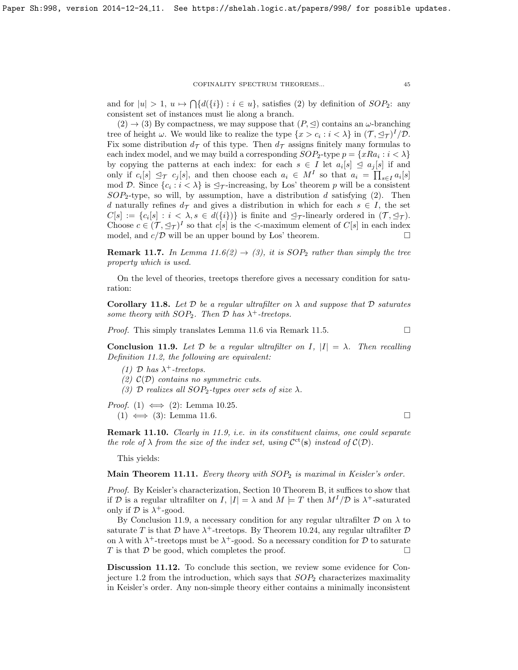and for  $|u| > 1$ ,  $u \mapsto \bigcap \{d(\{i\}) : i \in u\}$ , satisfies (2) by definition of  $SOP_2$ : any consistent set of instances must lie along a branch.

 $(2) \rightarrow (3)$  By compactness, we may suppose that  $(P, \leq)$  contains an  $\omega$ -branching tree of height  $\omega$ . We would like to realize the type  $\{x > c_i : i < \lambda\}$  in  $(\mathcal{T}, \leq_{\mathcal{T}})^I/\mathcal{D}$ . Fix some distribution  $d_{\mathcal{T}}$  of this type. Then  $d_{\mathcal{T}}$  assigns finitely many formulas to each index model, and we may build a corresponding  $SOP_2$ -type  $p = \{xRa_i : i < \lambda\}$ by copying the patterns at each index: for each  $s \in I$  let  $a_i[s] \subseteq a_j[s]$  if and only if  $c_i[s] \leq \tau c_j[s]$ , and then choose each  $a_i \in M^I$  so that  $a_i = \prod_{s \in I} a_i[s]$ mod D. Since  $\{c_i : i < \lambda\}$  is  $\mathcal{I}_\mathcal{T}$ -increasing, by Los' theorem p will be a consistent  $SOP_2$ -type, so will, by assumption, have a distribution d satisfying (2). Then d naturally refines  $d_{\mathcal{T}}$  and gives a distribution in which for each  $s \in I$ , the set  $C[s] := \{c_i[s] : i \leq \lambda, s \in d(\{i\})\}$  is finite and  $\mathcal{D}_{\mathcal{T}}$ -linearly ordered in  $(\mathcal{T}, \mathcal{D}_{\mathcal{T}})$ . Choose  $c \in (\mathcal{T}, \trianglelefteq_{\mathcal{T}})^{I}$  so that  $c[s]$  is the <-maximum element of  $C[s]$  in each index model, and  $c/D$  will be an upper bound by Los' theorem.

**Remark 11.7.** In Lemma [11.6\(](#page-43-0)2)  $\rightarrow$  (3), it is SOP<sub>2</sub> rather than simply the tree property which is used.

On the level of theories, treetops therefore gives a necessary condition for saturation:

<span id="page-44-3"></span>**Corollary 11.8.** Let  $D$  be a regular ultrafilter on  $\lambda$  and suppose that  $D$  saturates some theory with  $SOP_2$ . Then  $D$  has  $\lambda^+$ -treetops.

*Proof.* This simply translates Lemma [11.6](#page-43-0) via Remark [11.5.](#page-43-1)  $\Box$ 

<span id="page-44-2"></span>Conclusion 11.9. Let  $D$  be a regular ultrafilter on I,  $|I| = \lambda$ . Then recalling Definition [11.2,](#page-42-1) the following are equivalent:

(1)  $\mathcal{D}$  has  $\lambda^+$ -treetops.

- (2)  $\mathcal{C}(\mathcal{D})$  contains no symmetric cuts.
- (3) D realizes all  $SOP_2$ -types over sets of size  $\lambda$ .

*Proof.* (1)  $\iff$  (2): Lemma [10.25.](#page-41-2)  $(1) \iff (3)$ : Lemma [11.6.](#page-43-0)

Remark 11.10. Clearly in [11.9,](#page-44-2) i.e. in its constituent claims, one could separate the role of  $\lambda$  from the size of the index set, using  $\mathcal{C}^{ct}(s)$  instead of  $\mathcal{C}(D)$ .

This yields:

<span id="page-44-1"></span>Main Theorem 11.11. Every theory with  $SOP<sub>2</sub>$  is maximal in Keisler's order.

Proof. By Keisler's characterization, Section [10](#page-35-1) Theorem [B,](#page-36-2) it suffices to show that if D is a regular ultrafilter on I,  $|I| = \lambda$  and  $M \models T$  then  $M^I/\mathcal{D}$  is  $\lambda^+$ -saturated only if  $\mathcal D$  is  $\lambda^+$ -good.

By Conclusion [11.9,](#page-44-2) a necessary condition for any regular ultrafilter  $\mathcal D$  on  $\lambda$  to saturate T is that  $\mathcal D$  have  $\lambda^+$ -treetops. By Theorem [10.24,](#page-41-3) any regular ultrafilter  $\mathcal D$ on  $\lambda$  with  $\lambda^+$ -treetops must be  $\lambda^+$ -good. So a necessary condition for  $\mathcal D$  to saturate T is that  $\mathcal D$  be good, which completes the proof.

<span id="page-44-0"></span>Discussion 11.12. To conclude this section, we review some evidence for Con-jecture [1.2](#page-3-2) from the introduction, which says that  $SOP<sub>2</sub>$  characterizes maximality in Keisler's order. Any non-simple theory either contains a minimally inconsistent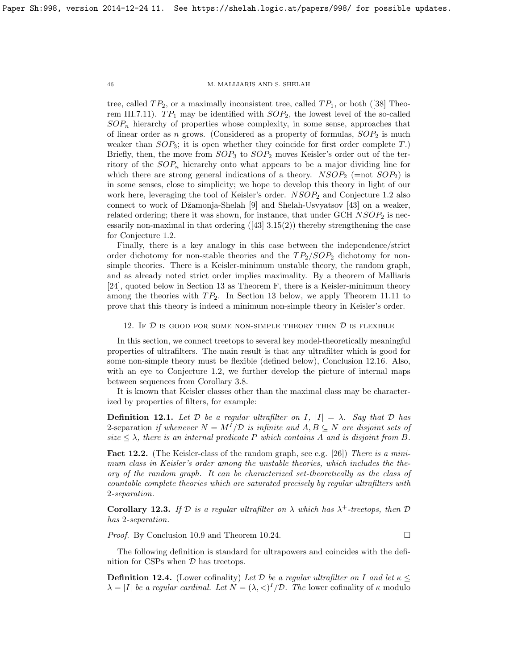tree,called  $TP_2$ , or a maximally inconsistent tree, called  $TP_1$ , or both ([\[38\]](#page-59-5) Theorem III.7.11).  $TP_1$  may be identified with  $SOP_2$ , the lowest level of the so-called  $SOP_n$  hierarchy of properties whose complexity, in some sense, approaches that of linear order as n grows. (Considered as a property of formulas,  $SOP_2$  is much weaker than  $SOP_3$ ; it is open whether they coincide for first order complete T.) Briefly, then, the move from  $SOP_3$  to  $SOP_2$  moves Keisler's order out of the territory of the  $SOP_n$  hierarchy onto what appears to be a major dividing line for which there are strong general indications of a theory.  $NSOP_2$  (=not  $SOP_2$ ) is in some senses, close to simplicity; we hope to develop this theory in light of our work here, leveraging the tool of Keisler's order.  $NSOP<sub>2</sub>$  and Conjecture [1.2](#page-3-2) also connect to work of Džamonja-Shelah [\[9\]](#page-58-9) and Shelah-Usvyatsov [\[43\]](#page-59-10) on a weaker, related ordering; there it was shown, for instance, that under GCH  $NSOP_2$  is necessarilynon-maximal in that ordering  $(43)$  3.15(2)) thereby strengthening the case for Conjecture [1.2.](#page-3-2)

Finally, there is a key analogy in this case between the independence/strict order dichotomy for non-stable theories and the  $TP_2/SOP_2$  dichotomy for nonsimple theories. There is a Keisler-minimum unstable theory, the random graph, and as already noted strict order implies maximality. By a theorem of Malliaris [\[24\]](#page-59-7), quoted below in Section [13](#page-48-0) as Theorem [F,](#page-49-0) there is a Keisler-minimum theory among the theories with  $TP_2$ . In Section [13](#page-48-0) below, we apply Theorem [11.11](#page-44-1) to prove that this theory is indeed a minimum non-simple theory in Keisler's order.

<span id="page-45-0"></span>12. If  $D$  is good for some non-simple theory then  $D$  is flexible

In this section, we connect treetops to several key model-theoretically meaningful properties of ultrafilters. The main result is that any ultrafilter which is good for some non-simple theory must be flexible (defined below), Conclusion [12.16.](#page-48-2) Also, with an eye to Conjecture [1.2,](#page-3-2) we further develop the picture of internal maps between sequences from Corollary [3.8.](#page-16-3)

It is known that Keisler classes other than the maximal class may be characterized by properties of filters, for example:

**Definition 12.1.** Let  $D$  be a regular ultrafilter on I,  $|I| = \lambda$ . Say that  $D$  has 2-separation if whenever  $N = M^{I}/\mathcal{D}$  is infinite and  $A, B \subseteq N$  are disjoint sets of size  $\leq \lambda$ , there is an internal predicate P which contains A and is disjoint from B.

<span id="page-45-1"></span>Fact 12.2. (The Keisler-class of the random graph, see e.g. [\[26\]](#page-59-12)) There is a minimum class in Keisler's order among the unstable theories, which includes the theory of the random graph. It can be characterized set-theoretically as the class of countable complete theories which are saturated precisely by regular ultrafilters with 2-separation.

Corollary 12.3. If  $D$  is a regular ultrafilter on  $\lambda$  which has  $\lambda^+$ -treetops, then  $D$ has 2-separation.

*Proof.* By Conclusion [10.9](#page-36-3) and Theorem [10.24.](#page-41-3) □

The following definition is standard for ultrapowers and coincides with the definition for CSPs when  $D$  has treetops.

**Definition 12.4.** (Lower cofinality) Let D be a regular ultrafilter on I and let  $\kappa \leq$  $\lambda = |I|$  be a regular cardinal. Let  $N = (\lambda, \langle \rangle)^I / \mathcal{D}$ . The lower cofinality of  $\kappa$  modulo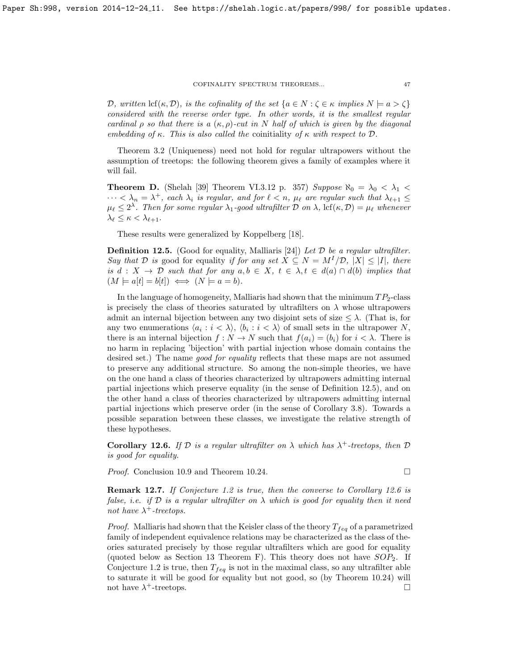D, written  $\text{lcf}(\kappa, \mathcal{D})$ , is the cofinality of the set  $\{a \in N : \zeta \in \kappa \text{ implies } N \models a > \zeta\}$ considered with the reverse order type. In other words, it is the smallest regular cardinal  $\rho$  so that there is a  $(\kappa, \rho)$ -cut in N half of which is given by the diagonal embedding of κ. This is also called the coinitiality of  $\kappa$  with respect to  $\mathcal{D}$ .

Theorem [3.2](#page-14-0) (Uniqueness) need not hold for regular ultrapowers without the assumption of treetops: the following theorem gives a family of examples where it will fail.

**Theorem D.** (Shelah [\[39\]](#page-59-17) Theorem VI.3.12 p. 357) Suppose  $\aleph_0 = \lambda_0 < \lambda_1$  $\cdots < \lambda_n = \lambda^+$ , each  $\lambda_i$  is regular, and for  $\ell < n$ ,  $\mu_{\ell}$  are regular such that  $\lambda_{\ell+1} \leq$  $\mu_\ell \leq 2^\lambda$ . Then for some regular  $\lambda_1$ -good ultrafilter D on  $\lambda$ , lcf $(\kappa, \mathcal{D}) = \mu_\ell$  whenever  $\lambda_{\ell} \leq \kappa < \lambda_{\ell+1}.$ 

These results were generalized by Koppelberg [\[18\]](#page-58-12).

<span id="page-46-0"></span>**Definition 12.5.** (Good for equality, Malliaris [\[24\]](#page-59-7)) Let  $D$  be a regular ultrafilter. Say that D is good for equality if for any set  $\hat{X} \subseteq N = M^{I}/\mathcal{D}$ ,  $|X| \leq |I|$ , there is  $d: X \to \mathcal{D}$  such that for any  $a, b \in X$ ,  $t \in \lambda, t \in d(a) \cap d(b)$  implies that  $(M \models a[t] = b[t]) \iff (N \models a = b).$ 

In the language of homogeneity, Malliaris had shown that the minimum  $TP_2$ -class is precisely the class of theories saturated by ultrafilters on  $\lambda$  whose ultrapowers admit an internal bijection between any two disjoint sets of size  $\leq \lambda$ . (That is, for any two enumerations  $\langle a_i : i \langle \lambda \rangle, \langle b_i : i \langle \lambda \rangle$  of small sets in the ultrapower N, there is an internal bijection  $f : N \to N$  such that  $f(a_i) = (b_i)$  for  $i < \lambda$ . There is no harm in replacing 'bijection' with partial injection whose domain contains the desired set.) The name *good for equality* reflects that these maps are not assumed to preserve any additional structure. So among the non-simple theories, we have on the one hand a class of theories characterized by ultrapowers admitting internal partial injections which preserve equality (in the sense of Definition [12.5\)](#page-46-0), and on the other hand a class of theories characterized by ultrapowers admitting internal partial injections which preserve order (in the sense of Corollary [3.8\)](#page-16-3). Towards a possible separation between these classes, we investigate the relative strength of these hypotheses.

<span id="page-46-1"></span>Corollary 12.6. If  $D$  is a regular ultrafilter on  $\lambda$  which has  $\lambda^+$ -treetops, then  $D$ is good for equality.

*Proof.* Conclusion [10.9](#page-36-3) and Theorem [10.24.](#page-41-3) □

Remark 12.7. If Conjecture [1.2](#page-3-2) is true, then the converse to Corollary [12.6](#page-46-1) is false, i.e. if  $D$  is a regular ultrafilter on  $\lambda$  which is good for equality then it need not have  $\lambda^+$ -treetops.

*Proof.* Malliaris had shown that the Keisler class of the theory  $T_{feq}$  of a parametrized family of independent equivalence relations may be characterized as the class of theories saturated precisely by those regular ultrafilters which are good for equality (quoted below as Section [13](#page-48-0) Theorem [F\)](#page-49-0). This theory does not have  $SOP_2$ . If Conjecture [1.2](#page-3-2) is true, then  $T_{feq}$  is not in the maximal class, so any ultrafilter able to saturate it will be good for equality but not good, so (by Theorem [10.24\)](#page-41-3) will not have  $\lambda^+$ -treetops.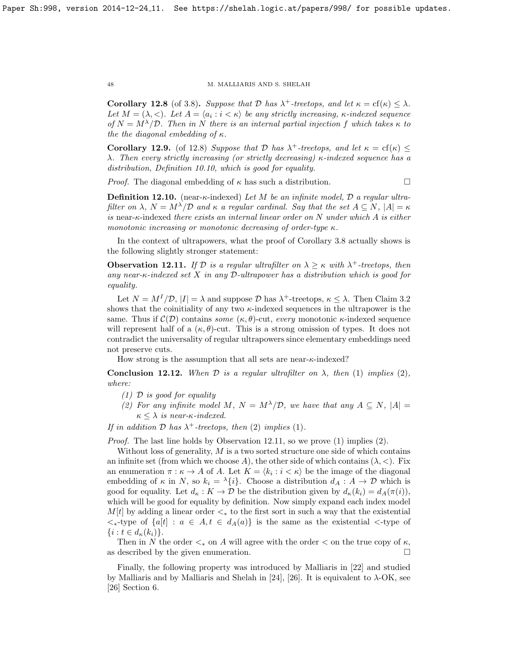<span id="page-47-0"></span>**Corollary 12.8** (of [3.8\)](#page-16-3). Suppose that  $D$  has  $\lambda^+$ -treetops, and let  $\kappa = \text{cf}(\kappa) \leq \lambda$ . Let  $M = (\lambda, <)$ . Let  $A = \langle a_i : i < \kappa \rangle$  be any strictly increasing,  $\kappa$ -indexed sequence of  $N = M^{\lambda}/\mathcal{D}$ . Then in N there is an internal partial injection f which takes  $\kappa$  to the the diagonal embedding of  $\kappa$ .

<span id="page-47-2"></span>**Corollary 12.9.** (of [12.8\)](#page-47-0) Suppose that D has  $\lambda^+$ -treetops, and let  $\kappa = \text{cf}(\kappa) \leq$ λ. Then every strictly increasing (or strictly decreasing)  $κ$ -indexed sequence has a distribution, Definition [10.10,](#page-37-2) which is good for equality.

*Proof.* The diagonal embedding of  $\kappa$  has such a distribution.

**Definition 12.10.** (near- $\kappa$ -indexed) Let M be an infinite model, D a regular ultrafilter on  $\lambda$ ,  $N = M^{\lambda}/\mathcal{D}$  and  $\kappa$  a regular cardinal. Say that the set  $A \subseteq N$ ,  $|A| = \kappa$ is near- $\kappa$ -indexed there exists an internal linear order on N under which A is either monotonic increasing or monotonic decreasing of order-type  $\kappa$ .

In the context of ultrapowers, what the proof of Corollary [3.8](#page-16-3) actually shows is the following slightly stronger statement:

<span id="page-47-1"></span>**Observation 12.11.** If  $D$  is a regular ultrafilter on  $\lambda \geq \kappa$  with  $\lambda^+$ -treetops, then any near- $\kappa$ -indexed set X in any D-ultrapower has a distribution which is good for equality.

Let  $N = M^{I}/\mathcal{D}$ ,  $|I| = \lambda$  and suppose  $\mathcal{D}$  has  $\lambda^{+}$ -treetops,  $\kappa \leq \lambda$ . Then Claim [3.2](#page-14-0) shows that the coinitiality of any two  $\kappa$ -indexed sequences in the ultrapower is the same. Thus if  $\mathcal{C}(\mathcal{D})$  contains some  $(\kappa, \theta)$ -cut, every monotonic  $\kappa$ -indexed sequence will represent half of a  $(\kappa, \theta)$ -cut. This is a strong omission of types. It does not contradict the universality of regular ultrapowers since elementary embeddings need not preserve cuts.

How strong is the assumption that all sets are near- $\kappa$ -indexed?

Conclusion 12.12. When D is a regular ultrafilter on  $\lambda$ , then (1) implies (2), where:

- $(1)$  D is good for equality
- (2) For any infinite model M,  $N = M^{\lambda}/\mathcal{D}$ , we have that any  $A \subseteq N$ ,  $|A| =$  $\kappa < \lambda$  is near- $\kappa$ -indexed.

If in addition  $D$  has  $\lambda^+$ -treetops, then (2) implies (1).

Proof. The last line holds by Observation [12.11,](#page-47-1) so we prove (1) implies (2).

Without loss of generality,  $M$  is a two sorted structure one side of which contains an infinite set (from which we choose A), the other side of which contains  $(\lambda, \langle \rangle)$ . Fix an enumeration  $\pi : \kappa \to A$  of A. Let  $K = \langle k_i : i \times \kappa \rangle$  be the image of the diagonal embedding of  $\kappa$  in N, so  $k_i = \lambda \{i\}$ . Choose a distribution  $d_A : A \to \mathcal{D}$  which is good for equality. Let  $d_{\kappa}: K \to \mathcal{D}$  be the distribution given by  $d_{\kappa}(k_i) = d_{A}(\pi(i)),$ which will be good for equality by definition. Now simply expand each index model  $M[t]$  by adding a linear order  $\lt_*$  to the first sort in such a way that the existential  $\langle\cdot,\cdot\rangle$  type of  $\{a[t]: a \in A, t \in d_A(a)\}\$ is the same as the existential  $\langle\cdot,\cdot\rangle$  type of  $\{i : t \in d_{\kappa}(k_i)\}.$ 

Then in N the order  $\lt_{\ast}$  on A will agree with the order  $\lt$  on the true copy of  $\kappa$ , as described by the given enumeration.

Finally, the following property was introduced by Malliaris in [\[22\]](#page-58-8) and studied by Malliaris and by Malliaris and Shelah in [\[24\]](#page-59-7), [\[26\]](#page-59-12). It is equivalent to  $\lambda$ -OK, see [\[26\]](#page-59-12) Section 6.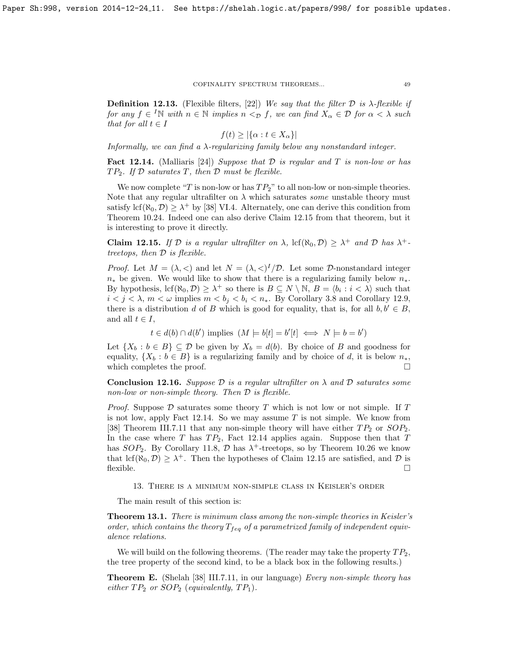**Definition 12.13.** (Flexible filters, [\[22\]](#page-58-8)) We say that the filter  $D$  is  $\lambda$ -flexible if for any  $f \in {}^{I}\mathbb{N}$  with  $n \in \mathbb{N}$  implies  $n <sub>D</sub> f$ , we can find  $X_{\alpha} \in \mathcal{D}$  for  $\alpha < \lambda$  such that for all  $t \in I$ 

$$
f(t) \ge |\{\alpha : t \in X_{\alpha}\}|
$$

Informally, we can find a λ-regularizing family below any nonstandard integer.

<span id="page-48-4"></span>**Fact 12.14.** (Malliaris [\[24\]](#page-59-7)) Suppose that  $D$  is regular and  $T$  is non-low or has  $TP_2$ . If  $D$  saturates  $T$ , then  $D$  must be flexible.

We now complete "T is non-low or has  $TP_2$ " to all non-low or non-simple theories. Note that any regular ultrafilter on  $\lambda$  which saturates some unstable theory must satisfy  $\text{lcf}(\aleph_0, \mathcal{D}) \geq \lambda^+$  by [\[38\]](#page-59-5) VI.4. Alternately, one can derive this condition from Theorem [10.24.](#page-41-3) Indeed one can also derive Claim [12.15](#page-48-3) from that theorem, but it is interesting to prove it directly.

<span id="page-48-3"></span>**Claim 12.15.** If D is a regular ultrafilter on  $\lambda$ ,  $\text{lcf}(\aleph_0, \mathcal{D}) \geq \lambda^+$  and D has  $\lambda^+$ treetops, then D is flexible.

*Proof.* Let  $M = (\lambda, <)$  and let  $N = (\lambda, <)^{I}/D$ . Let some D-nonstandard integer  $n_{\ast}$  be given. We would like to show that there is a regularizing family below  $n_{\ast}$ . By hypothesis,  $\text{lcf}(\aleph_0, \mathcal{D}) \geq \lambda^+$  so there is  $B \subseteq N \setminus \mathbb{N}$ ,  $B = \langle b_i : i \langle \lambda \rangle$  such that  $i < j < \lambda$ ,  $m < \omega$  implies  $m < b_j < b_i < n_*$ . By Corollary [3.8](#page-16-3) and Corollary [12.9,](#page-47-2) there is a distribution d of B which is good for equality, that is, for all  $b, b' \in B$ , and all  $t \in I$ ,

 $t \in d(b) \cap d(b')$  implies  $(M \models b[t] = b'[t] \iff N \models b = b')$ 

Let  $\{X_b : b \in B\} \subseteq \mathcal{D}$  be given by  $X_b = d(b)$ . By choice of B and goodness for equality,  $\{X_b : b \in B\}$  is a regularizing family and by choice of d, it is below  $n_*,$ which completes the proof.  $\square$ 

<span id="page-48-2"></span>**Conclusion 12.16.** Suppose  $\mathcal{D}$  is a regular ultrafilter on  $\lambda$  and  $\mathcal{D}$  saturates some non-low or non-simple theory. Then  $\mathcal D$  is flexible.

*Proof.* Suppose  $D$  saturates some theory  $T$  which is not low or not simple. If  $T$ is not low, apply Fact [12.14.](#page-48-4) So we may assume  $T$  is not simple. We know from [\[38\]](#page-59-5) Theorem III.7.11 that any non-simple theory will have either  $TP_2$  or  $SOP_2$ . In the case where T has  $TP_2$ , Fact [12.14](#page-48-4) applies again. Suppose then that T has  $SOP_2$ . By Corollary [11.8,](#page-44-3)  $D$  has  $\lambda^+$ -treetops, so by Theorem [10.26](#page-41-1) we know that  $\text{lcf}(\aleph_0, \mathcal{D}) \geq \lambda^+$ . Then the hypotheses of Claim [12.15](#page-48-3) are satisfied, and  $\mathcal{D}$  is  $f$ lexible.

13. There is a minimum non-simple class in Keisler's order

<span id="page-48-0"></span>The main result of this section is:

<span id="page-48-1"></span>Theorem 13.1. There is minimum class among the non-simple theories in Keisler's order, which contains the theory  $T_{feq}$  of a parametrized family of independent equivalence relations.

We will build on the following theorems. (The reader may take the property  $TP_2$ , the tree property of the second kind, to be a black box in the following results.)

<span id="page-48-5"></span>**Theorem E.** (Shelah [\[38\]](#page-59-5) III.7.11, in our language) Every non-simple theory has either  $TP_2$  or  $SOP_2$  (equivalently,  $TP_1$ ).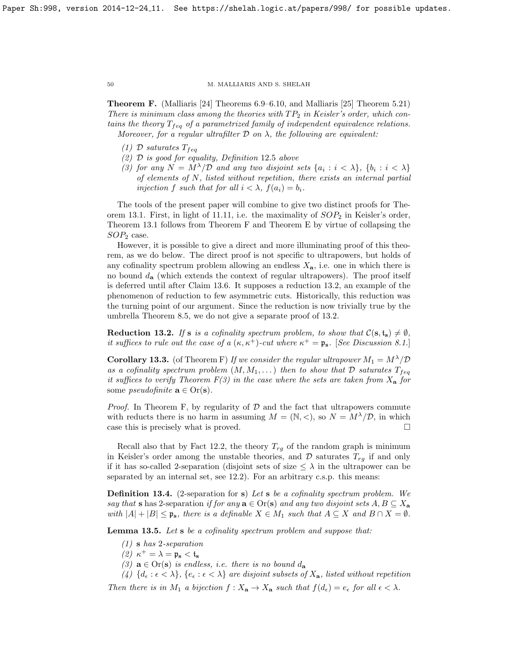<span id="page-49-0"></span>Theorem F. (Malliaris [\[24\]](#page-59-7) Theorems 6.9–6.10, and Malliaris [\[25\]](#page-59-8) Theorem 5.21) There is minimum class among the theories with  $TP_2$  in Keisler's order, which contains the theory  $T_{feq}$  of a parametrized family of independent equivalence relations. Moreover, for a regular ultrafilter  $D$  on  $\lambda$ , the following are equivalent:

- (1) D saturates  $T_{feq}$
- (2) D is good for equality, Definition [12](#page-46-0).5 above
- (3) for any  $N = M^{\lambda}/\mathcal{D}$  and any two disjoint sets  $\{a_i : i < \lambda\}$ ,  $\{b_i : i < \lambda\}$ of elements of N, listed without repetition, there exists an internal partial injection f such that for all  $i < \lambda$ ,  $f(a_i) = b_i$ .

The tools of the present paper will combine to give two distinct proofs for The-orem [13.1.](#page-48-1) First, in light of [11.11,](#page-44-1) i.e. the maximality of  $SOP_2$  in Keisler's order, Theorem [13.1](#page-48-1) follows from Theorem [F](#page-49-0) and Theorem [E](#page-48-5) by virtue of collapsing the  $SOP<sub>2</sub>$  case.

However, it is possible to give a direct and more illuminating proof of this theorem, as we do below. The direct proof is not specific to ultrapowers, but holds of any cofinality spectrum problem allowing an endless  $X_{a}$ , i.e. one in which there is no bound  $d_{\mathbf{a}}$  (which extends the context of regular ultrapowers). The proof itself is deferred until after Claim [13.6.](#page-52-0) It supposes a reduction [13.2,](#page-49-1) an example of the phenomenon of reduction to few asymmetric cuts. Historically, this reduction was the turning point of our argument. Since the reduction is now trivially true by the umbrella Theorem [8.5,](#page-30-0) we do not give a separate proof of [13.2.](#page-49-1)

<span id="page-49-1"></span>**Reduction 13.2.** If s is a cofinality spectrum problem, to show that  $C(s, t_s) \neq \emptyset$ , it suffices to rule out the case of a  $(\kappa, \kappa^+)$ -cut where  $\kappa^+ = \mathfrak{p}_s$ . [See Discussion [8.1.](#page-28-2)]

<span id="page-49-2"></span>**Corollary 13.3.** (of Theorem [F\)](#page-49-0) If we consider the regular ultrapower  $M_1 = M^{\lambda}/D$ as a cofinality spectrum problem  $(M, M_1, \ldots)$  then to show that  $\mathcal D$  saturates  $T_{f}_{eq}$ it suffices to verify Theorem  $F(3)$  in the case where the sets are taken from  $X_{\mathbf{a}}$  for some *pseudofinite*  $\mathbf{a} \in \text{Or}(\mathbf{s})$ .

*Proof.* In Theorem [F,](#page-49-0) by regularity of  $D$  and the fact that ultrapowers commute with reducts there is no harm in assuming  $M = (\mathbb{N}, <)$ , so  $N = M^{\lambda}/\mathcal{D}$ , in which case this is precisely what is proved.

Recall also that by Fact [12.2,](#page-45-1) the theory  $T_{rg}$  of the random graph is minimum in Keisler's order among the unstable theories, and  $\mathcal D$  saturates  $T_{rq}$  if and only if it has so-called 2-separation (disjoint sets of size  $\leq \lambda$  in the ultrapower can be separated by an internal set, see [12.2\)](#page-45-1). For an arbitrary c.s.p. this means:

**Definition 13.4.** (2-separation for s) Let s be a cofinality spectrum problem. We say that s has 2-separation if for any  $\mathbf{a} \in \text{Or}(\mathbf{s})$  and any two disjoint sets  $A, B \subseteq X_{\mathbf{a}}$ with  $|A| + |B| \le \mathfrak{p}_s$ , there is a definable  $X \in M_1$  such that  $A \subseteq X$  and  $B \cap X = \emptyset$ .

<span id="page-49-3"></span>Lemma 13.5. Let s be a cofinality spectrum problem and suppose that:

- $(1)$  s has 2-separation
- (2)  $κ$ <sup>+</sup> =  $λ$  =  $ρ$ <sub>s</sub> <  $t$ <sub>s</sub>
- (3)  $\mathbf{a} \in \text{Or}(\mathbf{s})$  is endless, i.e. there is no bound  $d_{\mathbf{a}}$
- (4)  $\{d_{\epsilon} : \epsilon < \lambda\}$ ,  $\{e_{\epsilon} : \epsilon < \lambda\}$  are disjoint subsets of  $X_{\mathbf{a}}$ , listed without repetition

Then there is in  $M_1$  a bijection  $f: X_a \to X_a$  such that  $f(d_\epsilon) = e_\epsilon$  for all  $\epsilon < \lambda$ .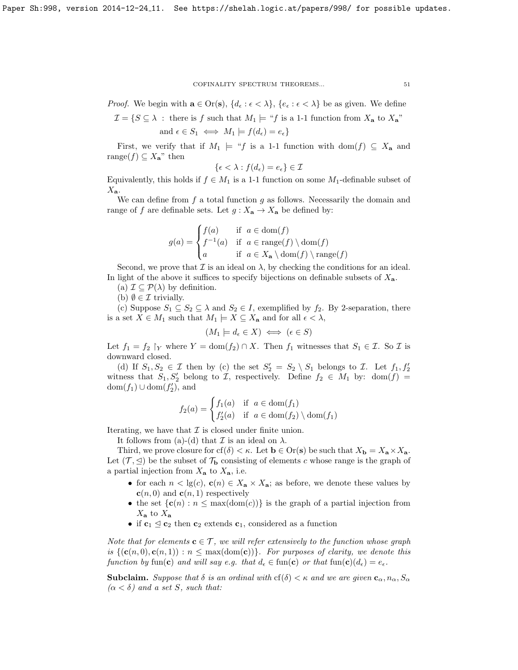*Proof.* We begin with  $\mathbf{a} \in \text{Or}(\mathbf{s}), \{d_{\epsilon} : \epsilon < \lambda\}, \{e_{\epsilon} : \epsilon < \lambda\}$  be as given. We define

$$
\mathcal{I} = \{ S \subseteq \lambda \, : \, \text{there is } f \text{ such that } M_1 \models \text{``}f \text{ is a 1-1 function from } X_\mathbf{a} \text{ to } X_\mathbf{a} \text{''} \}
$$
 and  $\epsilon \in S_1 \iff M_1 \models f(d_\epsilon) = e_\epsilon \}$ 

First, we verify that if  $M_1 \models "f$  is a 1-1 function with dom $(f) \subseteq X_a$  and range $(f) \subseteq X_{\mathbf{a}}^{\mathbf{m}}$  then

$$
\{\epsilon < \lambda : f(d_{\epsilon}) = e_{\epsilon}\} \in \mathcal{I}
$$

Equivalently, this holds if  $f \in M_1$  is a 1-1 function on some  $M_1$ -definable subset of  $X_{\mathbf{a}}$ .

We can define from  $f$  a total function  $g$  as follows. Necessarily the domain and range of f are definable sets. Let  $g: X_a \to X_a$  be defined by:

$$
g(a) = \begin{cases} f(a) & \text{if } a \in \text{dom}(f) \\ f^{-1}(a) & \text{if } a \in \text{range}(f) \setminus \text{dom}(f) \\ a & \text{if } a \in X_a \setminus \text{dom}(f) \setminus \text{range}(f) \end{cases}
$$

Second, we prove that  $\mathcal I$  is an ideal on  $\lambda$ , by checking the conditions for an ideal. In light of the above it suffices to specify bijections on definable subsets of  $X_{a}$ . (a)  $\mathcal{I} \subseteq \mathcal{P}(\lambda)$  by definition.

(b)  $\emptyset \in \mathcal{I}$  trivially.

(c) Suppose  $S_1 \subseteq S_2 \subseteq \lambda$  and  $S_2 \in I$ , exemplified by  $f_2$ . By 2-separation, there is a set  $X \in M_1$  such that  $M_1 \models X \subseteq X_a$  and for all  $\epsilon < \lambda$ ,

 $(M_1 \models d_{\epsilon} \in X) \iff (\epsilon \in S)$ 

Let  $f_1 = f_2$   $\upharpoonright_Y$  where  $Y = \text{dom}(f_2) \cap X$ . Then  $f_1$  witnesses that  $S_1 \in \mathcal{I}$ . So  $\mathcal{I}$  is downward closed.

(d) If  $S_1, S_2 \in \mathcal{I}$  then by (c) the set  $S_2' = S_2 \setminus S_1$  belongs to  $\mathcal{I}$ . Let  $f_1, f_2'$ witness that  $S_1, S'_2$  belong to  $\mathcal{I}$ , respectively. Define  $f_2 \in M_1$  by:  $dom(f)$  =  $dom(f_1) \cup dom(f'_2)$ , and

$$
f_2(a) = \begin{cases} f_1(a) & \text{if } a \in \text{dom}(f_1) \\ f'_2(a) & \text{if } a \in \text{dom}(f_2) \setminus \text{dom}(f_1) \end{cases}
$$

Iterating, we have that  $\mathcal I$  is closed under finite union.

It follows from (a)-(d) that  $\mathcal I$  is an ideal on  $\lambda$ .

Third, we prove closure for cf( $\delta$ )  $< \kappa$ . Let  $\mathbf{b} \in \text{Or}(\mathbf{s})$  be such that  $X_{\mathbf{b}} = X_{\mathbf{a}} \times X_{\mathbf{a}}$ . Let  $(\mathcal{T}, \leq)$  be the subset of  $\mathcal{T}_{\mathbf{b}}$  consisting of elements c whose range is the graph of a partial injection from  $X_{\mathbf{a}}$  to  $X_{\mathbf{a}}$ , i.e.

- for each  $n < \lg(c)$ ,  $\mathbf{c}(n) \in X_{\mathbf{a}} \times X_{\mathbf{a}}$ ; as before, we denote these values by  $c(n, 0)$  and  $c(n, 1)$  respectively
- the set  ${c(n) : n \leq max(dom(c))}$  is the graph of a partial injection from  $X_{\mathbf{a}}$  to  $X_{\mathbf{a}}$
- if  $c_1 \leq c_2$  then  $c_2$  extends  $c_1$ , considered as a function

Note that for elements  $\mathbf{c} \in \mathcal{T}$ , we will refer extensively to the function whose graph is  $\{(\mathbf{c}(n, 0), \mathbf{c}(n, 1)) : n \leq \max(\text{dom}(\mathbf{c}))\}$ . For purposes of clarity, we denote this function by fun(c) and will say e.g. that  $d_{\epsilon} \in \text{fun}(\mathbf{c})$  or that  $\text{fun}(\mathbf{c})(d_{\epsilon}) = e_{\epsilon}$ .

**Subclaim.** Suppose that  $\delta$  is an ordinal with  $cf(\delta) < \kappa$  and we are given  $\mathbf{c}_{\alpha}, n_{\alpha}, S_{\alpha}$  $(\alpha < \delta)$  and a set S, such that: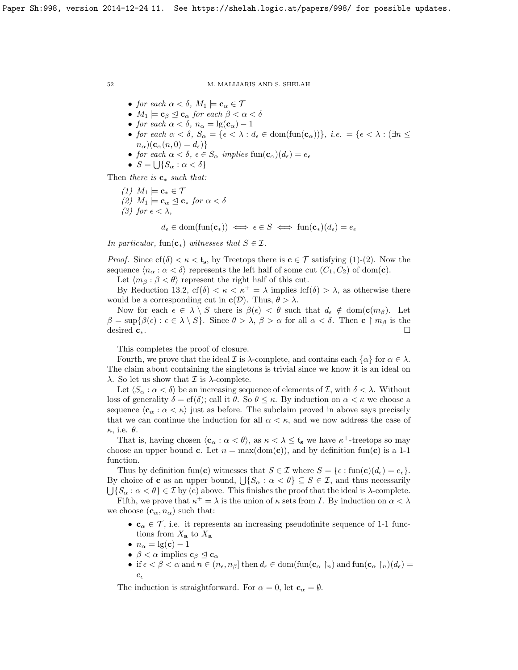- for each  $\alpha < \delta$ ,  $M_1 \models \mathbf{c}_{\alpha} \in \mathcal{T}$
- $M_1 \models \mathbf{c}_{\beta} \trianglelefteq \mathbf{c}_{\alpha}$  for each  $\beta < \alpha < \delta$
- for each  $\alpha < \delta$ ,  $n_{\alpha} = \lg(\mathbf{c}_{\alpha}) 1$
- for each  $\alpha < \delta$ ,  $S_{\alpha} = {\epsilon < \lambda : d_{\epsilon} \in \text{dom}(\text{fun}(\mathbf{c}_{\alpha})) }$ , i.e.  $= {\epsilon < \lambda : (\exists n \leq \epsilon)$  $n_{\alpha}$ )( $\mathbf{c}_{\alpha}(n, 0) = d_{\epsilon}$ )}
- for each  $\alpha < \delta$ ,  $\epsilon \in S_\alpha$  implies  $\text{fun}(\mathbf{c}_\alpha)(d_\epsilon) = e_\epsilon$
- $S = \bigcup \{ S_\alpha : \alpha < \delta \}$

Then there is  $\mathbf{c}_*$  such that:

(1)  $M_1 \models \mathbf{c}_* \in \mathcal{T}$ (2)  $M_1 \models \mathbf{c}_{\alpha} \trianglelefteq \mathbf{c}_{*}$  for  $\alpha < \delta$ (3) for  $\epsilon < \lambda$ ,  $d_{\epsilon} \in \text{dom}(\text{fun}(\mathbf{c}_*)) \iff \epsilon \in S \iff \text{fun}(\mathbf{c}_*)(d_{\epsilon}) = e_{\epsilon}$ 

In particular, fun( $\mathbf{c}_*$ ) witnesses that  $S \in \mathcal{I}$ .

*Proof.* Since  $cf(\delta) < \kappa < t_s$ , by Treetops there is  $c \in \mathcal{T}$  satisfying (1)-(2). Now the sequence  $\langle n_{\alpha} : \alpha < \delta \rangle$  represents the left half of some cut  $(C_1, C_2)$  of dom(**c**).

Let  $\langle m_\beta : \beta < \theta \rangle$  represent the right half of this cut.

By Reduction [13.2,](#page-49-1)  $cf(\delta) < \kappa < \kappa^+ = \lambda$  implies  $cf(\delta) > \lambda$ , as otherwise there would be a corresponding cut in  $c(\mathcal{D})$ . Thus,  $\theta > \lambda$ .

Now for each  $\epsilon \in \lambda \setminus S$  there is  $\beta(\epsilon) < \theta$  such that  $d_{\epsilon} \notin \text{dom}(\mathbf{c}(m_{\beta}))$ . Let  $\beta = \sup \{\beta(\epsilon) : \epsilon \in \lambda \setminus S\}.$  Since  $\theta > \lambda, \beta > \alpha$  for all  $\alpha < \delta$ . Then c  $\upharpoonright m_{\beta}$  is the desired  $c_*$ .

This completes the proof of closure.

Fourth, we prove that the ideal I is  $\lambda$ -complete, and contains each  $\{\alpha\}$  for  $\alpha \in \lambda$ . The claim about containing the singletons is trivial since we know it is an ideal on λ. So let us show that  $\mathcal I$  is λ-complete.

Let  $\langle S_\alpha : \alpha < \delta \rangle$  be an increasing sequence of elements of I, with  $\delta < \lambda$ . Without loss of generality  $\delta = cf(\delta)$ ; call it  $\theta$ . So  $\theta \leq \kappa$ . By induction on  $\alpha < \kappa$  we choose a sequence  $\langle \mathbf{c}_{\alpha} : \alpha < \kappa \rangle$  just as before. The subclaim proved in above says precisely that we can continue the induction for all  $\alpha < \kappa$ , and we now address the case of  $\kappa$ , i.e.  $\theta$ .

That is, having chosen  $\langle \mathbf{c}_{\alpha} : \alpha < \theta \rangle$ , as  $\kappa < \lambda \leq \mathbf{t}_{s}$  we have  $\kappa^{+}$ -treetops so may choose an upper bound c. Let  $n = max(dom(c))$ , and by definition fun(c) is a 1-1 function.

Thus by definition fun(c) witnesses that  $S \in \mathcal{I}$  where  $S = \{ \epsilon : \text{fun}(\mathbf{c})(d_{\epsilon}) = e_{\epsilon} \}.$ By choice of **c** as an upper bound,  $\bigcup \{S_\alpha : \alpha < \theta\} \subseteq S \in \mathcal{I}$ , and thus necessarily  $\bigcup \{ S_\alpha : \alpha < \theta \} \in \mathcal{I}$  by (c) above. This finishes the proof that the ideal is  $\lambda$ -complete. Fifth, we prove that  $\kappa^+ = \lambda$  is the union of  $\kappa$  sets from I. By induction on  $\alpha < \lambda$ 

we choose  $(c_{\alpha}, n_{\alpha})$  such that:

- $\mathbf{c}_{\alpha} \in \mathcal{T}$ , i.e. it represents an increasing pseudofinite sequence of 1-1 functions from  $X_a$  to  $X_a$
- $n_{\alpha} = \lg(c) 1$
- $\beta < \alpha$  implies  $c_{\beta} \leq c_{\alpha}$
- if  $\epsilon < \beta < \alpha$  and  $n \in (n_{\epsilon}, n_{\beta}]$  then  $d_{\epsilon} \in \text{dom}(\text{fun}(\mathbf{c}_{\alpha} \restriction_n)$  and  $\text{fun}(\mathbf{c}_{\alpha} \restriction_n)(d_{\epsilon}) =$  $e_{\epsilon}$

The induction is straightforward. For  $\alpha = 0$ , let  $\mathbf{c}_{\alpha} = \emptyset$ .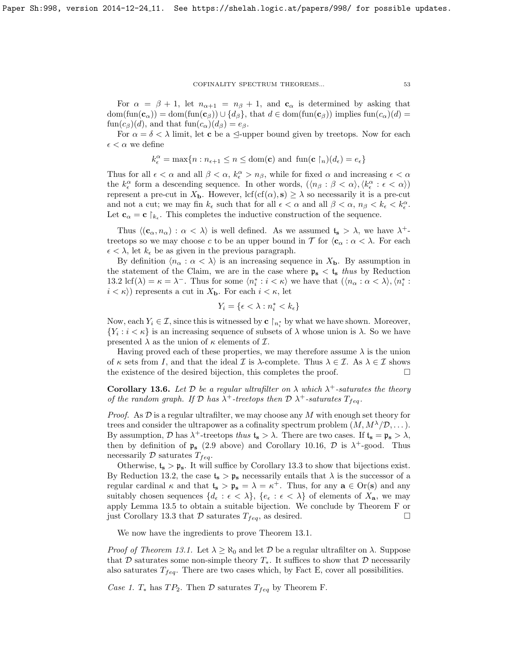For  $\alpha = \beta + 1$ , let  $n_{\alpha+1} = n_{\beta} + 1$ , and  $\mathbf{c}_{\alpha}$  is determined by asking that  $dom(fun(\mathbf{c}_{\alpha})) = dom(fun(\mathbf{c}_{\beta})) \cup \{d_{\beta}\},\$  that  $d \in dom(fun(\mathbf{c}_{\beta}))$  implies  $fun(c_{\alpha})(d) =$  $\text{fun}(c_{\beta})(d)$ , and that  $\text{fun}(c_{\alpha})(d_{\beta})=e_{\beta}$ .

For  $\alpha = \delta < \lambda$  limit, let **c** be a  $\leq$ -upper bound given by treetops. Now for each  $\epsilon < \alpha$  we define

$$
k_{\epsilon}^{\alpha} = \max\{n : n_{\epsilon+1} \leq n \leq \text{dom}(\mathbf{c}) \text{ and } \text{fun}(\mathbf{c} \restriction_n)(d_{\epsilon}) = e_{\epsilon}\}\
$$

Thus for all  $\epsilon < \alpha$  and all  $\beta < \alpha$ ,  $k_{\epsilon}^{\alpha} > n_{\beta}$ , while for fixed  $\alpha$  and increasing  $\epsilon < \alpha$ the  $k_{\epsilon}^{\alpha}$  form a descending sequence. In other words,  $(\langle n_{\beta} : \beta < \alpha \rangle, \langle k_{\epsilon}^{\alpha} : \epsilon < \alpha \rangle)$ represent a pre-cut in  $X_{\mathbf{b}}$ . However,  $\text{lcf}(\text{cf}(\alpha), \mathbf{s}) \geq \lambda$  so necessarily it is a pre-cut and not a cut; we may fin  $k_{\epsilon}$  such that for all  $\epsilon < \alpha$  and all  $\beta < \alpha$ ,  $n_{\beta} < k_{\epsilon} < k_{\epsilon}^{\alpha}$ . Let  $\mathbf{c}_{\alpha} = \mathbf{c} \restriction_{k_{\epsilon}}$ . This completes the inductive construction of the sequence.

Thus  $\langle (c_{\alpha}, n_{\alpha}) : \alpha < \lambda \rangle$  is well defined. As we assumed  $t_s > \lambda$ , we have  $\lambda^+$ treetops so we may choose c to be an upper bound in  $\mathcal T$  for  $\langle \mathbf{c}_{\alpha} : \alpha < \lambda$ . For each  $\epsilon < \lambda$ , let  $k_{\epsilon}$  be as given in the previous paragraph.

By definition  $\langle n_{\alpha} : \alpha < \lambda \rangle$  is an increasing sequence in  $X_{\mathbf{b}}$ . By assumption in the statement of the Claim, we are in the case where  $p_s < t_s$  thus by Reduction [13.2](#page-49-1) lcf( $\lambda$ ) =  $\kappa = \lambda^-$ . Thus for some  $\langle n_i^* : i \langle \kappa \rangle$  we have that  $(\langle n_{\alpha} : \alpha \langle \lambda \rangle, \langle n_i^* : \lambda \rangle)$  $i < \kappa$ ) represents a cut in  $X_{\mathbf{b}}$ . For each  $i < \kappa$ , let

$$
Y_i = \{\epsilon < \lambda : n_i^* < k_\epsilon\}
$$

Now, each  $Y_i \in \mathcal{I}$ , since this is witnessed by  $\mathbf{c} \restriction_{n_i^*}$  by what we have shown. Moreover,  ${Y_i : i < \kappa}$  is an increasing sequence of subsets of  $\lambda$  whose union is  $\lambda$ . So we have presented  $\lambda$  as the union of  $\kappa$  elements of  $\mathcal{I}$ .

Having proved each of these properties, we may therefore assume  $\lambda$  is the union of  $\kappa$  sets from I, and that the ideal I is  $\lambda$ -complete. Thus  $\lambda \in \mathcal{I}$ . As  $\lambda \in \mathcal{I}$  shows the existence of the desired bijection, this completes the proof.  $\Box$ 

<span id="page-52-0"></span>**Corollary 13.6.** Let  $D$  be a regular ultrafilter on  $\lambda$  which  $\lambda^+$ -saturates the theory of the random graph. If  $\mathcal D$  has  $\lambda^+$ -treetops then  $\mathcal D$   $\lambda^+$ -saturates  $T_{f eq}$ .

*Proof.* As  $D$  is a regular ultrafilter, we may choose any M with enough set theory for trees and consider the ultrapower as a cofinality spectrum problem  $(M, M^{\lambda}/\mathcal{D}, \dots)$ . By assumption,  $\mathcal{D}$  has  $\lambda^+$ -treetops thus  $\mathfrak{t}_s > \lambda$ . There are two cases. If  $\mathfrak{t}_s = \mathfrak{p}_s > \lambda$ , then by definition of  $\mathfrak{p}_s$  [\(2.9](#page-11-0) above) and Corollary [10.16,](#page-38-3)  $\mathcal{D}$  is  $\lambda^+$ -good. Thus necessarily  $D$  saturates  $T_{f eq}$ .

Otherwise,  $t_s > p_s$ . It will suffice by Corollary [13.3](#page-49-2) to show that bijections exist. By Reduction [13.2,](#page-49-1) the case  $t_s > \mathfrak{p}_s$  necessarily entails that  $\lambda$  is the successor of a regular cardinal  $\kappa$  and that  $\mathfrak{t}_s > \mathfrak{p}_s = \lambda = \kappa^+$ . Thus, for any  $\mathbf{a} \in \text{Or}(\mathbf{s})$  and any suitably chosen sequences  $\{d_{\epsilon} : \epsilon < \lambda\}, \{\epsilon_{\epsilon} : \epsilon < \lambda\}$  of elements of  $X_{\mathbf{a}}$ , we may apply Lemma [13.5](#page-49-3) to obtain a suitable bijection. We conclude by Theorem [F](#page-49-0) or just Corollary [13.3](#page-49-2) that  $\mathcal D$  saturates  $T_{f eq}$ , as desired.

We now have the ingredients to prove Theorem [13.1.](#page-48-1)

*Proof of Theorem [13.1.](#page-48-1)* Let  $\lambda \geq \aleph_0$  and let D be a regular ultrafilter on  $\lambda$ . Suppose that D saturates some non-simple theory  $T_*$ . It suffices to show that D necessarily also saturates  $T_{feq}$ . There are two cases which, by Fact [E,](#page-48-5) cover all possibilities.

Case 1.  $T_*$  has  $TP_2$ . Then  $\mathcal D$  saturates  $T_{f \neq g}$  by Theorem [F.](#page-49-0)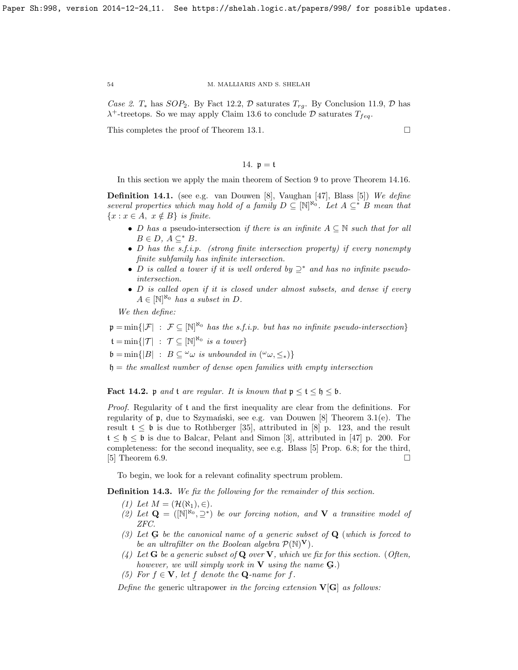Case 2.  $T_*$  has  $SOP_2$ . By Fact [12.2,](#page-45-1) D saturates  $T_{ra}$ . By Conclusion [11.9,](#page-44-2) D has  $\lambda^+$ -treetops. So we may apply Claim [13.6](#page-52-0) to conclude  $\mathcal D$  saturates  $T_{feq}$ .

This completes the proof of Theorem [13.1.](#page-48-1)

14.  $p = t$ 

<span id="page-53-0"></span>In this section we apply the main theorem of Section [9](#page-35-0) to prove Theorem [14.16.](#page-58-5)

**Definition 14.1.** (see e.g. van Douwen [\[8\]](#page-58-1), Vaughan [\[47\]](#page-59-0), Blass [\[5\]](#page-58-2)) We define several properties which may hold of a family  $D \subseteq [\mathbb{N}]^{\aleph_0}$ . Let  $A \subseteq^* B$  mean that  ${x : x \in A, x \notin B}$  is finite.

- D has a pseudo-intersection if there is an infinite  $A \subseteq \mathbb{N}$  such that for all  $B \in D$ ,  $A \subset^* B$ .
- D has the s.f.i.p. (strong finite intersection property) if every nonempty finite subfamily has infinite intersection.
- D is called a tower if it is well ordered by  $\supseteq^*$  and has no infinite pseudointersection.
- D is called open if it is closed under almost subsets, and dense if every  $A \in [\mathbb{N}]^{\aleph_0}$  has a subset in D.

We then define:

 $\mathfrak{p} = \min\{|\mathcal{F}| : \mathcal{F} \subseteq [\mathbb{N}]^{\aleph_0} \text{ has the s.f.i.p. but has no infinite pseudo-intersection}\}\$  $\mathfrak{t} = \min \{ |\mathcal{T}| : \mathcal{T} \subseteq [\mathbb{N}]^{\aleph_0} \text{ is a tower} \}$  $\mathfrak{b} = \min\{|B| : B \subseteq \omega \text{ is unbounded in } (\omega_{\omega}, \leq_{*})\}$ 

 $h = the smallest number of dense open families with empty intersection$ 

**Fact 14.2.** p and t are regular. It is known that  $p \le t \le b \le b$ .

Proof. Regularity of t and the first inequality are clear from the definitions. For regularity of  $\mathfrak{p}$ , due to Szymański, see e.g. van Douwen [\[8\]](#page-58-1) Theorem 3.1(e). The result  $t \leq b$  is due to Rothberger [\[35\]](#page-59-1), attributed in [\[8\]](#page-58-1) p. 123, and the result  $t \leq \mathfrak{h} \leq \mathfrak{b}$  is due to Balcar, Pelant and Simon [\[3\]](#page-58-13), attributed in [\[47\]](#page-59-0) p. 200. For completeness: for the second inequality, see e.g. Blass [\[5\]](#page-58-2) Prop. 6.8; for the third, [\[5\]](#page-58-2) Theorem 6.9.

To begin, we look for a relevant cofinality spectrum problem.

<span id="page-53-1"></span>Definition 14.3. We fix the following for the remainder of this section.

- (1) Let  $M = (\mathcal{H}(\aleph_1), \in)$ .
- (2) Let  $\mathbf{Q} = (N^{\aleph_0}, \supseteq^*)$  be our forcing notion, and **V** a transitive model of ZFC.
- (3) Let  $\bf{G}$  be the canonical name of a generic subset of  $\bf{Q}$  (which is forced to be an ultrafilter on the Boolean algebra  $\mathcal{P}(\mathbb{N})^{\mathbf{V}}$ .
- (4) Let **G** be a generic subset of **Q** over **V**, which we fix for this section. (Often, however, we will simply work in  $V$  using the name  $Q$ .)  $\tilde{\phantom{a}}$
- (5) For  $f \in V$ , let f denote the **Q**-name for f.

Define the generic ultrapower in the forcing extension  $V[G]$  as follows: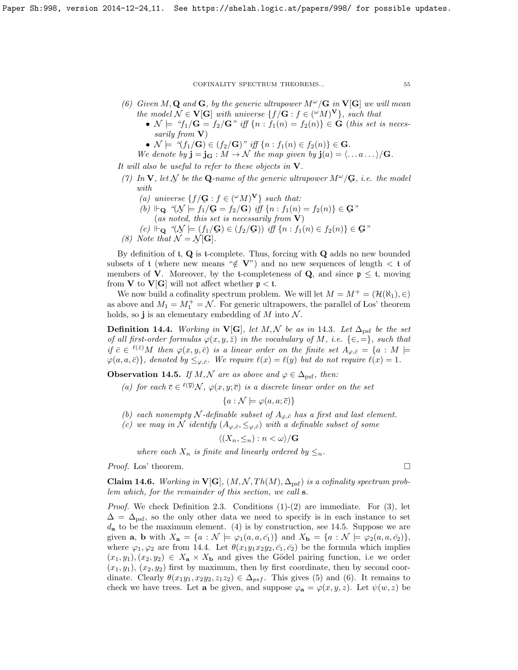- (6) Given M, Q and G, by the generic ultrapower  $M^{\omega}/G$  in  $V[G]$  we will mean the model  $\mathcal{N} \in \mathbf{V}[\mathbf{G}]$  with universe  $\{f/\mathbf{G} : f \in ({}^{\omega}M)^{\mathbf{V}}\}$ , such that
	- $\mathcal{N} \models \text{``}f_1/\mathbf{G} = f_2/\mathbf{G} \text{''}$  iff  $\{n : f_1(n) = f_2(n)\} \in \mathbf{G}$  (this set is necessarily from  $V$ )
	- $\mathcal{N} \models \text{``}(f_1/\mathbf{G}) \in (f_2/\mathbf{G}) \text{''} \text{ iff } \{n : f_1(n) \in f_2(n)\} \in \mathbf{G}.$
	- We denote by  $\mathbf{j} = \mathbf{j}_{\mathbf{G}} : M \to \mathcal{N}$  the map given by  $\mathbf{j}(a) = \langle \dots a \dots \rangle / \mathbf{G}$ .

It will also be useful to refer to these objects in  $V$ .

- (7) In V, let  $\mathcal N$  be the Q-name of the generic ultrapower  $M^\omega/\mathbf{G}$ , i.e. the model  $\tilde{\phantom{a}}$  $\tilde{\phantom{a}}$ with.
	- (a) universe  $\{f/\mathbf{G} : f \in (^\omega M)^\mathbf{V}\}\$  such that:
	- (b)  $\vdash_{\mathbf{Q}} \text{``}(\mathcal{N} \models f_1/\mathbf{G} = f_2/\mathbf{G})$  iff  $\{n : f_1(n) = f_2(n)\} \in \mathbf{G}$ "<br>(as noted, this set is necessarily from  $\mathbf{V}$ )  $(as noted, this set is necessarily from **V**)$
	- $(c) \Vdash_{\mathbf{Q}} \text{``}(\mathcal{N} \models (f_1/\mathbf{G}) \in (f_2/\mathbf{G})) \text{ iff } \{n : f_1(n) \in f_2(n)\} \in \mathbf{G}$ "<br>Vote that  $\mathcal{N} = \mathcal{N}[\mathbf{G}]$
- (8) Note that  $\mathcal{N} = \mathcal{N}[\mathbf{G}]$ .

By definition of  $t$ ,  $Q$  is t-complete. Thus, forcing with  $Q$  adds no new bounded subsets of t (where new means " $\notin$  V") and no new sequences of length  $\lt t$  of members of **V**. Moreover, by the t-completeness of **Q**, and since  $p \le t$ , moving from **V** to **V**[**G**] will not affect whether  $p < t$ .

We now build a cofinality spectrum problem. We will let  $M = M^+ = (\mathcal{H}(\aleph_1), \in)$ as above and  $M_1 = M_1^+ = \mathcal{N}$ . For generic ultrapowers, the parallel of Los' theorem holds, so j is an elementary embedding of  $M$  into  $\mathcal N$ .

<span id="page-54-1"></span>**Definition [14](#page-53-1).4.** Working in **V[G**], let M, N be as in 14.3. Let  $\Delta_{\text{psf}}$  be the set of all first-order formulas  $\varphi(x, y, \bar{z})$  in the vocabulary of M, i.e.  $\{\in, =\}$ , such that if  $\bar{c} \in {}^{\ell(\bar{z})}M$  then  $\varphi(x, y, \bar{c})$  is a linear order on the finite set  $A_{\varphi, \bar{c}} = \{a : M \models$  $\varphi(a, a, \bar{c})\},$  denoted by  $\leq_{\varphi, \bar{c}}$ . We require  $\ell(x) = \ell(y)$  but do not require  $\ell(x) = 1$ .

<span id="page-54-0"></span>**Observation 14.5.** If M, N are as above and  $\varphi \in \Delta_{\text{psf}}$ , then:

(a) for each  $\bar{c} \in {}^{\ell(\bar{y})} \mathcal{N}, \varphi(x, y; \bar{c})$  is a discrete linear order on the set

 ${a : \mathcal{N} \models \varphi(a, a; \overline{c})}$ 

- (b) each nonempty N-definable subset of  $A_{\varphi,\bar{c}}$  has a first and last element.
- (c) we may in N identify  $(A_{\varphi,\bar{c}}, \leq_{\varphi,\bar{c}})$  with a definable subset of some

$$
\langle (X_n, \leq_n) : n < \omega \rangle / \mathbf{G}
$$

where each  $X_n$  is finite and linearly ordered by  $\leq_n$ .

*Proof.* Los' theorem.  $\Box$ 

<span id="page-54-2"></span>**Claim 14.6.** Working in  $V[G], (M, \mathcal{N}, Th(M), \Delta_{\text{psf}})$  is a cofinality spectrum problem which, for the remainder of this section, we call s.

*Proof.* We check Definition [2.3.](#page-8-1) Conditions  $(1)-(2)$  are immediate. For  $(3)$ , let  $\Delta = \Delta_{\text{psf}}$ , so the only other data we need to specify is in each instance to set  $d_{\mathbf{a}}$  to be the maximum element. (4) is by construction, see [14.5.](#page-54-0) Suppose we are given **a**, **b** with  $X_{\mathbf{a}} = \{a : \mathcal{N} \models \varphi_1(a, a, \bar{c}_1)\}\$  and  $X_{\mathbf{b}} = \{a : \mathcal{N} \models \varphi_2(a, a, \bar{c}_2)\}\$ where  $\varphi_1, \varphi_2$  are from [14.4.](#page-54-1) Let  $\theta(x_1y_1x_2y_2, \bar{c}_1, \bar{c}_2)$  be the formula which implies  $(x_1, y_1), (x_2, y_2) \in X_{\mathbf{a}} \times X_{\mathbf{b}}$  and gives the Gödel pairing function, i.e we order  $(x_1, y_1)$ ,  $(x_2, y_2)$  first by maximum, then by first coordinate, then by second coordinate. Clearly  $\theta(x_1y_1, x_2y_2, z_1z_2) \in \Delta_{psf}$ . This gives (5) and (6). It remains to check we have trees. Let a be given, and suppose  $\varphi_{\mathbf{a}} = \varphi(x, y, z)$ . Let  $\psi(w, z)$  be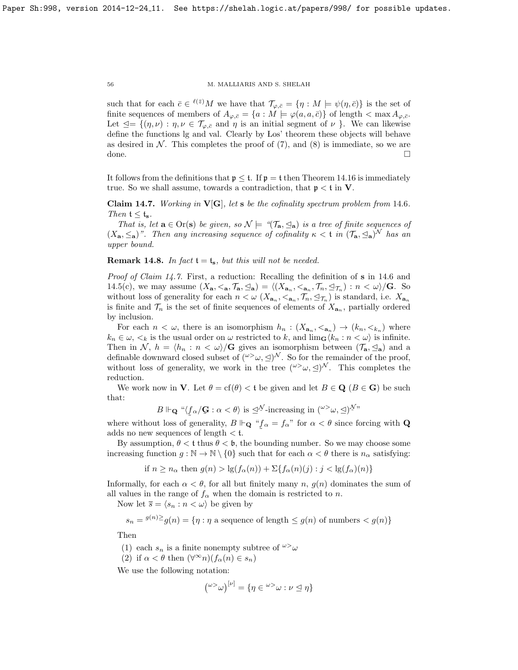such that for each  $\bar{c} \in {}^{\ell(\bar{z})}M$  we have that  $\mathcal{T}_{\varphi,\bar{c}} = \{\eta : M \models \psi(\eta,\bar{c})\}$  is the set of finite sequences of members of  $A_{\varphi,\bar{c}} = \{a : M \models \varphi(a,a,\bar{c})\}$  of length  $\langle \max A_{\varphi,\bar{c}} \rangle$ . Let  $\trianglelefteq = \{(\eta, \nu) : \eta, \nu \in \mathcal{T}_{\varphi, \bar{c}} \text{ and } \eta \text{ is an initial segment of } \nu \}.$  We can likewise define the functions lg and val. Clearly by Los' theorem these objects will behave as desired in  $N$ . This completes the proof of  $(7)$ , and  $(8)$  is immediate, so we are done. □

It follows from the definitions that  $p \le t$ . If  $p = t$  then Theorem [14.16](#page-58-5) is immediately true. So we shall assume, towards a contradiction, that  $\mathfrak{p} < \mathfrak{t}$  in V.

<span id="page-55-0"></span>Claim [14](#page-54-2).7. Working in  $V[G]$ , let s be the cofinality spectrum problem from 14.6. Then  $t \leq t_{s}$ .

That is, let  $\mathbf{a} \in \text{Or}(\mathbf{s})$  be given, so  $\mathcal{N} \models \text{``}(\mathcal{T}_\mathbf{a}, \leq_\mathbf{a})$  is a tree of finite sequences of  $(X_{\mathbf{a}}, \leq_{\mathbf{a}})$ ". Then any increasing sequence of cofinality  $\kappa < \mathfrak{t}$  in  $(\mathcal{T}_{\mathbf{a}}, \leq_{\mathbf{a}})$ <sup>N</sup> has an upper bound.

**Remark 14.8.** In fact  $t = t_s$ , but this will not be needed.

Proof of Claim [14.7.](#page-55-0) First, a reduction: Recalling the definition of s in [14](#page-54-2).6 and [14.5\(](#page-54-0)c), we may assume  $(X_{\mathbf{a}}, \langle \mathbf{a}, \mathcal{T}_{\mathbf{a}}, \mathcal{Q}_{\mathbf{a}}) = \langle (X_{\mathbf{a}_n}, \langle \mathbf{a}_n, \mathcal{T}_n, \mathcal{Q}_{\mathcal{T}_n}) : n \langle \omega \rangle / \mathbf{G}$ . So without loss of generality for each  $n < \omega$   $(X_{\mathbf{a}_n}, \langle \mathbf{a}_n, \mathcal{T}_n, \trianglelefteq_{\mathcal{T}_n})$  is standard, i.e.  $X_{\mathbf{a}_n}$ is finite and  $\mathcal{T}_n$  is the set of finite sequences of elements of  $X_{\mathbf{a}_n}$ , partially ordered by inclusion.

For each  $n < \omega$ , there is an isomorphism  $h_n : (X_{\mathbf{a}_n}, <_{\mathbf{a}_n}) \to (k_n, <_{k_n})$  where  $k_n \in \omega, \langle k \rangle$  is the usual order on  $\omega$  restricted to k, and  $\lim_{\mathbf{G}} \langle k_n : n \langle \omega \rangle$  is infinite. Then in N,  $h = \langle h_n : n \langle \omega \rangle / \mathbf{G}$  gives an isomorphism between  $(\mathcal{T}_a, \leq_a)$  and a definable downward closed subset of  $({}^{\omega\gt}\omega, \leq)$ <sup>N</sup>. So for the remainder of the proof, without loss of generality, we work in the tree  $({}^{\omega\gt}\omega, \leq)^{\mathcal{N}}$ . This completes the reduction.

We work now in **V**. Let  $\theta = \text{cf}(\theta) < t$  be given and let  $B \in \mathbf{Q}$  ( $B \in \mathbf{G}$ ) be such that:

$$
B \Vdash_{\mathbf{Q}} \text{``$\langle f_\alpha/\mathbf{G} : \alpha < \theta \rangle$ is $\triangle^{N}$-increasing in $(^{\omega\gt} \omega, \triangleq)^{N}$''}.
$$

where without loss of generality,  $B \Vdash_{\mathbf{Q}} \rightharpoonup f_{\alpha} = f_{\alpha}$ " for  $\alpha < \theta$  since forcing with  $\mathbf{Q}$ ˜ adds no new sequences of length  $<$  t.

By assumption,  $\theta < t$  thus  $\theta < \theta$ , the bounding number. So we may choose some increasing function  $g : \mathbb{N} \to \mathbb{N} \setminus \{0\}$  such that for each  $\alpha < \theta$  there is  $n_{\alpha}$  satisfying:

if 
$$
n \ge n_\alpha
$$
 then  $g(n) > \lg(f_\alpha(n)) + \sum\{f_\alpha(n)(j) : j < \lg(f_\alpha)(n)\}$ 

Informally, for each  $\alpha < \theta$ , for all but finitely many n,  $g(n)$  dominates the sum of all values in the range of  $f_{\alpha}$  when the domain is restricted to n.

Now let  $\overline{s} = \langle s_n : n \langle \omega \rangle$  be given by

$$
s_n = \frac{g(n)}{2}g(n) = \{ \eta : \eta \text{ a sequence of length } \le g(n) \text{ of numbers } < g(n) \}
$$

Then

- (1) each  $s_n$  is a finite nonempty subtree of  $\omega > \omega$
- (2) if  $\alpha < \theta$  then  $(\forall^{\infty} n)(f_{\alpha}(n) \in s_n)$

We use the following notation:

$$
({}^{\omega{>}}\omega)^{[\nu]} = \{\eta \in {}^{\omega{>}}\omega : \nu \leq \eta\}
$$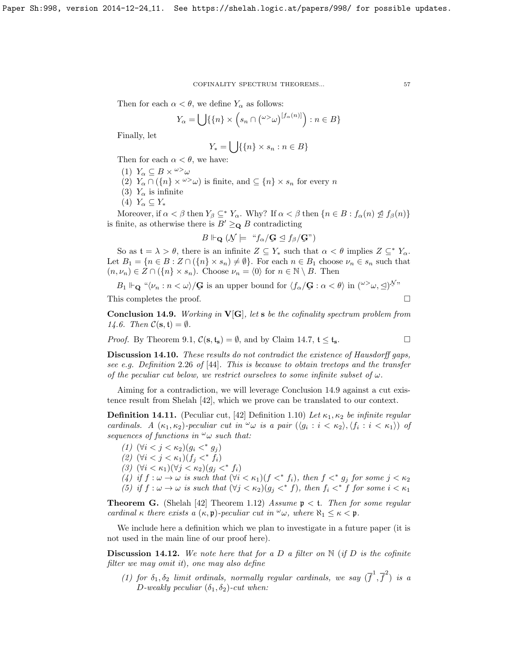Then for each  $\alpha < \theta$ , we define  $Y_{\alpha}$  as follows:

$$
Y_{\alpha} = \bigcup \{ \{n\} \times \left( s_n \cap {\omega} > \omega \right) \big| f_{\alpha}(n) \big| \} : n \in B \}
$$

Finally, let

$$
Y_* = \bigcup \{ \{n\} \times s_n : n \in B \}
$$

Then for each  $\alpha < \theta$ , we have:

- (1)  $Y_{\alpha} \subseteq B \times \omega > \omega$
- (2)  $Y_\alpha \cap (\{n\} \times \omega^{\geq} \omega)$  is finite, and  $\subseteq \{n\} \times s_n$  for every n
- (3)  $Y_\alpha$  is infinite
- $(4)$   $Y_{\alpha} \subseteq Y_*$

Moreover, if  $\alpha < \beta$  then  $Y_{\beta} \subseteq^* Y_{\alpha}$ . Why? If  $\alpha < \beta$  then  $\{n \in B : f_{\alpha}(n) \nleq f_{\beta}(n)\}\$ is finite, as otherwise there is  $B' \geq_{\mathbf{Q}} B$  contradicting

$$
B \Vdash_{\mathbf{Q}} (\mathcal{N} \models \text{``} f_{\alpha}/\mathbf{G} \trianglelefteq f_{\beta}/\mathbf{G} \text{''})
$$

So as  $\mathfrak{t} = \lambda > \theta$ , there is an infinite  $Z \subseteq Y_*$  such that  $\alpha < \theta$  implies  $Z \subseteq^* Y_\alpha$ . Let  $B_1 = \{n \in B : Z \cap (\{n\} \times s_n) \neq \emptyset\}$ . For each  $n \in B_1$  choose  $\nu_n \in s_n$  such that  $(n, \nu_n) \in Z \cap (\{n\} \times s_n)$ . Choose  $\nu_n = \langle 0 \rangle$  for  $n \in \mathbb{N} \setminus B$ . Then

 $B_1 \Vdash_{\mathbf{Q}} \text{``$\langle \nu_n : n < \omega \rangle$/\mathbf{G}$ is an upper bound for $\langle f_\alpha / \mathbf{G} : \alpha < \theta \rangle$ in $(\omega > \omega, \leq)^{\mathcal{N}}$''}$ 

This completes the proof.  $\Box$ 

<span id="page-56-2"></span>**Conclusion 14.9.** Working in  $V[G]$ , let s be the cofinality spectrum problem from [14.6.](#page-54-2) Then  $\mathcal{C}(\mathbf{s}, \mathbf{t}) = \emptyset$ .

*Proof.* By Theorem [9.1,](#page-35-2)  $C(s, t_s) = \emptyset$ , and by Claim [14.7,](#page-55-0)  $t \le t_s$ .

Discussion 14.10. These results do not contradict the existence of Hausdorff gaps, see e.g. Definition 2.26 of [\[44\]](#page-59-18). This is because to obtain treetops and the transfer of the peculiar cut below, we restrict ourselves to some infinite subset of  $\omega$ .

Aiming for a contradiction, we will leverage Conclusion [14.9](#page-56-2) against a cut existence result from Shelah [\[42\]](#page-59-4), which we prove can be translated to our context.

<span id="page-56-3"></span>**Definition 14.11.** (Peculiar cut, [\[42\]](#page-59-4) Definition 1.10) Let  $\kappa_1, \kappa_2$  be infinite regular cardinals. A  $(\kappa_1, \kappa_2)$ -peculiar cut in  $\omega$  is a pair  $(\langle g_i : i < \kappa_2 \rangle, \langle f_i : i < \kappa_1 \rangle)$  of sequences of functions in  $\omega_{\omega}$  such that:

(1)  $(\forall i < j < \kappa_2)(g_i <^* g_j)$ (2)  $(\forall i < j < \kappa_1)(f_j <^* f_i)$ (3)  $(\forall i < \kappa_1)(\forall j < \kappa_2)(g_i <^* f_i)$ (4) if  $f: \omega \to \omega$  is such that  $(\forall i < \kappa_1)(f \langle^* f_i \rangle)$ , then  $f \langle^* g_j \rangle$  for some  $j < \kappa_2$ (5) if  $f: \omega \to \omega$  is such that  $(\forall j < \kappa_2)(g_j <^* f)$ , then  $f_i <^* f$  for some  $i < \kappa_1$ 

<span id="page-56-0"></span>**Theorem G.** (Shelah [\[42\]](#page-59-4) Theorem 1.12) Assume  $p < t$ . Then for some regular cardinal κ there exists a  $(\kappa, \mathfrak{p})$ -peculiar cut in  $\omega$ , where  $\aleph_1 \leq \kappa < \mathfrak{p}$ .

We include here a definition which we plan to investigate in a future paper (it is not used in the main line of our proof here).

<span id="page-56-1"></span>**Discussion 14.12.** We note here that for a D a filter on  $\mathbb{N}$  (if D is the cofinite filter we may omit it), one may also define

(1) for  $\delta_1, \delta_2$  limit ordinals, normally regular cardinals, we say  $(\overline{f}^1, \overline{f}^2)$  is a D-weakly peculiar  $(\delta_1, \delta_2)$ -cut when: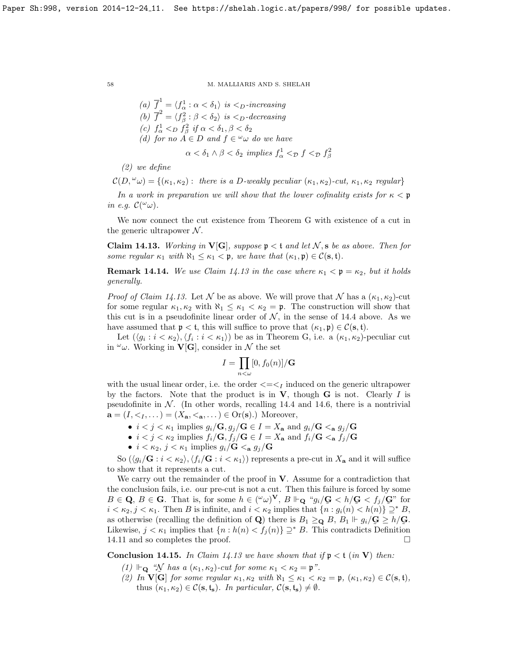\n- (a) 
$$
\overline{f}^1 = \langle f_\alpha^1 : \alpha < \delta_1 \rangle
$$
 is  $\langle f_\alpha^1 : \alpha \rangle$
\n- (b)  $\overline{f}^2 = \langle f_\beta^2 : \beta < \delta_2 \rangle$  is  $\langle f_\alpha \rangle$ -decreasing
\n- (c)  $f_\alpha^1 <_{D} f_\beta^2$  if  $\alpha < \delta_1, \beta < \delta_2$
\n- (d) for no  $A \in D$  and  $f \in \omega \omega$  do we have  $\alpha < \delta_1 \wedge \beta < \delta_2$  implies  $f_\alpha^1 <_{D} f \leq_{D} f_\beta^2$
\n

(2) we define

 $\mathcal{C}(D,^{\omega}\omega) = \{(\kappa_1, \kappa_2): \text{ there is a } D\text{-weakly peculiar } (\kappa_1, \kappa_2)\text{-cut}, \kappa_1, \kappa_2 \text{ regular }\}$ 

In a work in preparation we will show that the lower cofinality exists for  $\kappa < \mathfrak{p}$ in e.g.  $\mathcal{C}(\omega_{\omega}).$ 

We now connect the cut existence from Theorem [G](#page-56-0) with existence of a cut in the generic ultrapower  $N$ .

<span id="page-57-0"></span>**Claim 14.13.** Working in  $V[G]$ , suppose  $\mathfrak{p} < \mathfrak{t}$  and let N, s be as above. Then for some regular  $\kappa_1$  with  $\aleph_1 \leq \kappa_1 < \mathfrak{p}$ , we have that  $(\kappa_1, \mathfrak{p}) \in \mathcal{C}(\mathbf{s}, \mathfrak{t})$ .

**Remark 14.14.** We use Claim [14.13](#page-57-0) in the case where  $\kappa_1 < \mathfrak{p} = \kappa_2$ , but it holds generally.

*Proof of Claim [14.13.](#page-57-0)* Let N be as above. We will prove that N has a  $(\kappa_1, \kappa_2)$ -cut for some regular  $\kappa_1, \kappa_2$  with  $\aleph_1 \leq \kappa_1 < \kappa_2 = \mathfrak{p}$ . The construction will show that this cut is in a pseudofinite linear order of  $N$ , in the sense of [14.4](#page-54-1) above. As we have assumed that  $p < t$ , this will suffice to prove that  $(\kappa_1, \mathfrak{p}) \in \mathcal{C}(\mathbf{s}, t)$ .

Let  $(\langle g_i : i < \kappa_2 \rangle, \langle f_i : i < \kappa_1 \rangle)$  be as in Theorem [G,](#page-56-0) i.e. a  $(\kappa_1, \kappa_2)$ -peculiar cut in  $\omega$ . Working in **V[G**], consider in N the set

$$
I = \prod_{n < \omega} [0, f_0(n)] / \mathbf{G}
$$

with the usual linear order, i.e. the order  $\langle \equiv \langle 1 \rangle$  induced on the generic ultrapower by the factors. Note that the product is in  $V$ , though  $G$  is not. Clearly I is pseudofinite in  $N$ . (In other words, recalling [14.4](#page-54-1) and [14.6,](#page-54-2) there is a nontrivial  $\mathbf{a} = (I, \langle I_1, \ldots \rangle) = (X_{\mathbf{a}}, \langle \mathbf{a}, \ldots \rangle) \in \text{Or}(\mathbf{s}).$  Moreover,

- $i < j < \kappa_1$  implies  $g_i/\mathbf{G}, g_j/\mathbf{G} \in I = X_a$  and  $g_i/\mathbf{G} <$  a  $g_j/\mathbf{G}$
- $i < j < \kappa_2$  implies  $f_i/\mathbf{G}, f_j/\mathbf{G} \in I = X_a$  and  $f_i/\mathbf{G} <$   $\mathbf{G}, f_j/\mathbf{G}$
- $i < \kappa_2$ ,  $j < \kappa_1$  implies  $g_i/G <$  a  $g_j/G$

So  $(\langle g_i/G : i < \kappa_2 \rangle, \langle f_i/G : i < \kappa_1 \rangle)$  represents a pre-cut in  $X_a$  and it will suffice to show that it represents a cut.

We carry out the remainder of the proof in  $V$ . Assume for a contradiction that the conclusion fails, i.e. our pre-cut is not a cut. Then this failure is forced by some  $B \in \mathbf{Q}, B \in \mathbf{G}$ . That is, for some  $h \in ({}^{\omega}\omega)^{\mathbf{V}}, B \Vdash_{\mathbf{Q}} {}^{\omega}g_i/\mathbf{G} < h/\mathbf{G} < f_j/\mathbf{G}$ " for  $i < \kappa_2, j < \kappa_1$ . Then B is infinite, and  $i < \kappa_2$  implies that  $\{n : g_i(n) < h(n)\} \supseteq^* B$ , as otherwise (recalling the definition of **Q**) there is  $B_1 \geq \mathbf{Q}$ ,  $B_1 \vDash g_i/\mathbf{G} \geq h/\mathbf{G}$ . Likewise,  $j < \kappa_1$  implies that  $\{n : h(n) < f_j(n)\} \supseteq^* B$ . This contradicts Definition [14.11](#page-56-3) and so completes the proof.

<span id="page-57-1"></span>**Conclusion 14.15.** In Claim [14.13](#page-57-0) we have shown that if  $p < t$  (in V) then:

- (1)  $\Vdash_{\mathbf{Q}}$  " $\mathcal{N}$  has a  $(\kappa_1, \kappa_2)$ -cut for some  $\kappa_1 < \kappa_2 = \mathfrak{p}$ ".
- (2) In  $\mathbf{V}[\mathbf{G}]$  for some regular  $\kappa_1, \kappa_2$  with  $\aleph_1 \leq \kappa_1 < \kappa_2 = \mathfrak{p}$ ,  $(\kappa_1, \kappa_2) \in \mathcal{C}(\mathbf{s}, \mathfrak{t})$ , thus  $(\kappa_1, \kappa_2) \in \mathcal{C}(\mathbf{s}, \mathfrak{t}_s)$ . In particular,  $\mathcal{C}(\mathbf{s}, \mathfrak{t}_s) \neq \emptyset$ .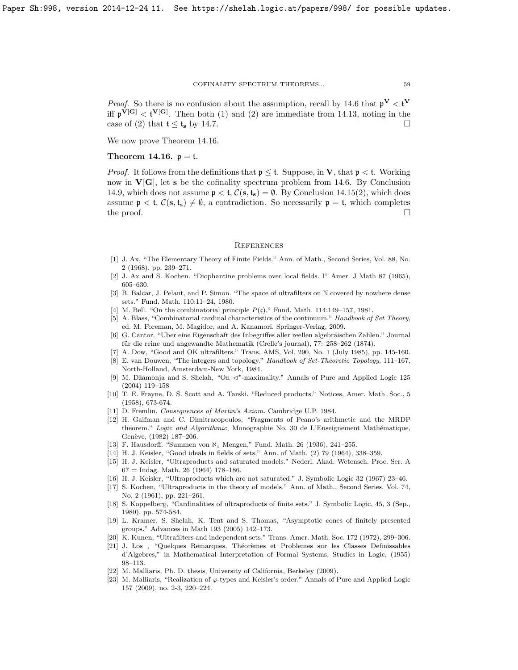*Proof.* So there is no confusion about the assumption, recall by [14](#page-54-2).6 that  $p^V < f^V$ iff  $\mathfrak{p}^{\mathbf{V}[\mathbf{G}]} < \mathfrak{t}^{\mathbf{V}[\mathbf{G}]}$ . Then both (1) and (2) are immediate from [14.13,](#page-57-0) noting in the case of (2) that  $t \le t_s$  by [14.7.](#page-55-0)

We now prove Theorem [14.16.](#page-58-5)

# <span id="page-58-5"></span>Theorem 14.16.  $p = t$ .

*Proof.* It follows from the definitions that  $p \leq t$ . Suppose, in **V**, that  $p < t$ . Working now in  $V[G]$ , let s be the cofinality spectrum problem from [14.6.](#page-54-2) By Conclusion [14.9,](#page-56-2) which does not assume  $p < t$ ,  $C(s, t_s) = \emptyset$ . By Conclusion [14.15\(](#page-57-1)2), which does assume  $\mathfrak{p} < \mathfrak{t}$ ,  $\mathcal{C}(\mathbf{s}, \mathfrak{t}_{\mathbf{s}}) \neq \emptyset$ , a contradiction. So necessarily  $\mathfrak{p} = \mathfrak{t}$ , which completes the proof.  $\Box$ 

## **REFERENCES**

- [1] J. Ax, "The Elementary Theory of Finite Fields." Ann. of Math., Second Series, Vol. 88, No. 2 (1968), pp. 239–271.
- [2] J. Ax and S. Kochen. "Diophantine problems over local fields. I" Amer. J Math 87 (1965), 605–630.
- <span id="page-58-13"></span>[3] B. Balcar, J. Pelant, and P. Simon. "The space of ultrafilters on N covered by nowhere dense sets." Fund. Math. 110:11–24, 1980.
- <span id="page-58-4"></span>[4] M. Bell. "On the combinatorial principle  $P(\mathfrak{c})$ ." Fund. Math. 114:149–157, 1981.
- <span id="page-58-2"></span>[5] A. Blass, "Combinatorial cardinal characteristics of the continuum." Handbook of Set Theory, ed. M. Foreman, M. Magidor, and A. Kanamori. Springer-Verlag, 2009.
- <span id="page-58-0"></span>[6] G. Cantor. "Uber eine Eigenschaft des Inbegriffes aller reellen algebraischen Zahlen." Journal für die reine und angewandte Mathematik (Crelle's journal), 77: 258–262 (1874).
- [7] A. Dow, "Good and OK ultrafilters." Trans. AMS, Vol. 290, No. 1 (July 1985), pp. 145-160.
- <span id="page-58-1"></span>[8] E. van Douwen, "The integers and topology." Handbook of Set-Theoretic Topology, 111–167, North-Holland, Amsterdam-New York, 1984.
- <span id="page-58-9"></span>[9] M. Džamonja and S. Shelah, "On < ∗-maximality." Annals of Pure and Applied Logic 125 (2004) 119–158
- [10] T. E. Frayne, D. S. Scott and A. Tarski. "Reduced products." Notices, Amer. Math. Soc., 5 (1958), 673-674.
- [11] D. Fremlin. Consequences of Martin's Axiom. Cambridge U.P. 1984.
- [12] H. Gaifman and C. Dimitracopoulos, "Fragments of Peano's arithmetic and the MRDP theorem." Logic and Algorithmic, Monographie No. 30 de L'Enseignement Mathématique, Genève, (1982) 187-206.
- <span id="page-58-3"></span>[13] F. Hausdorff. "Summen von ℵ<sup>1</sup> Mengen," Fund. Math. 26 (1936), 241–255.
- <span id="page-58-6"></span>[14] H. J. Keisler, "Good ideals in fields of sets," Ann. of Math. (2) 79 (1964), 338–359.
- [15] H. J. Keisler, "Ultraproducts and saturated models." Nederl. Akad. Wetensch. Proc. Ser. A  $67 =$  Indag. Math. 26 (1964) 178-186.
- <span id="page-58-10"></span>[16] H. J. Keisler, "Ultraproducts which are not saturated." J. Symbolic Logic 32 (1967) 23–46.
- [17] S. Kochen, "Ultraproducts in the theory of models." Ann. of Math., Second Series, Vol. 74, No. 2 (1961), pp. 221–261.
- <span id="page-58-12"></span>[18] S. Koppelberg, "Cardinalities of ultraproducts of finite sets." J. Symbolic Logic, 45, 3 (Sep., 1980), pp. 574-584.
- [19] L. Kramer, S. Shelah, K. Tent and S. Thomas, "Asymptotic cones of finitely presented groups." Advances in Math 193 (2005) 142–173.
- <span id="page-58-7"></span>[20] K. Kunen, "Ultrafilters and independent sets." Trans. Amer. Math. Soc. 172 (1972), 299–306.
- [21] J. Los, "Quelques Remarques, Théorèmes et Problemes sur les Classes Definissables d'Algebres," in Mathematical Interpretation of Formal Systems, Studies in Logic, (1955) 98–113.
- <span id="page-58-8"></span>[22] M. Malliaris, Ph. D. thesis, University of California, Berkeley (2009).
- <span id="page-58-11"></span>[23] M. Malliaris, "Realization of  $\varphi$ -types and Keisler's order." Annals of Pure and Applied Logic 157 (2009), no. 2-3, 220–224.